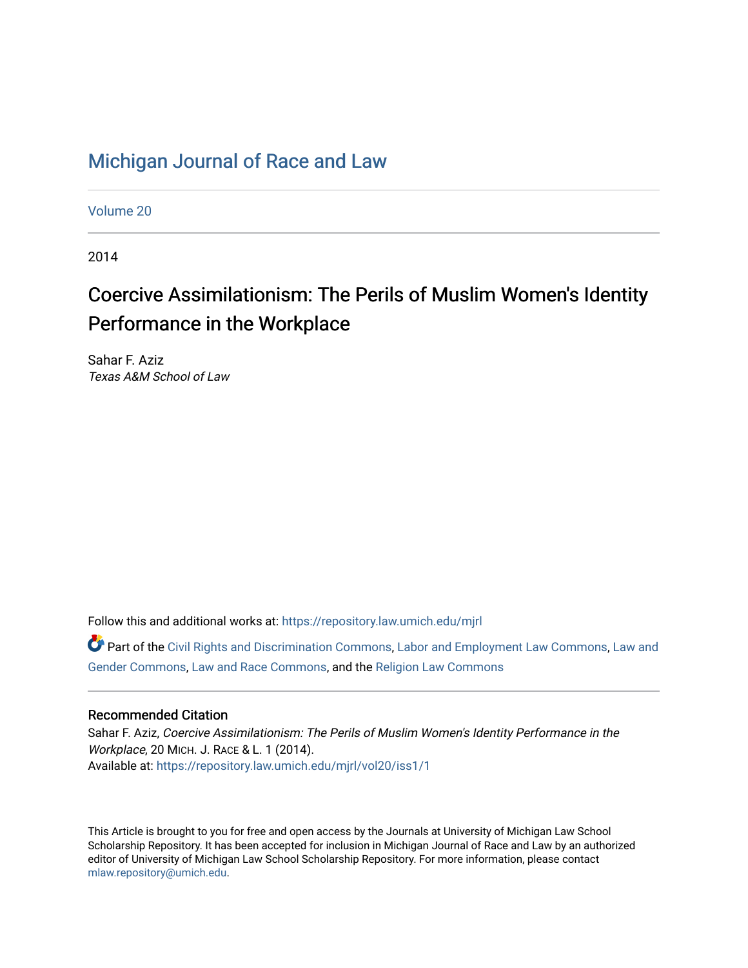# [Michigan Journal of Race and Law](https://repository.law.umich.edu/mjrl)

[Volume 20](https://repository.law.umich.edu/mjrl/vol20)

2014

# Coercive Assimilationism: The Perils of Muslim Women's Identity Performance in the Workplace

Sahar F. Aziz Texas A&M School of Law

Follow this and additional works at: [https://repository.law.umich.edu/mjrl](https://repository.law.umich.edu/mjrl?utm_source=repository.law.umich.edu%2Fmjrl%2Fvol20%2Fiss1%2F1&utm_medium=PDF&utm_campaign=PDFCoverPages) 

Part of the [Civil Rights and Discrimination Commons,](http://network.bepress.com/hgg/discipline/585?utm_source=repository.law.umich.edu%2Fmjrl%2Fvol20%2Fiss1%2F1&utm_medium=PDF&utm_campaign=PDFCoverPages) [Labor and Employment Law Commons](http://network.bepress.com/hgg/discipline/909?utm_source=repository.law.umich.edu%2Fmjrl%2Fvol20%2Fiss1%2F1&utm_medium=PDF&utm_campaign=PDFCoverPages), [Law and](http://network.bepress.com/hgg/discipline/1298?utm_source=repository.law.umich.edu%2Fmjrl%2Fvol20%2Fiss1%2F1&utm_medium=PDF&utm_campaign=PDFCoverPages) [Gender Commons,](http://network.bepress.com/hgg/discipline/1298?utm_source=repository.law.umich.edu%2Fmjrl%2Fvol20%2Fiss1%2F1&utm_medium=PDF&utm_campaign=PDFCoverPages) [Law and Race Commons,](http://network.bepress.com/hgg/discipline/1300?utm_source=repository.law.umich.edu%2Fmjrl%2Fvol20%2Fiss1%2F1&utm_medium=PDF&utm_campaign=PDFCoverPages) and the [Religion Law Commons](http://network.bepress.com/hgg/discipline/872?utm_source=repository.law.umich.edu%2Fmjrl%2Fvol20%2Fiss1%2F1&utm_medium=PDF&utm_campaign=PDFCoverPages) 

# Recommended Citation

Sahar F. Aziz, Coercive Assimilationism: The Perils of Muslim Women's Identity Performance in the Workplace, 20 MICH. J. RACE & L. 1 (2014). Available at: [https://repository.law.umich.edu/mjrl/vol20/iss1/1](https://repository.law.umich.edu/mjrl/vol20/iss1/1?utm_source=repository.law.umich.edu%2Fmjrl%2Fvol20%2Fiss1%2F1&utm_medium=PDF&utm_campaign=PDFCoverPages) 

This Article is brought to you for free and open access by the Journals at University of Michigan Law School Scholarship Repository. It has been accepted for inclusion in Michigan Journal of Race and Law by an authorized editor of University of Michigan Law School Scholarship Repository. For more information, please contact [mlaw.repository@umich.edu.](mailto:mlaw.repository@umich.edu)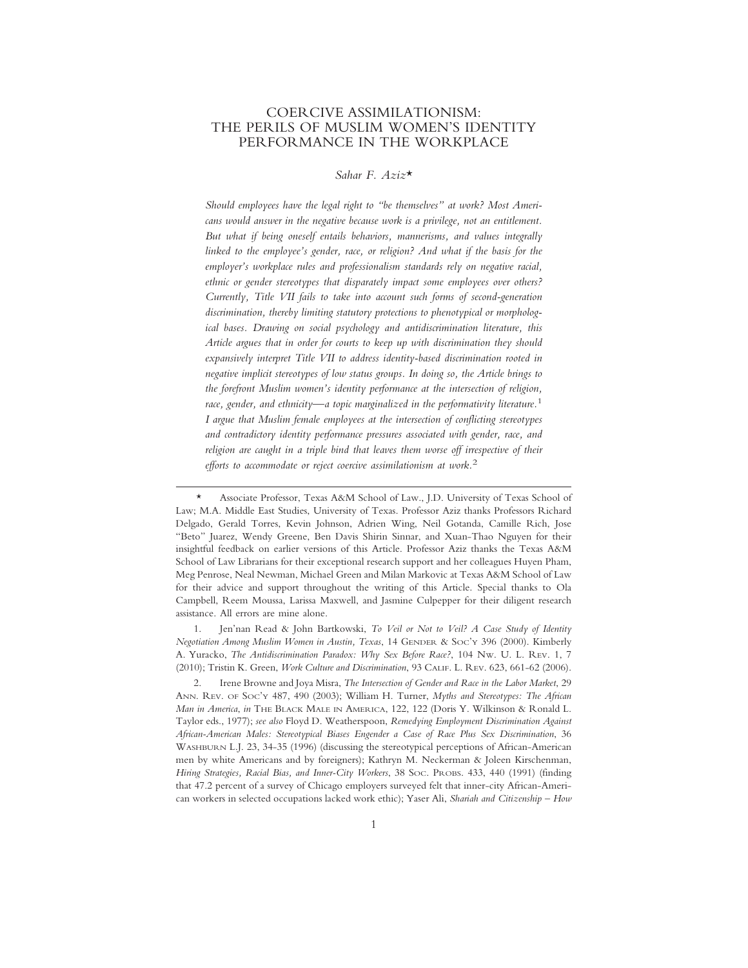# COERCIVE ASSIMILATIONISM: THE PERILS OF MUSLIM WOMEN'S IDENTITY PERFORMANCE IN THE WORKPLACE

# *Sahar F. Aziz*\*

*Should employees have the legal right to "be themselves" at work? Most Americans would answer in the negative because work is a privilege, not an entitlement. But what if being oneself entails behaviors, mannerisms, and values integrally linked to the employee's gender, race, or religion? And what if the basis for the employer's workplace rules and professionalism standards rely on negative racial, ethnic or gender stereotypes that disparately impact some employees over others? Currently, Title VII fails to take into account such forms of second-generation discrimination, thereby limiting statutory protections to phenotypical or morphological bases. Drawing on social psychology and antidiscrimination literature, this Article argues that in order for courts to keep up with discrimination they should expansively interpret Title VII to address identity-based discrimination rooted in negative implicit stereotypes of low status groups. In doing so, the Article brings to the forefront Muslim women's identity performance at the intersection of religion, race, gender, and ethnicity—a topic marginalized in the performativity literature.*1 *I argue that Muslim female employees at the intersection of conflicting stereotypes and contradictory identity performance pressures associated with gender, race, and religion are caught in a triple bind that leaves them worse off irrespective of their efforts to accommodate or reject coercive assimilationism at work.*2

Associate Professor, Texas A&M School of Law., J.D. University of Texas School of Law; M.A. Middle East Studies, University of Texas. Professor Aziz thanks Professors Richard Delgado, Gerald Torres, Kevin Johnson, Adrien Wing, Neil Gotanda, Camille Rich, Jose "Beto" Juarez, Wendy Greene, Ben Davis Shirin Sinnar, and Xuan-Thao Nguyen for their insightful feedback on earlier versions of this Article. Professor Aziz thanks the Texas A&M School of Law Librarians for their exceptional research support and her colleagues Huyen Pham, Meg Penrose, Neal Newman, Michael Green and Milan Markovic at Texas A&M School of Law for their advice and support throughout the writing of this Article. Special thanks to Ola Campbell, Reem Moussa, Larissa Maxwell, and Jasmine Culpepper for their diligent research assistance. All errors are mine alone.

<sup>1.</sup> Jen'nan Read & John Bartkowski, *To Veil or Not to Veil? A Case Study of Identity Negotiation Among Muslim Women in Austin, Texas*, 14 GENDER & SOC'Y 396 (2000). Kimberly A. Yuracko, *The Antidiscrimination Paradox: Why Sex Before Race?*, 104 NW. U. L. REV. 1, 7 (2010); Tristin K. Green, *Work Culture and Discrimination*, 93 CALIF. L. REV. 623, 661-62 (2006).

<sup>2.</sup> Irene Browne and Joya Misra, *The Intersection of Gender and Race in the Labor Market*, 29 ANN. REV. OF SOC'Y 487, 490 (2003); William H. Turner, *Myths and Stereotypes: The African Man in America*, *in* THE BLACK MALE IN AMERICA, 122, 122 (Doris Y. Wilkinson & Ronald L. Taylor eds., 1977); *see also* Floyd D. Weatherspoon, *Remedying Employment Discrimination Against African-American Males: Stereotypical Biases Engender a Case of Race Plus Sex Discrimination*, 36 WASHBURN L.J. 23, 34-35 (1996) (discussing the stereotypical perceptions of African-American men by white Americans and by foreigners); Kathryn M. Neckerman & Joleen Kirschenman, *Hiring Strategies, Racial Bias, and Inner-City Workers*, 38 SOC. PROBS. 433, 440 (1991) (finding that 47.2 percent of a survey of Chicago employers surveyed felt that inner-city African-American workers in selected occupations lacked work ethic); Yaser Ali, *Shariah and Citizenship – How*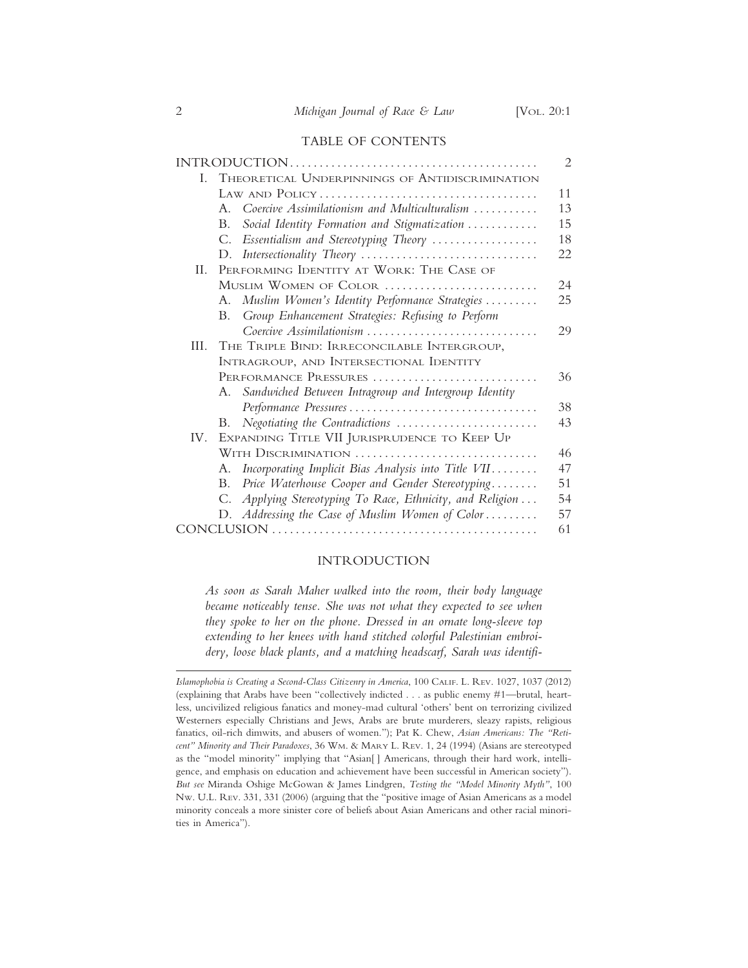# TABLE OF CONTENTS

|     |                                                 |                                                           | 2  |
|-----|-------------------------------------------------|-----------------------------------------------------------|----|
| L   | THEORETICAL UNDERPINNINGS OF ANTIDISCRIMINATION |                                                           |    |
|     |                                                 |                                                           | 11 |
|     | $A_{\cdot}$                                     | Coercive Assimilationism and Multiculturalism             | 13 |
|     | B.                                              | Social Identity Formation and Stigmatization              | 15 |
|     | $C_{\cdot}$                                     | Essentialism and Stereotyping Theory                      | 18 |
|     | D.                                              | Intersectionality Theory                                  | 22 |
| II. | PERFORMING IDENTITY AT WORK: THE CASE OF        |                                                           |    |
|     | MUSLIM WOMEN OF COLOR                           |                                                           | 24 |
|     | A.                                              | Muslim Women's Identity Performance Strategies            | 25 |
|     | B.                                              | Group Enhancement Strategies: Refusing to Perform         |    |
|     |                                                 | Coercive Assimilationism                                  | 29 |
| HL. | THE TRIPLE BIND: IRRECONCILABLE INTERGROUP,     |                                                           |    |
|     | INTRAGROUP, AND INTERSECTIONAL IDENTITY         |                                                           |    |
|     | PERFORMANCE PRESSURES                           |                                                           | 36 |
|     | A.                                              | Sandwiched Between Intragroup and Intergroup Identity     |    |
|     |                                                 |                                                           | 38 |
|     | В.                                              | Negotiating the Contradictions                            | 43 |
| IV. | EXPANDING TITLE VII JURISPRUDENCE TO KEEP UP    |                                                           |    |
|     | WITH DISCRIMINATION                             |                                                           | 46 |
|     | A.                                              | Incorporating Implicit Bias Analysis into Title VII       | 47 |
|     | B.                                              | Price Waterhouse Cooper and Gender Stereotyping           | 51 |
|     |                                                 | C. Applying Stereotyping To Race, Ethnicity, and Religion | 54 |
|     |                                                 | D. Addressing the Case of Muslim Women of Color           | 57 |
|     |                                                 |                                                           | 61 |

#### INTRODUCTION

*As soon as Sarah Maher walked into the room, their body language became noticeably tense. She was not what they expected to see when they spoke to her on the phone. Dressed in an ornate long-sleeve top extending to her knees with hand stitched colorful Palestinian embroidery, loose black plants, and a matching headscarf, Sarah was identifi-*

*Islamophobia is Creating a Second-Class Citizenry in America*, 100 CALIF. L. REV. 1027, 1037 (2012) (explaining that Arabs have been "collectively indicted . . . as public enemy #1—brutal, heartless, uncivilized religious fanatics and money-mad cultural 'others' bent on terrorizing civilized Westerners especially Christians and Jews, Arabs are brute murderers, sleazy rapists, religious fanatics, oil-rich dimwits, and abusers of women."); Pat K. Chew, *Asian Americans: The "Reticent" Minority and Their Paradoxes*, 36 WM. & MARY L. REV. 1, 24 (1994) (Asians are stereotyped as the "model minority" implying that "Asian[ ] Americans, through their hard work, intelligence, and emphasis on education and achievement have been successful in American society"). *But see* Miranda Oshige McGowan & James Lindgren, *Testing the "Model Minority Myth"*, 100 NW. U.L. REV. 331, 331 (2006) (arguing that the "positive image of Asian Americans as a model minority conceals a more sinister core of beliefs about Asian Americans and other racial minorities in America").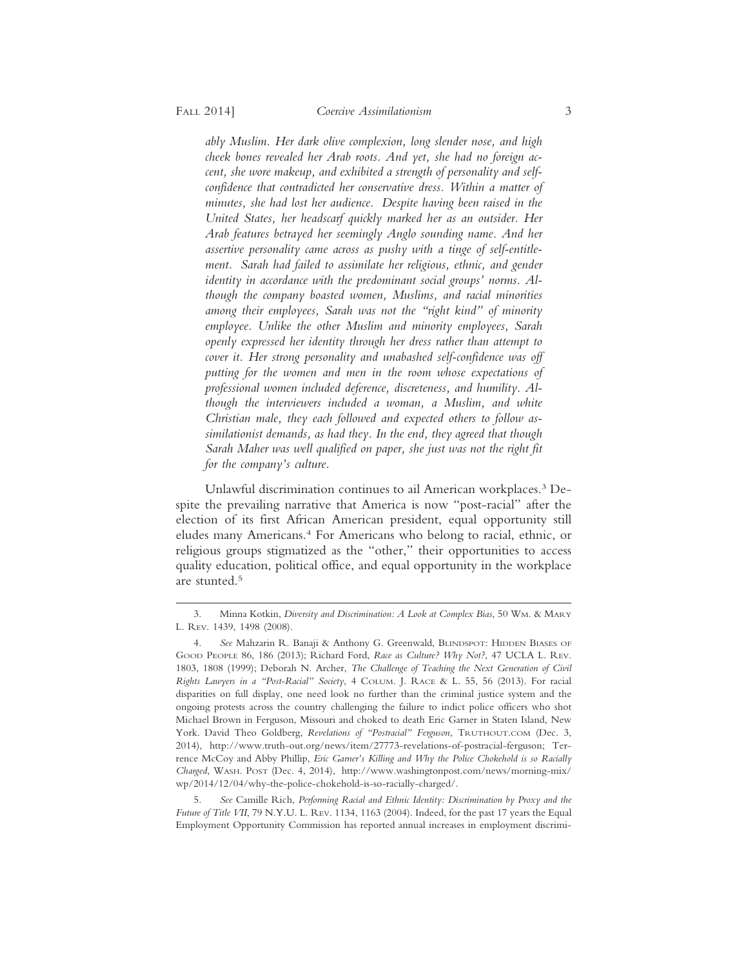*ably Muslim. Her dark olive complexion, long slender nose, and high cheek bones revealed her Arab roots. And yet, she had no foreign accent, she wore makeup, and exhibited a strength of personality and selfconfidence that contradicted her conservative dress. Within a matter of minutes, she had lost her audience. Despite having been raised in the United States, her headscarf quickly marked her as an outsider. Her Arab features betrayed her seemingly Anglo sounding name. And her assertive personality came across as pushy with a tinge of self-entitlement. Sarah had failed to assimilate her religious, ethnic, and gender identity in accordance with the predominant social groups' norms. Although the company boasted women, Muslims, and racial minorities among their employees, Sarah was not the "right kind" of minority employee. Unlike the other Muslim and minority employees, Sarah openly expressed her identity through her dress rather than attempt to cover it. Her strong personality and unabashed self-confidence was off putting for the women and men in the room whose expectations of professional women included deference, discreteness, and humility. Although the interviewers included a woman, a Muslim, and white Christian male, they each followed and expected others to follow assimilationist demands, as had they. In the end, they agreed that though Sarah Maher was well qualified on paper, she just was not the right fit for the company's culture.*

Unlawful discrimination continues to ail American workplaces.3 Despite the prevailing narrative that America is now "post-racial" after the election of its first African American president, equal opportunity still eludes many Americans.4 For Americans who belong to racial, ethnic, or religious groups stigmatized as the "other," their opportunities to access quality education, political office, and equal opportunity in the workplace are stunted.5

5. *See* Camille Rich, *Performing Racial and Ethnic Identity: Discrimination by Proxy and the Future of Title VII*, 79 N.Y.U. L. REV. 1134, 1163 (2004). Indeed, for the past 17 years the Equal Employment Opportunity Commission has reported annual increases in employment discrimi-

<sup>3.</sup> Minna Kotkin, *Diversity and Discrimination: A Look at Complex Bias*, 50 WM. & MARY L. REV. 1439, 1498 (2008).

<sup>4.</sup> *See* Mahzarin R. Banaji & Anthony G. Greenwald, BLINDSPOT: HIDDEN BIASES OF GOOD PEOPLE 86, 186 (2013); Richard Ford, *Race as Culture? Why Not?*, 47 UCLA L. REV. 1803, 1808 (1999); Deborah N. Archer, *The Challenge of Teaching the Next Generation of Civil Rights Lawyers in a "Post-Racial" Society*, 4 COLUM. J. RACE & L. 55, 56 (2013). For racial disparities on full display, one need look no further than the criminal justice system and the ongoing protests across the country challenging the failure to indict police officers who shot Michael Brown in Ferguson, Missouri and choked to death Eric Garner in Staten Island, New York. David Theo Goldberg, *Revelations of "Postracial" Ferguson*, TRUTHOUT.COM (Dec. 3, 2014), http://www.truth-out.org/news/item/27773-revelations-of-postracial-ferguson; Terrence McCoy and Abby Phillip, *Eric Garner's Killing and Why the Police Chokehold is so Racially Charged*, WASH. POST (Dec. 4, 2014), http://www.washingtonpost.com/news/morning-mix/ wp/2014/12/04/why-the-police-chokehold-is-so-racially-charged/.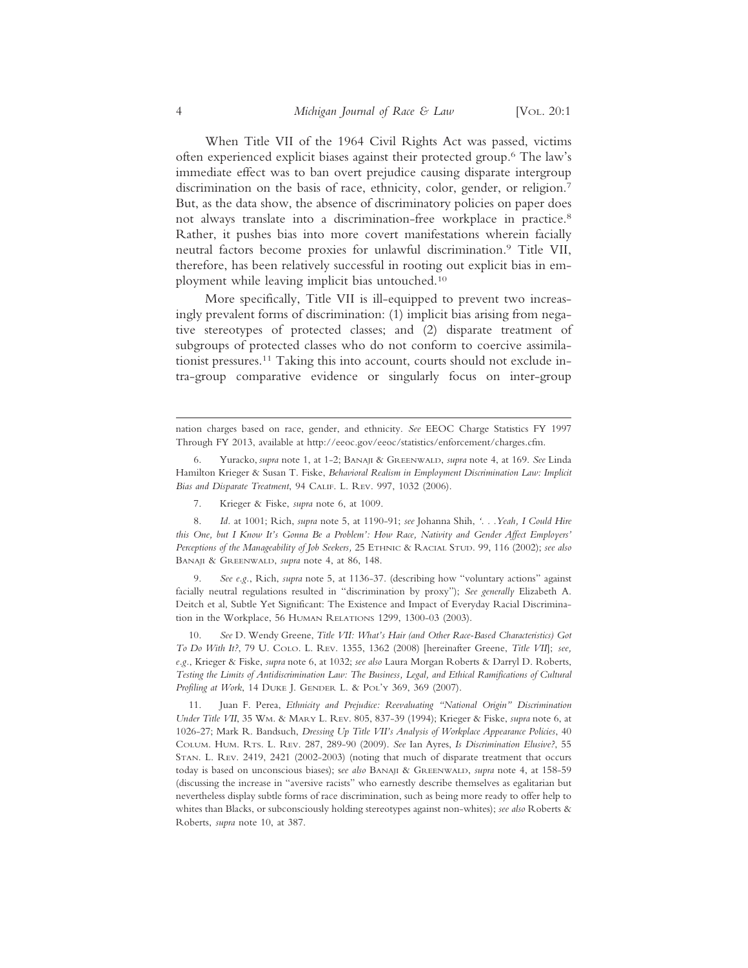When Title VII of the 1964 Civil Rights Act was passed, victims often experienced explicit biases against their protected group.6 The law's immediate effect was to ban overt prejudice causing disparate intergroup discrimination on the basis of race, ethnicity, color, gender, or religion.7 But, as the data show, the absence of discriminatory policies on paper does not always translate into a discrimination-free workplace in practice.8 Rather, it pushes bias into more covert manifestations wherein facially neutral factors become proxies for unlawful discrimination.9 Title VII, therefore, has been relatively successful in rooting out explicit bias in employment while leaving implicit bias untouched.10

More specifically, Title VII is ill-equipped to prevent two increasingly prevalent forms of discrimination: (1) implicit bias arising from negative stereotypes of protected classes; and (2) disparate treatment of subgroups of protected classes who do not conform to coercive assimilationist pressures.11 Taking this into account, courts should not exclude intra-group comparative evidence or singularly focus on inter-group

7. Krieger & Fiske, *supra* note 6, at 1009.

8. *Id.* at 1001; Rich, *supra* note 5, at 1190-91; *see* Johanna Shih, *'. . .Yeah, I Could Hire this One, but I Know It's Gonna Be a Problem': How Race, Nativity and Gender Affect Employers' Perceptions of the Manageability of Job Seekers,* 25 ETHNIC & RACIAL STUD. 99, 116 (2002); *see also* BANAJI & GREENWALD, *supra* note 4, at 86, 148.

9. *See e.g.*, Rich, *supra* note 5, at 1136-37. (describing how "voluntary actions" against facially neutral regulations resulted in "discrimination by proxy"); *See generally* Elizabeth A. Deitch et al, Subtle Yet Significant: The Existence and Impact of Everyday Racial Discrimination in the Workplace, 56 HUMAN RELATIONS 1299, 1300-03 (2003).

10. *See* D. Wendy Greene, *Title VII: What's Hair (and Other Race-Based Characteristics) Got To Do With It?*, 79 U. COLO. L. REV. 1355, 1362 (2008) [hereinafter Greene, *Title VII*]; *see, e.g.*, Krieger & Fiske, *supra* note 6, at 1032; *see also* Laura Morgan Roberts & Darryl D. Roberts, *Testing the Limits of Antidiscrimination Law: The Business, Legal, and Ethical Ramifications of Cultural Profiling at Work*, 14 DUKE J. GENDER L. & POL'Y 369, 369 (2007).

11. Juan F. Perea, *Ethnicity and Prejudice: Reevaluating "National Origin" Discrimination Under Title VII*, 35 WM. & MARY L. REV. 805, 837-39 (1994); Krieger & Fiske, *supra* note 6, at 1026-27; Mark R. Bandsuch, *Dressing Up Title VII's Analysis of Workplace Appearance Policies*, 40 COLUM. HUM. RTS. L. REV. 287, 289-90 (2009). *See* Ian Ayres, *Is Discrimination Elusive?*, 55 STAN. L. REV. 2419, 2421 (2002-2003) (noting that much of disparate treatment that occurs today is based on unconscious biases); s*ee also* BANAJI & GREENWALD, *supra* note 4, at 158-59 (discussing the increase in "aversive racists" who earnestly describe themselves as egalitarian but nevertheless display subtle forms of race discrimination, such as being more ready to offer help to whites than Blacks, or subconsciously holding stereotypes against non-whites); *see also* Roberts & Roberts, *supra* note 10, at 387.

nation charges based on race, gender, and ethnicity. *See* EEOC Charge Statistics FY 1997 Through FY 2013, available at http://eeoc.gov/eeoc/statistics/enforcement/charges.cfm.

<sup>6.</sup> Yuracko, *supra* note 1, at 1-2; BANAJI & GREENWALD, *supra* note 4, at 169. *See* Linda Hamilton Krieger & Susan T. Fiske, *Behavioral Realism in Employment Discrimination Law: Implicit Bias and Disparate Treatment*, 94 CALIF. L. REV. 997, 1032 (2006).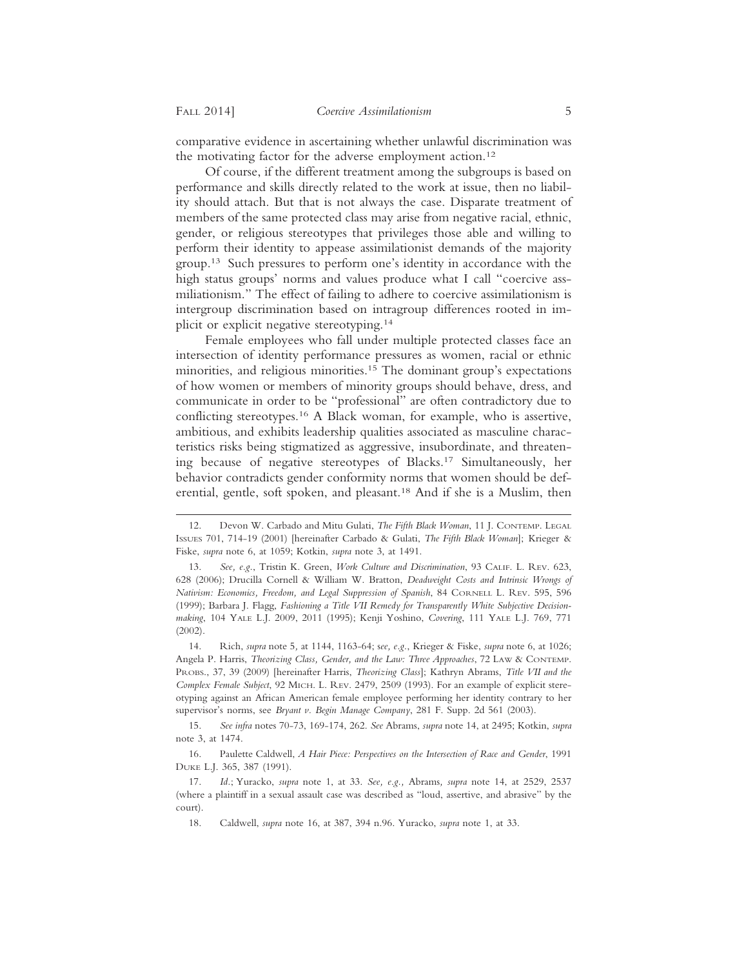comparative evidence in ascertaining whether unlawful discrimination was the motivating factor for the adverse employment action.<sup>12</sup>

Of course, if the different treatment among the subgroups is based on performance and skills directly related to the work at issue, then no liability should attach. But that is not always the case. Disparate treatment of members of the same protected class may arise from negative racial, ethnic, gender, or religious stereotypes that privileges those able and willing to perform their identity to appease assimilationist demands of the majority group.13 Such pressures to perform one's identity in accordance with the high status groups' norms and values produce what I call "coercive assmiliationism." The effect of failing to adhere to coercive assimilationism is intergroup discrimination based on intragroup differences rooted in implicit or explicit negative stereotyping.14

Female employees who fall under multiple protected classes face an intersection of identity performance pressures as women, racial or ethnic minorities, and religious minorities.15 The dominant group's expectations of how women or members of minority groups should behave, dress, and communicate in order to be "professional" are often contradictory due to conflicting stereotypes.16 A Black woman, for example, who is assertive, ambitious, and exhibits leadership qualities associated as masculine characteristics risks being stigmatized as aggressive, insubordinate, and threatening because of negative stereotypes of Blacks.17 Simultaneously, her behavior contradicts gender conformity norms that women should be deferential, gentle, soft spoken, and pleasant.18 And if she is a Muslim, then

14. Rich, *supra* note 5*,* at 1144, 1163-64; s*ee, e.g.*, Krieger & Fiske, *supra* note 6, at 1026; Angela P. Harris, *Theorizing Class, Gender, and the Law: Three Approaches*, 72 LAW & CONTEMP. PROBS., 37, 39 (2009) [hereinafter Harris, *Theorizing Class*]; Kathryn Abrams, *Title VII and the Complex Female Subject*, 92 MICH. L. REV. 2479, 2509 (1993). For an example of explicit stereotyping against an African American female employee performing her identity contrary to her supervisor's norms, see *Bryant v. Begin Manage Company*, 281 F. Supp. 2d 561 (2003).

15. *See infra* notes 70-73, 169-174, 262. *See* Abrams, *supra* note 14, at 2495; Kotkin, *supra* note 3, at 1474.

16. Paulette Caldwell, *A Hair Piece: Perspectives on the Intersection of Race and Gender*, 1991 DUKE L.J. 365, 387 (1991).

17. *Id.*; Yuracko, *supra* note 1, at 33. *See, e.g.,* Abrams*, supra* note 14, at 2529, 2537 (where a plaintiff in a sexual assault case was described as "loud, assertive, and abrasive" by the court).

18. Caldwell, *supra* note 16, at 387, 394 n.96. Yuracko, *supra* note 1, at 33.

<sup>12.</sup> Devon W. Carbado and Mitu Gulati, *The Fifth Black Woman*, 11 J. CONTEMP. LEGAL ISSUES 701, 714-19 (2001) [hereinafter Carbado & Gulati, *The Fifth Black Woman*]; Krieger & Fiske, *supra* note 6, at 1059; Kotkin, *supra* note 3, at 1491.

<sup>13.</sup> *See, e.g.*, Tristin K. Green, *Work Culture and Discrimination*, 93 CALIF. L. REV. 623, 628 (2006); Drucilla Cornell & William W. Bratton, *Deadweight Costs and Intrinsic Wrongs of Nativism: Economics, Freedom, and Legal Suppression of Spanish*, 84 CORNELL L. REV. 595, 596 (1999); Barbara J. Flagg, *Fashioning a Title VII Remedy for Transparently White Subjective Decisionmaking*, 104 YALE L.J. 2009, 2011 (1995); Kenji Yoshino, *Covering*, 111 YALE L.J. 769, 771 (2002).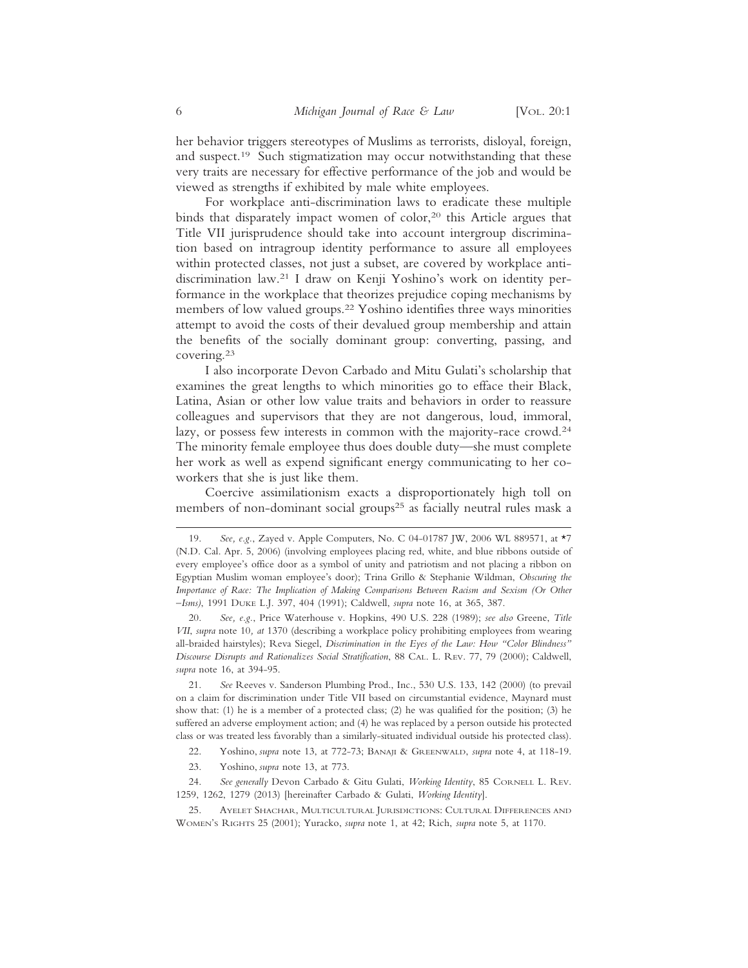her behavior triggers stereotypes of Muslims as terrorists, disloyal, foreign, and suspect.19 Such stigmatization may occur notwithstanding that these very traits are necessary for effective performance of the job and would be viewed as strengths if exhibited by male white employees.

For workplace anti-discrimination laws to eradicate these multiple binds that disparately impact women of color,<sup>20</sup> this Article argues that Title VII jurisprudence should take into account intergroup discrimination based on intragroup identity performance to assure all employees within protected classes, not just a subset, are covered by workplace antidiscrimination law.21 I draw on Kenji Yoshino's work on identity performance in the workplace that theorizes prejudice coping mechanisms by members of low valued groups.22 Yoshino identifies three ways minorities attempt to avoid the costs of their devalued group membership and attain the benefits of the socially dominant group: converting, passing, and covering.23

I also incorporate Devon Carbado and Mitu Gulati's scholarship that examines the great lengths to which minorities go to efface their Black, Latina, Asian or other low value traits and behaviors in order to reassure colleagues and supervisors that they are not dangerous, loud, immoral, lazy, or possess few interests in common with the majority-race crowd.<sup>24</sup> The minority female employee thus does double duty—she must complete her work as well as expend significant energy communicating to her coworkers that she is just like them.

Coercive assimilationism exacts a disproportionately high toll on members of non-dominant social groups<sup>25</sup> as facially neutral rules mask a

21. *See* Reeves v. Sanderson Plumbing Prod., Inc., 530 U.S. 133, 142 (2000) (to prevail on a claim for discrimination under Title VII based on circumstantial evidence, Maynard must show that: (1) he is a member of a protected class; (2) he was qualified for the position; (3) he suffered an adverse employment action; and (4) he was replaced by a person outside his protected class or was treated less favorably than a similarly-situated individual outside his protected class).

22. Yoshino, *supra* note 13, at 772-73; BANAJI & GREENWALD, *supra* note 4, at 118-19.

23. Yoshino, *supra* note 13, at 773.

24. *See generally* Devon Carbado & Gitu Gulati, *Working Identity*, 85 CORNELL L. REV. 1259, 1262, 1279 (2013) [hereinafter Carbado & Gulati, *Working Identity*].

25. AYELET SHACHAR, MULTICULTURAL JURISDICTIONS: CULTURAL DIFFERENCES AND WOMEN'S RIGHTS 25 (2001); Yuracko, *supra* note 1, at 42; Rich, *supra* note 5, at 1170.

<sup>19.</sup> *See, e.g.*, Zayed v. Apple Computers, No. C 04-01787 JW, 2006 WL 889571, at \*7 (N.D. Cal. Apr. 5, 2006) (involving employees placing red, white, and blue ribbons outside of every employee's office door as a symbol of unity and patriotism and not placing a ribbon on Egyptian Muslim woman employee's door); Trina Grillo & Stephanie Wildman, *Obscuring the Importance of Race: The Implication of Making Comparisons Between Racism and Sexism (Or Other –Isms)*, 1991 DUKE L.J. 397, 404 (1991); Caldwell, *supra* note 16, at 365, 387.

<sup>20.</sup> *See, e.g.*, Price Waterhouse v. Hopkins, 490 U.S. 228 (1989); *see also* Greene, *Title VII*, *supra* note 10*, at* 1370 (describing a workplace policy prohibiting employees from wearing all-braided hairstyles); Reva Siegel, *Discrimination in the Eyes of the Law: How "Color Blindness" Discourse Disrupts and Rationalizes Social Stratification*, 88 CAL. L. REV. 77, 79 (2000); Caldwell, *supra* note 16, at 394-95.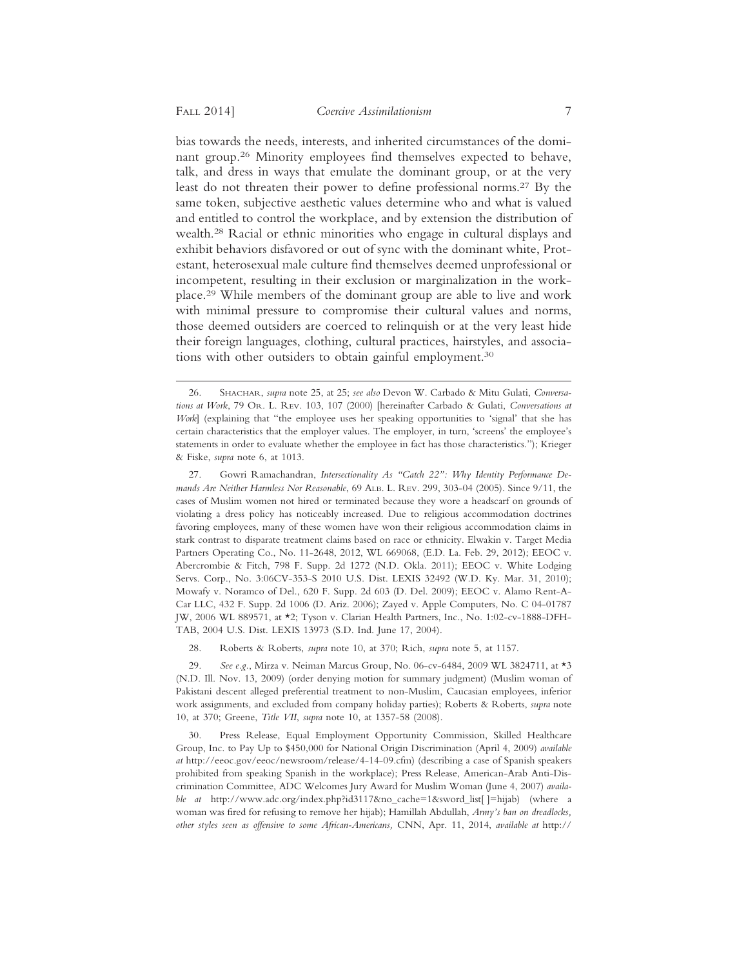bias towards the needs, interests, and inherited circumstances of the dominant group.26 Minority employees find themselves expected to behave, talk, and dress in ways that emulate the dominant group, or at the very least do not threaten their power to define professional norms.27 By the same token, subjective aesthetic values determine who and what is valued and entitled to control the workplace, and by extension the distribution of wealth.28 Racial or ethnic minorities who engage in cultural displays and exhibit behaviors disfavored or out of sync with the dominant white, Protestant, heterosexual male culture find themselves deemed unprofessional or incompetent, resulting in their exclusion or marginalization in the workplace.29 While members of the dominant group are able to live and work with minimal pressure to compromise their cultural values and norms, those deemed outsiders are coerced to relinquish or at the very least hide their foreign languages, clothing, cultural practices, hairstyles, and associations with other outsiders to obtain gainful employment.<sup>30</sup>

28. Roberts & Roberts, *supra* note 10, at 370; Rich, *supra* note 5, at 1157.

29. *See e.g.*, Mirza v. Neiman Marcus Group, No. 06-cv-6484, 2009 WL 3824711, at \*3 (N.D. Ill. Nov. 13, 2009) (order denying motion for summary judgment) (Muslim woman of Pakistani descent alleged preferential treatment to non-Muslim, Caucasian employees, inferior work assignments, and excluded from company holiday parties); Roberts & Roberts, *supra* note 10, at 370; Greene, *Title VII*, *supra* note 10, at 1357-58 (2008).

30. Press Release, Equal Employment Opportunity Commission, Skilled Healthcare Group, Inc. to Pay Up to \$450,000 for National Origin Discrimination (April 4, 2009) *available at* http://eeoc.gov/eeoc/newsroom/release/4-14-09.cfm) (describing a case of Spanish speakers prohibited from speaking Spanish in the workplace); Press Release, American-Arab Anti-Discrimination Committee, ADC Welcomes Jury Award for Muslim Woman (June 4, 2007) *available at* http://www.adc.org/index.php?id3117&no\_cache=1&sword\_list[ ]=hijab) (where a woman was fired for refusing to remove her hijab); Hamillah Abdullah, *Army's ban on dreadlocks, other styles seen as offensive to some African-Americans,* CNN, Apr. 11, 2014, *available at* http://

<sup>26.</sup> SHACHAR, *supra* note 25, at 25; *see also* Devon W. Carbado & Mitu Gulati, *Conversations at Work*, 79 OR. L. REV. 103, 107 (2000) [hereinafter Carbado & Gulati, *Conversations at Work*] (explaining that "the employee uses her speaking opportunities to 'signal' that she has certain characteristics that the employer values. The employer, in turn, 'screens' the employee's statements in order to evaluate whether the employee in fact has those characteristics."); Krieger & Fiske, *supra* note 6, at 1013.

<sup>27.</sup> Gowri Ramachandran, *Intersectionality As "Catch 22": Why Identity Performance Demands Are Neither Harmless Nor Reasonable*, 69 ALB. L. REV. 299, 303-04 (2005). Since 9/11, the cases of Muslim women not hired or terminated because they wore a headscarf on grounds of violating a dress policy has noticeably increased. Due to religious accommodation doctrines favoring employees, many of these women have won their religious accommodation claims in stark contrast to disparate treatment claims based on race or ethnicity. Elwakin v. Target Media Partners Operating Co., No. 11-2648, 2012, WL 669068, (E.D. La. Feb. 29, 2012); EEOC v. Abercrombie & Fitch, 798 F. Supp. 2d 1272 (N.D. Okla. 2011); EEOC v. White Lodging Servs. Corp., No. 3:06CV-353-S 2010 U.S. Dist. LEXIS 32492 (W.D. Ky. Mar. 31, 2010); Mowafy v. Noramco of Del., 620 F. Supp. 2d 603 (D. Del. 2009); EEOC v. Alamo Rent-A-Car LLC, 432 F. Supp. 2d 1006 (D. Ariz. 2006); Zayed v. Apple Computers, No. C 04-01787 JW, 2006 WL 889571, at \*2; Tyson v. Clarian Health Partners, Inc., No. 1:02-cv-1888-DFH-TAB, 2004 U.S. Dist. LEXIS 13973 (S.D. Ind. June 17, 2004).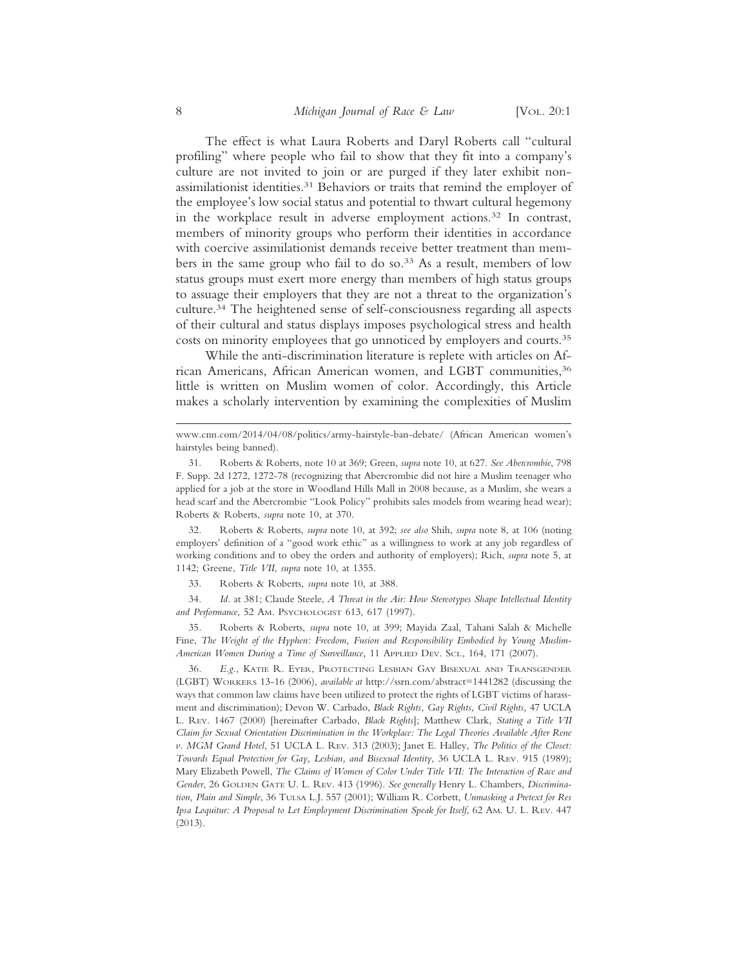The effect is what Laura Roberts and Daryl Roberts call "cultural profiling" where people who fail to show that they fit into a company's culture are not invited to join or are purged if they later exhibit nonassimilationist identities.31 Behaviors or traits that remind the employer of the employee's low social status and potential to thwart cultural hegemony in the workplace result in adverse employment actions.32 In contrast, members of minority groups who perform their identities in accordance with coercive assimilationist demands receive better treatment than members in the same group who fail to do so.<sup>33</sup> As a result, members of low status groups must exert more energy than members of high status groups to assuage their employers that they are not a threat to the organization's culture.34 The heightened sense of self-consciousness regarding all aspects of their cultural and status displays imposes psychological stress and health costs on minority employees that go unnoticed by employers and courts.35

While the anti-discrimination literature is replete with articles on African Americans, African American women, and LGBT communities,36 little is written on Muslim women of color. Accordingly, this Article makes a scholarly intervention by examining the complexities of Muslim

32. Roberts & Roberts, *supra* note 10, at 392; *see also* Shih, *supra* note 8, at 106 (noting employers' definition of a "good work ethic" as a willingness to work at any job regardless of working conditions and to obey the orders and authority of employers); Rich, *supra* note 5, at 1142; Greene, *Title VII*, *supra* note 10, at 1355.

33. Roberts & Roberts, *supra* note 10, at 388.

34. *Id.* at 381; Claude Steele, *A Threat in the Air: How Stereotypes Shape Intellectual Identity and Performance*, 52 AM. PSYCHOLOGIST 613, 617 (1997).

35. Roberts & Roberts, *supra* note 10, at 399; Mayida Zaal, Tahani Salah & Michelle Fine, *The Weight of the Hyphen: Freedom, Fusion and Responsibility Embodied by Young Muslim-American Women During a Time of Surveillance,* 11 APPLIED DEV. SCI., 164, 171 (2007).

36. *E.g.*, KATIE R. EYER, PROTECTING LESBIAN GAY BISEXUAL AND TRANSGENDER (LGBT) WORKERS 13-16 (2006), *available at* http://ssrn.com/abstract=1441282 (discussing the ways that common law claims have been utilized to protect the rights of LGBT victims of harassment and discrimination); Devon W. Carbado, *Black Rights, Gay Rights, Civil Rights,* 47 UCLA L. REV. 1467 (2000) [hereinafter Carbado, *Black Rights*]; Matthew Clark, *Stating a Title VII Claim for Sexual Orientation Discrimination in the Workplace: The Legal Theories Available After Rene v. MGM Grand Hotel*, 51 UCLA L. REV. 313 (2003); Janet E. Halley, *The Politics of the Closet: Towards Equal Protection for Gay, Lesbian, and Bisexual Identity*, 36 UCLA L. REV. 915 (1989); Mary Elizabeth Powell, *The Claims of Women of Color Under Title VII: The Interaction of Race and Gender*, 26 GOLDEN GATE U. L. REV. 413 (1996). *See generally* Henry L. Chambers, *Discrimination, Plain and Simple*, 36 TULSA L.J. 557 (2001); William R. Corbett, *Unmasking a Pretext for Res Ipsa Loquitur: A Proposal to Let Employment Discrimination Speak for Itself*, 62 AM. U. L. REV. 447 (2013).

www.cnn.com/2014/04/08/politics/army-hairstyle-ban-debate/ (African American women's hairstyles being banned).

<sup>31.</sup> Roberts & Roberts, note 10 at 369; Green, *supra* note 10, at 627. *See Abercrombie*, 798 F. Supp. 2d 1272, 1272-78 (recognizing that Abercrombie did not hire a Muslim teenager who applied for a job at the store in Woodland Hills Mall in 2008 because, as a Muslim, she wears a head scarf and the Abercrombie "Look Policy" prohibits sales models from wearing head wear); Roberts & Roberts, *supra* note 10, at 370.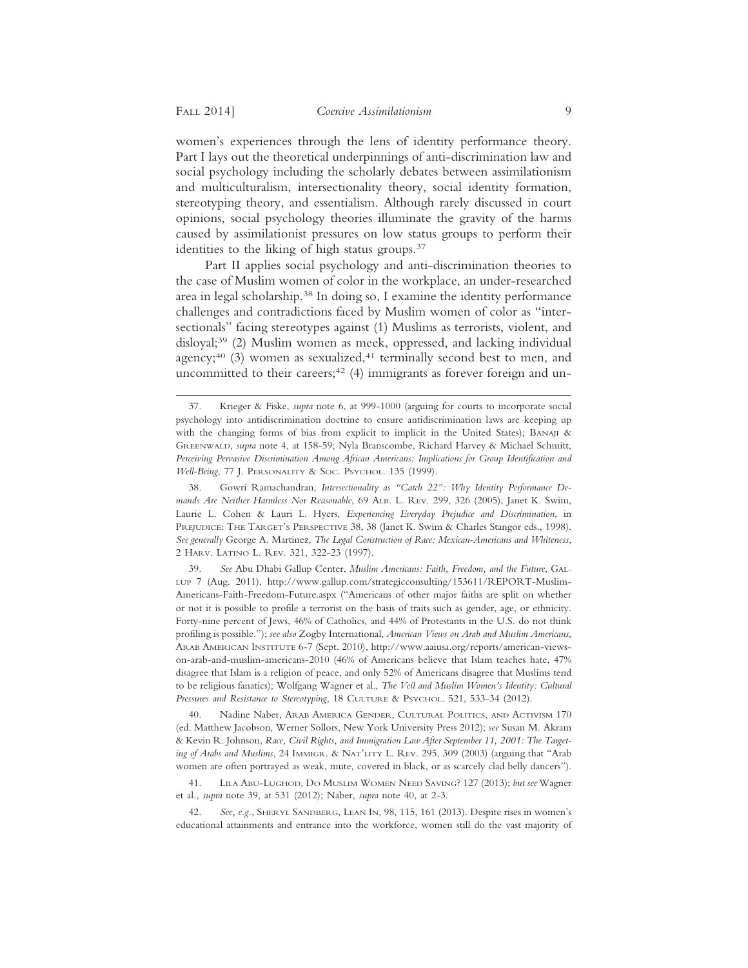women's experiences through the lens of identity performance theory. Part I lays out the theoretical underpinnings of anti-discrimination law and social psychology including the scholarly debates between assimilationism and multiculturalism, intersectionality theory, social identity formation, stereotyping theory, and essentialism. Although rarely discussed in court opinions, social psychology theories illuminate the gravity of the harms caused by assimilationist pressures on low status groups to perform their identities to the liking of high status groups.<sup>37</sup>

Part II applies social psychology and anti-discrimination theories to the case of Muslim women of color in the workplace, an under-researched area in legal scholarship.38 In doing so, I examine the identity performance challenges and contradictions faced by Muslim women of color as "intersectionals" facing stereotypes against (1) Muslims as terrorists, violent, and disloyal;39 (2) Muslim women as meek, oppressed, and lacking individual agency;<sup>40</sup> (3) women as sexualized,<sup>41</sup> terminally second best to men, and uncommitted to their careers;<sup>42</sup> (4) immigrants as forever foreign and un-

38. Gowri Ramachandran, *Intersectionality as "Catch 22": Why Identity Performance Demands Are Neither Harmless Nor Reasonable*, 69 ALB. L. REV. 299, 326 (2005); Janet K. Swim, Laurie L. Cohen & Lauri L. Hyers, *Experiencing Everyday Prejudice and Discrimination*, in PREJUDICE: THE TARGET'S PERSPECTIVE 38, 38 (Janet K. Swim & Charles Stangor eds., 1998). *See generally* George A. Martinez, *The Legal Construction of Race: Mexican-Americans and Whiteness*, 2 HARV. LATINO L. REV. 321, 322-23 (1997).

39. *See* Abu Dhabi Gallup Center, *Muslim Americans: Faith, Freedom, and the Future*, GAL-LUP 7 (Aug. 2011), http://www.gallup.com/strategicconsulting/153611/REPORT-Muslim-Americans-Faith-Freedom-Future.aspx ("Americans of other major faiths are split on whether or not it is possible to profile a terrorist on the basis of traits such as gender, age, or ethnicity. Forty-nine percent of Jews, 46% of Catholics, and 44% of Protestants in the U.S. do not think profiling is possible."); *see also* Zogby International, *American Views on Arab and Muslim Americans*, ARAB AMERICAN INSTITUTE 6-7 (Sept. 2010), http://www.aaiusa.org/reports/american-viewson-arab-and-muslim-americans-2010 (46% of Americans believe that Islam teaches hate, 47% disagree that Islam is a religion of peace, and only 52% of Americans disagree that Muslims tend to be religious fanatics); Wolfgang Wagner et al., *The Veil and Muslim Women's Identity: Cultural Pressures and Resistance to Stereotyping*, 18 CULTURE & PSYCHOL. 521, 533-34 (2012).

40. Nadine Naber, ARAB AMERICA GENDER, CULTURAL POLITICS, AND ACTIVISM 170 (ed. Matthew Jacobson, Werner Sollors, New York University Press 2012); *see* Susan M. Akram & Kevin R. Johnson, *Race, Civil Rights, and Immigration Law After September 11, 2001: The Targeting of Arabs and Muslims*, 24 IMMIGR. & NAT'LITY L. REV. 295, 309 (2003) (arguing that "Arab women are often portrayed as weak, mute, covered in black, or as scarcely clad belly dancers").

41. LILA ABU-LUGHOD, DO MUSLIM WOMEN NEED SAVING? 127 (2013); *but see* Wagner et al., *supra* note 39, at 531 (2012); Naber, *supra* note 40, at 2-3.

See, e.g., SHERYL SANDBERG, LEAN IN, 98, 115, 161 (2013). Despite rises in women's educational attainments and entrance into the workforce, women still do the vast majority of

<sup>37.</sup> Krieger & Fiske, *supra* note 6, at 999-1000 (arguing for courts to incorporate social psychology into antidiscrimination doctrine to ensure antidiscrimination laws are keeping up with the changing forms of bias from explicit to implicit in the United States); BANAJI & GREENWALD, *supra* note 4, at 158-59; Nyla Branscombe, Richard Harvey & Michael Schmitt, *Perceiving Pervasive Discrimination Among African Americans: Implications for Group Identification and Well-Being*, 77 J. PERSONALITY & SOC. PSYCHOL. 135 (1999).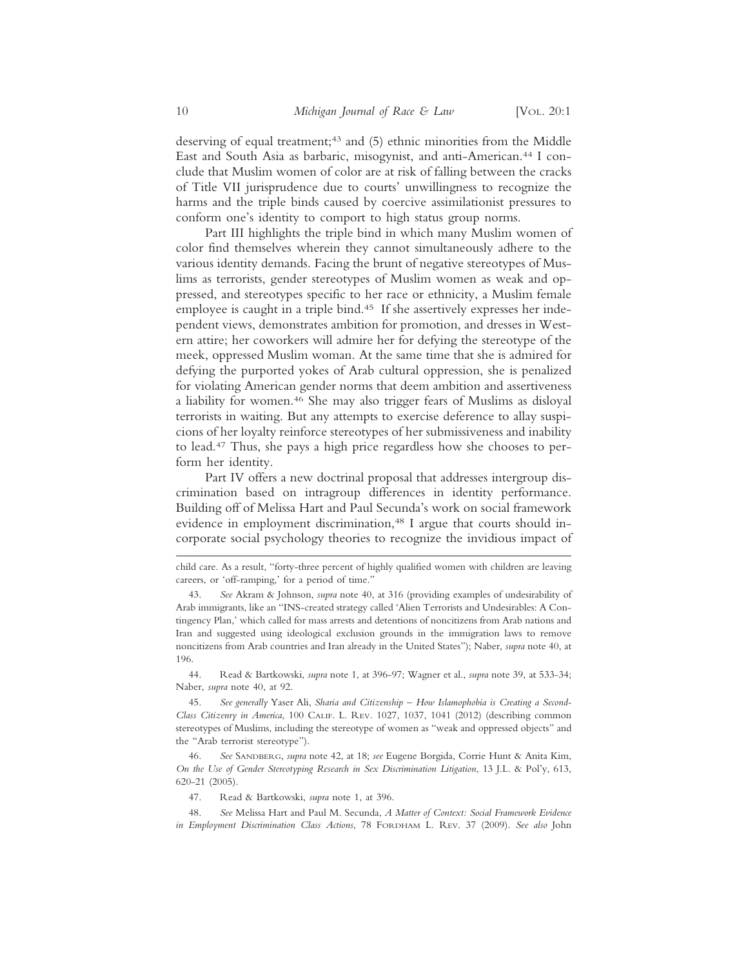deserving of equal treatment;<sup>43</sup> and (5) ethnic minorities from the Middle East and South Asia as barbaric, misogynist, and anti-American.44 I conclude that Muslim women of color are at risk of falling between the cracks of Title VII jurisprudence due to courts' unwillingness to recognize the harms and the triple binds caused by coercive assimilationist pressures to conform one's identity to comport to high status group norms.

Part III highlights the triple bind in which many Muslim women of color find themselves wherein they cannot simultaneously adhere to the various identity demands. Facing the brunt of negative stereotypes of Muslims as terrorists, gender stereotypes of Muslim women as weak and oppressed, and stereotypes specific to her race or ethnicity, a Muslim female employee is caught in a triple bind.<sup>45</sup> If she assertively expresses her independent views, demonstrates ambition for promotion, and dresses in Western attire; her coworkers will admire her for defying the stereotype of the meek, oppressed Muslim woman. At the same time that she is admired for defying the purported yokes of Arab cultural oppression, she is penalized for violating American gender norms that deem ambition and assertiveness a liability for women.46 She may also trigger fears of Muslims as disloyal terrorists in waiting. But any attempts to exercise deference to allay suspicions of her loyalty reinforce stereotypes of her submissiveness and inability to lead.47 Thus, she pays a high price regardless how she chooses to perform her identity.

Part IV offers a new doctrinal proposal that addresses intergroup discrimination based on intragroup differences in identity performance. Building off of Melissa Hart and Paul Secunda's work on social framework evidence in employment discrimination,<sup>48</sup> I argue that courts should incorporate social psychology theories to recognize the invidious impact of

44. Read & Bartkowski, *supra* note 1, at 396-97; Wagner et al., *supra* note 39, at 533-34; Naber, *supra* note 40, at 92.

45. *See generally* Yaser Ali, *Sharia and Citizenship – How Islamophobia is Creating a Second-Class Citizenry in America*, 100 CALIF. L. REV. 1027, 1037, 1041 (2012) (describing common stereotypes of Muslims, including the stereotype of women as "weak and oppressed objects" and the "Arab terrorist stereotype").

46. *See* SANDBERG, *supra* note 42, at 18; *see* Eugene Borgida, Corrie Hunt & Anita Kim, *On the Use of Gender Stereotyping Research in Sex Discrimination Litigation*, 13 J.L. & Pol'y, 613, 620-21 (2005).

47. Read & Bartkowski, *supra* note 1, at 396.

48. *See* Melissa Hart and Paul M. Secunda, *A Matter of Context: Social Framework Evidence in Employment Discrimination Class Actions*, 78 FORDHAM L. REV. 37 (2009). *See also* John

child care. As a result, "forty-three percent of highly qualified women with children are leaving careers, or 'off-ramping,' for a period of time."

<sup>43.</sup> *See* Akram & Johnson, *supra* note 40, at 316 (providing examples of undesirability of Arab immigrants, like an "INS-created strategy called 'Alien Terrorists and Undesirables: A Contingency Plan,' which called for mass arrests and detentions of noncitizens from Arab nations and Iran and suggested using ideological exclusion grounds in the immigration laws to remove noncitizens from Arab countries and Iran already in the United States"); Naber, *supra* note 40, at 196.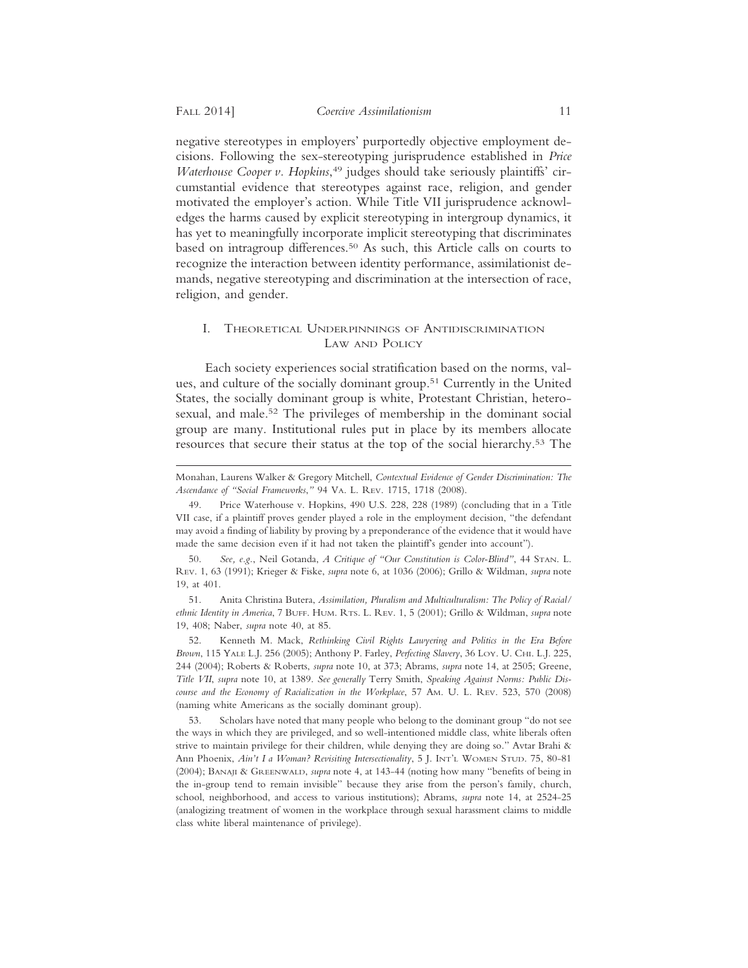negative stereotypes in employers' purportedly objective employment decisions. Following the sex-stereotyping jurisprudence established in *Price Waterhouse Cooper v. Hopkins*, 49 judges should take seriously plaintiffs' circumstantial evidence that stereotypes against race, religion, and gender motivated the employer's action. While Title VII jurisprudence acknowledges the harms caused by explicit stereotyping in intergroup dynamics, it has yet to meaningfully incorporate implicit stereotyping that discriminates based on intragroup differences.50 As such, this Article calls on courts to recognize the interaction between identity performance, assimilationist demands, negative stereotyping and discrimination at the intersection of race, religion, and gender.

# I. THEORETICAL UNDERPINNINGS OF ANTIDISCRIMINATION LAW AND POLICY

Each society experiences social stratification based on the norms, values, and culture of the socially dominant group.51 Currently in the United States, the socially dominant group is white, Protestant Christian, heterosexual, and male.52 The privileges of membership in the dominant social group are many. Institutional rules put in place by its members allocate resources that secure their status at the top of the social hierarchy.53 The

51. Anita Christina Butera, *Assimilation, Pluralism and Multiculturalism: The Policy of Racial/ ethnic Identity in America*, 7 BUFF. HUM. RTS. L. REV. 1, 5 (2001); Grillo & Wildman, *supra* note 19, 408; Naber, *supra* note 40, at 85.

52. Kenneth M. Mack, *Rethinking Civil Rights Lawyering and Politics in the Era Before Brown*, 115 YALE L.J. 256 (2005); Anthony P. Farley, *Perfecting Slavery*, 36 LOY. U. CHI. L.J. 225, 244 (2004); Roberts & Roberts, *supra* note 10, at 373; Abrams, *supra* note 14, at 2505; Greene, *Title VII*, *supra* note 10, at 1389. *See generally* Terry Smith, *Speaking Against Norms: Public Discourse and the Economy of Racialization in the Workplace*, 57 AM. U. L. REV. 523, 570 (2008) (naming white Americans as the socially dominant group).

53. Scholars have noted that many people who belong to the dominant group "do not see the ways in which they are privileged, and so well-intentioned middle class, white liberals often strive to maintain privilege for their children, while denying they are doing so." Avtar Brahi & Ann Phoenix, *Ain't I a Woman? Revisiting Intersectionality*, 5 J. INT'L WOMEN STUD. 75, 80-81 (2004); BANAJI & GREENWALD, *supra* note 4, at 143-44 (noting how many "benefits of being in the in-group tend to remain invisible" because they arise from the person's family, church, school, neighborhood, and access to various institutions); Abrams, *supra* note 14, at 2524-25 (analogizing treatment of women in the workplace through sexual harassment claims to middle class white liberal maintenance of privilege).

Monahan, Laurens Walker & Gregory Mitchell, *Contextual Evidence of Gender Discrimination: The Ascendance of "Social Frameworks*,*"* 94 VA. L. REV. 1715, 1718 (2008).

<sup>49.</sup> Price Waterhouse v. Hopkins, 490 U.S. 228, 228 (1989) (concluding that in a Title VII case, if a plaintiff proves gender played a role in the employment decision, "the defendant may avoid a finding of liability by proving by a preponderance of the evidence that it would have made the same decision even if it had not taken the plaintiff's gender into account").

<sup>50.</sup> *See, e.g.*, Neil Gotanda, *A Critique of "Our Constitution is Color-Blind"*, 44 STAN. L. REV. 1, 63 (1991); Krieger & Fiske, *supra* note 6, at 1036 (2006); Grillo & Wildman, *supra* note 19, at 401.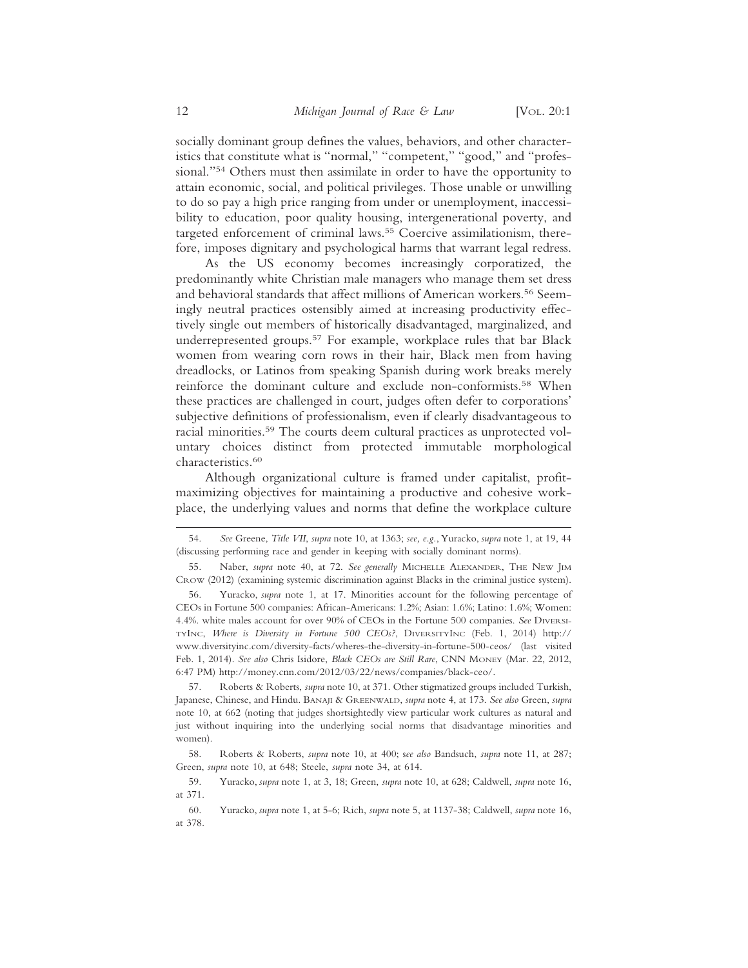socially dominant group defines the values, behaviors, and other characteristics that constitute what is "normal," "competent," "good," and "professional."54 Others must then assimilate in order to have the opportunity to attain economic, social, and political privileges. Those unable or unwilling to do so pay a high price ranging from under or unemployment, inaccessibility to education, poor quality housing, intergenerational poverty, and targeted enforcement of criminal laws.<sup>55</sup> Coercive assimilationism, therefore, imposes dignitary and psychological harms that warrant legal redress.

As the US economy becomes increasingly corporatized, the predominantly white Christian male managers who manage them set dress and behavioral standards that affect millions of American workers.<sup>56</sup> Seemingly neutral practices ostensibly aimed at increasing productivity effectively single out members of historically disadvantaged, marginalized, and underrepresented groups.57 For example, workplace rules that bar Black women from wearing corn rows in their hair, Black men from having dreadlocks, or Latinos from speaking Spanish during work breaks merely reinforce the dominant culture and exclude non-conformists.58 When these practices are challenged in court, judges often defer to corporations' subjective definitions of professionalism, even if clearly disadvantageous to racial minorities.59 The courts deem cultural practices as unprotected voluntary choices distinct from protected immutable morphological characteristics.60

Although organizational culture is framed under capitalist, profitmaximizing objectives for maintaining a productive and cohesive workplace, the underlying values and norms that define the workplace culture

<sup>54.</sup> *See* Greene, *Title VII*, *supra* note 10, at 1363; *see, e.g.*, Yuracko, *supra* note 1, at 19, 44 (discussing performing race and gender in keeping with socially dominant norms).

<sup>55.</sup> Naber, *supra* note 40, at 72. *See generally* MICHELLE ALEXANDER, THE NEW JIM CROW (2012) (examining systemic discrimination against Blacks in the criminal justice system).

<sup>56.</sup> Yuracko, *supra* note 1, at 17. Minorities account for the following percentage of CEOs in Fortune 500 companies: African-Americans: 1.2%; Asian: 1.6%; Latino: 1.6%; Women: 4.4%. white males account for over 90% of CEOs in the Fortune 500 companies. *See* DIVERSI-TYINC, *Where is Diversity in Fortune 500 CEOs?*, DIVERSITYINC (Feb. 1, 2014) http:// www.diversityinc.com/diversity-facts/wheres-the-diversity-in-fortune-500-ceos/ (last visited Feb. 1, 2014). *See also* Chris Isidore, *Black CEOs are Still Rare*, CNN MONEY (Mar. 22, 2012, 6:47 PM) http://money.cnn.com/2012/03/22/news/companies/black-ceo/.

<sup>57.</sup> Roberts & Roberts, *supra* note 10, at 371. Other stigmatized groups included Turkish, Japanese, Chinese, and Hindu. BANAJI & GREENWALD, *supra* note 4, at 173. *See also* Green, *supra* note 10, at 662 (noting that judges shortsightedly view particular work cultures as natural and just without inquiring into the underlying social norms that disadvantage minorities and women).

<sup>58.</sup> Roberts & Roberts, *supra* note 10, at 400; s*ee also* Bandsuch, *supra* note 11, at 287; Green, *supra* note 10, at 648; Steele, *supra* note 34, at 614.

<sup>59.</sup> Yuracko, *supra* note 1, at 3, 18; Green, *supra* note 10, at 628; Caldwell, *supra* note 16, at 371.

<sup>60.</sup> Yuracko, *supra* note 1, at 5-6; Rich, *supra* note 5, at 1137-38; Caldwell, *supra* note 16, at 378.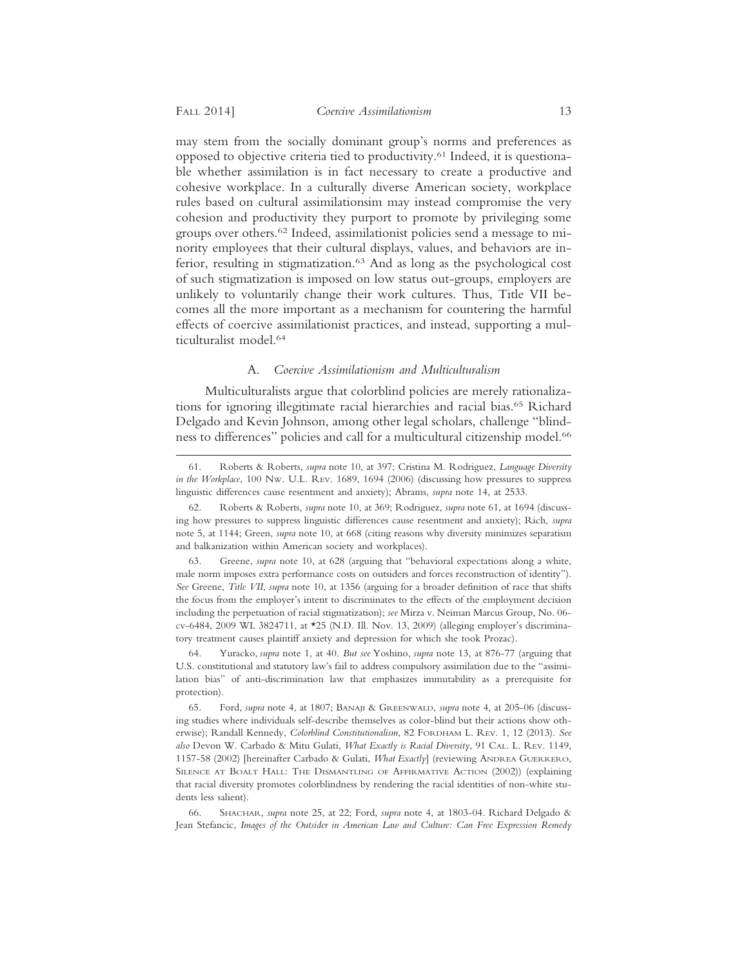may stem from the socially dominant group's norms and preferences as opposed to objective criteria tied to productivity.61 Indeed, it is questionable whether assimilation is in fact necessary to create a productive and cohesive workplace. In a culturally diverse American society, workplace rules based on cultural assimilationsim may instead compromise the very cohesion and productivity they purport to promote by privileging some groups over others.62 Indeed, assimilationist policies send a message to minority employees that their cultural displays, values, and behaviors are inferior, resulting in stigmatization.63 And as long as the psychological cost of such stigmatization is imposed on low status out-groups, employers are unlikely to voluntarily change their work cultures. Thus, Title VII becomes all the more important as a mechanism for countering the harmful effects of coercive assimilationist practices, and instead, supporting a multiculturalist model.64

#### A. *Coercive Assimilationism and Multiculturalism*

Multiculturalists argue that colorblind policies are merely rationalizations for ignoring illegitimate racial hierarchies and racial bias.65 Richard Delgado and Kevin Johnson, among other legal scholars, challenge "blindness to differences" policies and call for a multicultural citizenship model.66

<sup>61.</sup> Roberts & Roberts, *supra* note 10, at 397; Cristina M. Rodriguez, *Language Diversity in the Workplace*, 100 NW. U.L. REV. 1689, 1694 (2006) (discussing how pressures to suppress linguistic differences cause resentment and anxiety); Abrams, *supra* note 14, at 2533.

<sup>62.</sup> Roberts & Roberts, *supra* note 10, at 369; Rodriguez, *supra* note 61, at 1694 (discussing how pressures to suppress linguistic differences cause resentment and anxiety); Rich, *supra* note 5, at 1144; Green, *supra* note 10, at 668 (citing reasons why diversity minimizes separatism and balkanization within American society and workplaces).

<sup>63.</sup> Greene, *supra* note 10, at 628 (arguing that "behavioral expectations along a white, male norm imposes extra performance costs on outsiders and forces reconstruction of identity"). *See* Greene, *Title VII*, *supra* note 10, at 1356 (arguing for a broader definition of race that shifts the focus from the employer's intent to discriminates to the effects of the employment decision including the perpetuation of racial stigmatization); *see* Mirza v. Neiman Marcus Group, No. 06 cv-6484, 2009 WL 3824711, at \*25 (N.D. Ill. Nov. 13, 2009) (alleging employer's discriminatory treatment causes plaintiff anxiety and depression for which she took Prozac).

<sup>64.</sup> Yuracko, *supra* note 1, at 40. *But see* Yoshino, *supra* note 13, at 876-77 (arguing that U.S. constitutional and statutory law's fail to address compulsory assimilation due to the "assimilation bias" of anti-discrimination law that emphasizes immutability as a prerequisite for protection).

<sup>65.</sup> Ford, *supra* note 4, at 1807; BANAJI & GREENWALD, *supra* note 4, at 205-06 (discussing studies where individuals self-describe themselves as color-blind but their actions show otherwise); Randall Kennedy, *Colorblind Constitutionalism*, 82 FORDHAM L. REV. 1, 12 (2013). *See also* Devon W. Carbado & Mitu Gulati, *What Exactly is Racial Diversity*, 91 CAL. L. REV. 1149, 1157-58 (2002) [hereinafter Carbado & Gulati, *What Exactly*] (reviewing ANDREA GUERRERO, SILENCE AT BOALT HALL: THE DISMANTLING OF AFFIRMATIVE ACTION (2002)) (explaining that racial diversity promotes colorblindness by rendering the racial identities of non-white students less salient).

<sup>66.</sup> SHACHAR, *supra* note 25, at 22; Ford, *supra* note 4, at 1803-04. Richard Delgado & Jean Stefancic, *Images of the Outsider in American Law and Culture: Can Free Expression Remedy*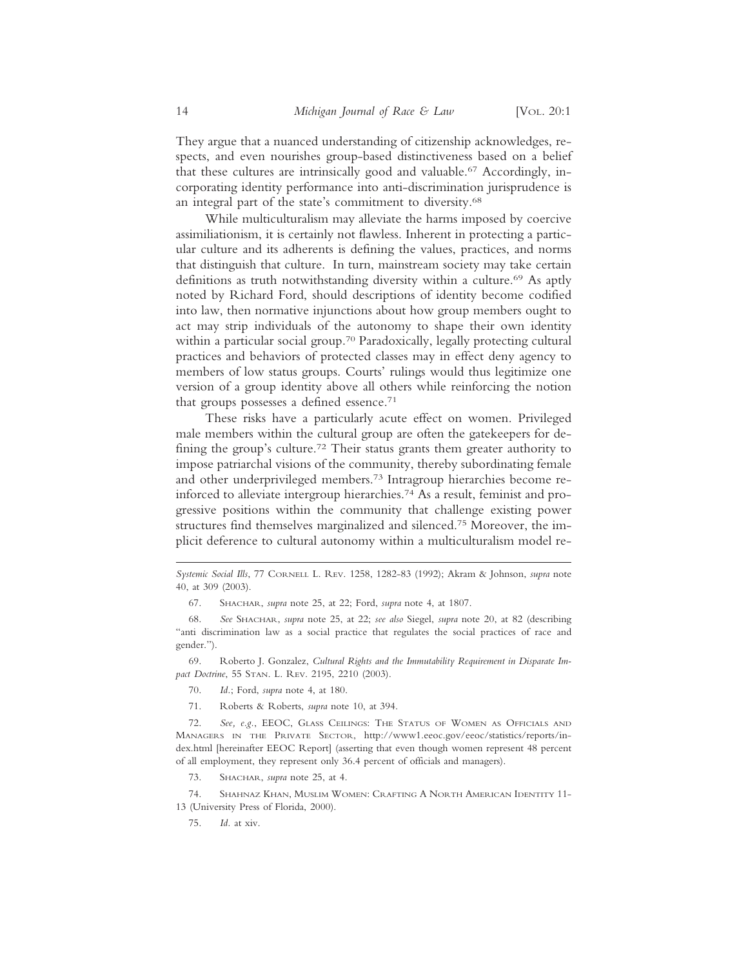They argue that a nuanced understanding of citizenship acknowledges, respects, and even nourishes group-based distinctiveness based on a belief that these cultures are intrinsically good and valuable.67 Accordingly, incorporating identity performance into anti-discrimination jurisprudence is an integral part of the state's commitment to diversity.68

While multiculturalism may alleviate the harms imposed by coercive assimiliationism, it is certainly not flawless. Inherent in protecting a particular culture and its adherents is defining the values, practices, and norms that distinguish that culture. In turn, mainstream society may take certain definitions as truth notwithstanding diversity within a culture.69 As aptly noted by Richard Ford, should descriptions of identity become codified into law, then normative injunctions about how group members ought to act may strip individuals of the autonomy to shape their own identity within a particular social group.70 Paradoxically, legally protecting cultural practices and behaviors of protected classes may in effect deny agency to members of low status groups. Courts' rulings would thus legitimize one version of a group identity above all others while reinforcing the notion that groups possesses a defined essence.71

These risks have a particularly acute effect on women. Privileged male members within the cultural group are often the gatekeepers for defining the group's culture.<sup>72</sup> Their status grants them greater authority to impose patriarchal visions of the community, thereby subordinating female and other underprivileged members.73 Intragroup hierarchies become reinforced to alleviate intergroup hierarchies.74 As a result, feminist and progressive positions within the community that challenge existing power structures find themselves marginalized and silenced.75 Moreover, the implicit deference to cultural autonomy within a multiculturalism model re-

69. Roberto J. Gonzalez, *Cultural Rights and the Immutability Requirement in Disparate Impact Doctrine*, 55 STAN. L. REV. 2195, 2210 (2003).

- 70. *Id.*; Ford, *supra* note 4, at 180.
- 71. Roberts & Roberts, *supra* note 10, at 394.

72. *See, e.g.*, EEOC, GLASS CEILINGS: THE STATUS OF WOMEN AS OFFICIALS AND MANAGERS IN THE PRIVATE SECTOR, http://www1.eeoc.gov/eeoc/statistics/reports/index.html [hereinafter EEOC Report] (asserting that even though women represent 48 percent of all employment, they represent only 36.4 percent of officials and managers).

73. SHACHAR, *supra* note 25, at 4.

74. SHAHNAZ KHAN, MUSLIM WOMEN: CRAFTING A NORTH AMERICAN IDENTITY 11- 13 (University Press of Florida, 2000).

75. *Id.* at xiv.

*Systemic Social Ills*, 77 CORNELL L. REV. 1258, 1282-83 (1992); Akram & Johnson, *supra* note 40, at 309 (2003).

<sup>67.</sup> SHACHAR, *supra* note 25, at 22; Ford, *supra* note 4, at 1807.

<sup>68.</sup> *See* SHACHAR, *supra* note 25, at 22; *see also* Siegel, *supra* note 20, at 82 (describing "anti discrimination law as a social practice that regulates the social practices of race and gender.").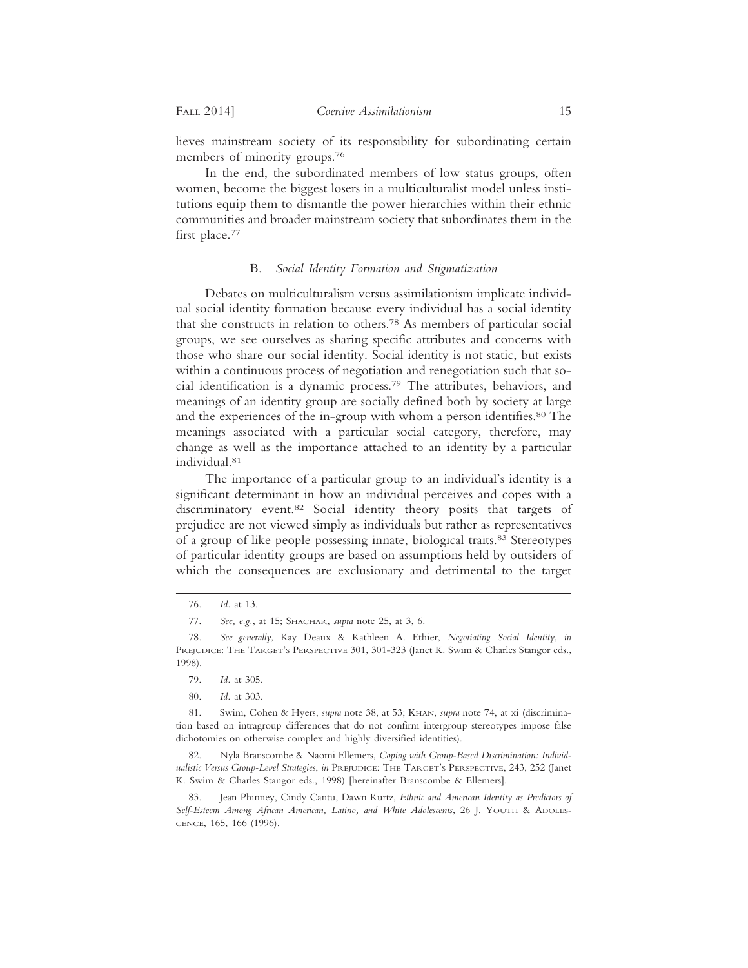lieves mainstream society of its responsibility for subordinating certain members of minority groups.76

In the end, the subordinated members of low status groups, often women, become the biggest losers in a multiculturalist model unless institutions equip them to dismantle the power hierarchies within their ethnic communities and broader mainstream society that subordinates them in the first place.77

#### B. *Social Identity Formation and Stigmatization*

Debates on multiculturalism versus assimilationism implicate individual social identity formation because every individual has a social identity that she constructs in relation to others.78 As members of particular social groups, we see ourselves as sharing specific attributes and concerns with those who share our social identity. Social identity is not static, but exists within a continuous process of negotiation and renegotiation such that social identification is a dynamic process.79 The attributes, behaviors, and meanings of an identity group are socially defined both by society at large and the experiences of the in-group with whom a person identifies.<sup>80</sup> The meanings associated with a particular social category, therefore, may change as well as the importance attached to an identity by a particular individual.81

The importance of a particular group to an individual's identity is a significant determinant in how an individual perceives and copes with a discriminatory event.82 Social identity theory posits that targets of prejudice are not viewed simply as individuals but rather as representatives of a group of like people possessing innate, biological traits.83 Stereotypes of particular identity groups are based on assumptions held by outsiders of which the consequences are exclusionary and detrimental to the target

<sup>76.</sup> *Id.* at 13.

<sup>77.</sup> *See, e.g.*, at 15; SHACHAR, *supra* note 25, at 3, 6.

<sup>78.</sup> *See generally*, Kay Deaux & Kathleen A. Ethier, *Negotiating Social Identity*, *in* PREJUDICE: THE TARGET'S PERSPECTIVE 301, 301-323 (Janet K. Swim & Charles Stangor eds., 1998).

<sup>79.</sup> *Id.* at 305.

<sup>80.</sup> *Id.* at 303.

<sup>81.</sup> Swim, Cohen & Hyers, *supra* note 38, at 53; KHAN, *supra* note 74, at xi (discrimination based on intragroup differences that do not confirm intergroup stereotypes impose false dichotomies on otherwise complex and highly diversified identities).

<sup>82.</sup> Nyla Branscombe & Naomi Ellemers, *Coping with Group-Based Discrimination: Individualistic Versus Group-Level Strategies*, *in* PREJUDICE: THE TARGET'S PERSPECTIVE, 243, 252 (Janet K. Swim & Charles Stangor eds., 1998) [hereinafter Branscombe & Ellemers].

<sup>83.</sup> Jean Phinney, Cindy Cantu, Dawn Kurtz, *Ethnic and American Identity as Predictors of Self-Esteem Among African American, Latino, and White Adolescents*, 26 J. YOUTH & ADOLES-CENCE, 165, 166 (1996).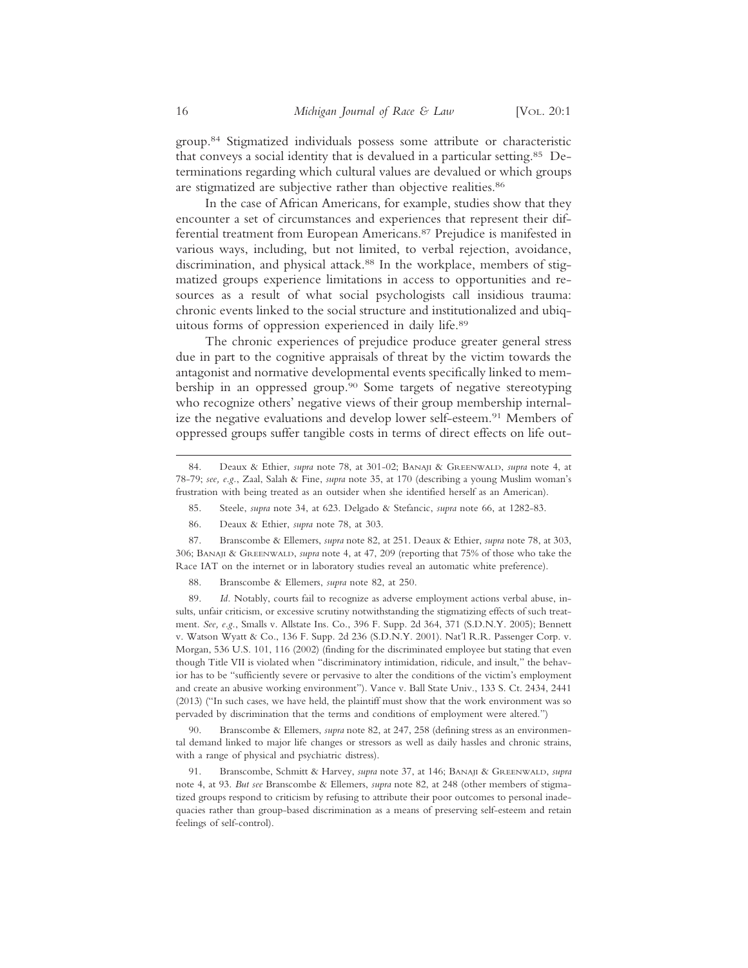group.84 Stigmatized individuals possess some attribute or characteristic that conveys a social identity that is devalued in a particular setting.85 Determinations regarding which cultural values are devalued or which groups are stigmatized are subjective rather than objective realities.<sup>86</sup>

In the case of African Americans, for example, studies show that they encounter a set of circumstances and experiences that represent their differential treatment from European Americans.<sup>87</sup> Prejudice is manifested in various ways, including, but not limited, to verbal rejection, avoidance, discrimination, and physical attack.88 In the workplace, members of stigmatized groups experience limitations in access to opportunities and resources as a result of what social psychologists call insidious trauma: chronic events linked to the social structure and institutionalized and ubiquitous forms of oppression experienced in daily life.89

The chronic experiences of prejudice produce greater general stress due in part to the cognitive appraisals of threat by the victim towards the antagonist and normative developmental events specifically linked to membership in an oppressed group.90 Some targets of negative stereotyping who recognize others' negative views of their group membership internalize the negative evaluations and develop lower self-esteem.91 Members of oppressed groups suffer tangible costs in terms of direct effects on life out-

- 85. Steele, *supra* note 34, at 623. Delgado & Stefancic, *supra* note 66, at 1282-83.
- 86. Deaux & Ethier, *supra* note 78, at 303.

87. Branscombe & Ellemers, *supra* note 82, at 251. Deaux & Ethier, *supra* note 78, at 303, 306; BANAJI & GREENWALD, *supra* note 4, at 47, 209 (reporting that 75% of those who take the Race IAT on the internet or in laboratory studies reveal an automatic white preference).

88. Branscombe & Ellemers, *supra* note 82, at 250.

89. *Id.* Notably, courts fail to recognize as adverse employment actions verbal abuse, insults, unfair criticism, or excessive scrutiny notwithstanding the stigmatizing effects of such treatment. *See, e.g.*, Smalls v. Allstate Ins. Co., 396 F. Supp. 2d 364, 371 (S.D.N.Y. 2005); Bennett v. Watson Wyatt & Co., 136 F. Supp. 2d 236 (S.D.N.Y. 2001). Nat'l R.R. Passenger Corp. v. Morgan, 536 U.S. 101, 116 (2002) (finding for the discriminated employee but stating that even though Title VII is violated when "discriminatory intimidation, ridicule, and insult," the behavior has to be "sufficiently severe or pervasive to alter the conditions of the victim's employment and create an abusive working environment"). Vance v. Ball State Univ., 133 S. Ct. 2434, 2441 (2013) ("In such cases, we have held, the plaintiff must show that the work environment was so pervaded by discrimination that the terms and conditions of employment were altered.")

90. Branscombe & Ellemers, *supra* note 82, at 247, 258 (defining stress as an environmental demand linked to major life changes or stressors as well as daily hassles and chronic strains, with a range of physical and psychiatric distress).

91. Branscombe, Schmitt & Harvey, *supra* note 37, at 146; BANAJI & GREENWALD, *supra* note 4, at 93. *But see* Branscombe & Ellemers, *supra* note 82, at 248 (other members of stigmatized groups respond to criticism by refusing to attribute their poor outcomes to personal inadequacies rather than group-based discrimination as a means of preserving self-esteem and retain feelings of self-control).

<sup>84.</sup> Deaux & Ethier, *supra* note 78, at 301-02; BANAJI & GREENWALD, *supra* note 4, at 78-79; *see, e.g.*, Zaal, Salah & Fine, *supra* note 35, at 170 (describing a young Muslim woman's frustration with being treated as an outsider when she identified herself as an American).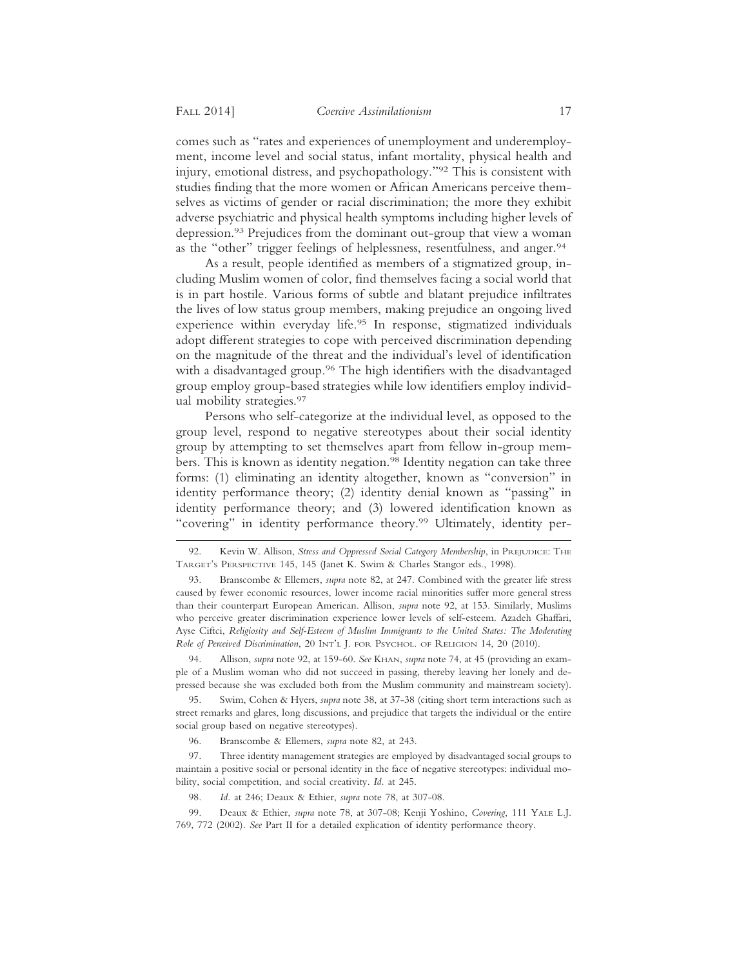comes such as "rates and experiences of unemployment and underemployment, income level and social status, infant mortality, physical health and injury, emotional distress, and psychopathology."92 This is consistent with studies finding that the more women or African Americans perceive themselves as victims of gender or racial discrimination; the more they exhibit adverse psychiatric and physical health symptoms including higher levels of depression.93 Prejudices from the dominant out-group that view a woman as the "other" trigger feelings of helplessness, resentfulness, and anger.<sup>94</sup>

As a result, people identified as members of a stigmatized group, including Muslim women of color, find themselves facing a social world that is in part hostile. Various forms of subtle and blatant prejudice infiltrates the lives of low status group members, making prejudice an ongoing lived experience within everyday life.<sup>95</sup> In response, stigmatized individuals adopt different strategies to cope with perceived discrimination depending on the magnitude of the threat and the individual's level of identification with a disadvantaged group.<sup>96</sup> The high identifiers with the disadvantaged group employ group-based strategies while low identifiers employ individual mobility strategies.97

Persons who self-categorize at the individual level, as opposed to the group level, respond to negative stereotypes about their social identity group by attempting to set themselves apart from fellow in-group members. This is known as identity negation.<sup>98</sup> Identity negation can take three forms: (1) eliminating an identity altogether, known as "conversion" in identity performance theory; (2) identity denial known as "passing" in identity performance theory; and (3) lowered identification known as "covering" in identity performance theory.<sup>99</sup> Ultimately, identity per-

94. Allison, *supra* note 92, at 159-60. *See* KHAN, *supra* note 74, at 45 (providing an example of a Muslim woman who did not succeed in passing, thereby leaving her lonely and depressed because she was excluded both from the Muslim community and mainstream society).

95. Swim, Cohen & Hyers, *supra* note 38, at 37-38 (citing short term interactions such as street remarks and glares, long discussions, and prejudice that targets the individual or the entire social group based on negative stereotypes).

96. Branscombe & Ellemers, *supra* note 82, at 243.

97. Three identity management strategies are employed by disadvantaged social groups to maintain a positive social or personal identity in the face of negative stereotypes: individual mobility, social competition, and social creativity. *Id.* at 245.

98. *Id.* at 246; Deaux & Ethier, *supra* note 78, at 307-08.

99. Deaux & Ethier, *supra* note 78, at 307-08; Kenji Yoshino, *Covering*, 111 YALE L.J. 769, 772 (2002). *See* Part II for a detailed explication of identity performance theory.

<sup>92.</sup> Kevin W. Allison, *Stress and Oppressed Social Category Membership*, in PREJUDICE: THE TARGET'S PERSPECTIVE 145, 145 (Janet K. Swim & Charles Stangor eds., 1998).

<sup>93.</sup> Branscombe & Ellemers, *supra* note 82, at 247. Combined with the greater life stress caused by fewer economic resources, lower income racial minorities suffer more general stress than their counterpart European American. Allison, *supra* note 92, at 153. Similarly, Muslims who perceive greater discrimination experience lower levels of self-esteem. Azadeh Ghaffari, Ayse Ciftci, *Religiosity and Self-Esteem of Muslim Immigrants to the United States: The Moderating Role of Perceived Discrimination*, 20 INT'L J. FOR PSYCHOL. OF RELIGION 14, 20 (2010).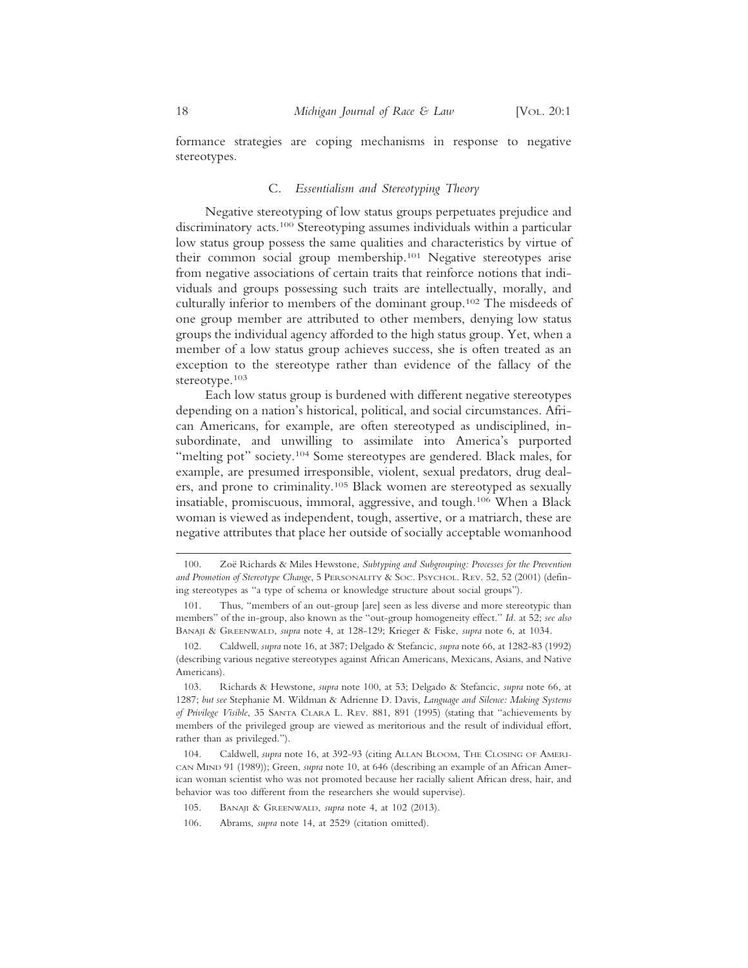formance strategies are coping mechanisms in response to negative stereotypes.

#### C. *Essentialism and Stereotyping Theory*

Negative stereotyping of low status groups perpetuates prejudice and discriminatory acts.100 Stereotyping assumes individuals within a particular low status group possess the same qualities and characteristics by virtue of their common social group membership.101 Negative stereotypes arise from negative associations of certain traits that reinforce notions that individuals and groups possessing such traits are intellectually, morally, and culturally inferior to members of the dominant group.102 The misdeeds of one group member are attributed to other members, denying low status groups the individual agency afforded to the high status group. Yet, when a member of a low status group achieves success, she is often treated as an exception to the stereotype rather than evidence of the fallacy of the stereotype.103

Each low status group is burdened with different negative stereotypes depending on a nation's historical, political, and social circumstances. African Americans, for example, are often stereotyped as undisciplined, insubordinate, and unwilling to assimilate into America's purported "melting pot" society.<sup>104</sup> Some stereotypes are gendered. Black males, for example, are presumed irresponsible, violent, sexual predators, drug dealers, and prone to criminality.105 Black women are stereotyped as sexually insatiable, promiscuous, immoral, aggressive, and tough.106 When a Black woman is viewed as independent, tough, assertive, or a matriarch, these are negative attributes that place her outside of socially acceptable womanhood

<sup>100.</sup> Zoë Richards & Miles Hewstone, *Subtyping and Subgrouping: Processes for the Prevention and Promotion of Stereotype Change*, 5 PERSONALITY & SOC. PSYCHOL. REV. 52, 52 (2001) (defining stereotypes as "a type of schema or knowledge structure about social groups").

<sup>101.</sup> Thus, "members of an out-group [are] seen as less diverse and more stereotypic than members" of the in-group, also known as the "out-group homogeneity effect." *Id.* at 52; *see also* BANAJI & GREENWALD, *supra* note 4, at 128-129; Krieger & Fiske, *supra* note 6, at 1034.

<sup>102.</sup> Caldwell, *supra* note 16, at 387; Delgado & Stefancic, *supra* note 66, at 1282-83 (1992) (describing various negative stereotypes against African Americans, Mexicans, Asians, and Native Americans).

<sup>103.</sup> Richards & Hewstone, *supra* note 100, at 53; Delgado & Stefancic, *supra* note 66, at 1287; *but see* Stephanie M. Wildman & Adrienne D. Davis, *Language and Silence: Making Systems of Privilege Visible*, 35 SANTA CLARA L. REV. 881, 891 (1995) (stating that "achievements by members of the privileged group are viewed as meritorious and the result of individual effort, rather than as privileged.").

<sup>104.</sup> Caldwell, *supra* note 16, at 392-93 (citing ALLAN BLOOM, THE CLOSING OF AMERI-CAN MIND 91 (1989)); Green, *supra* note 10, at 646 (describing an example of an African American woman scientist who was not promoted because her racially salient African dress, hair, and behavior was too different from the researchers she would supervise).

<sup>105.</sup> BANAJI & GREENWALD, *supra* note 4, at 102 (2013).

<sup>106.</sup> Abrams, *supra* note 14, at 2529 (citation omitted).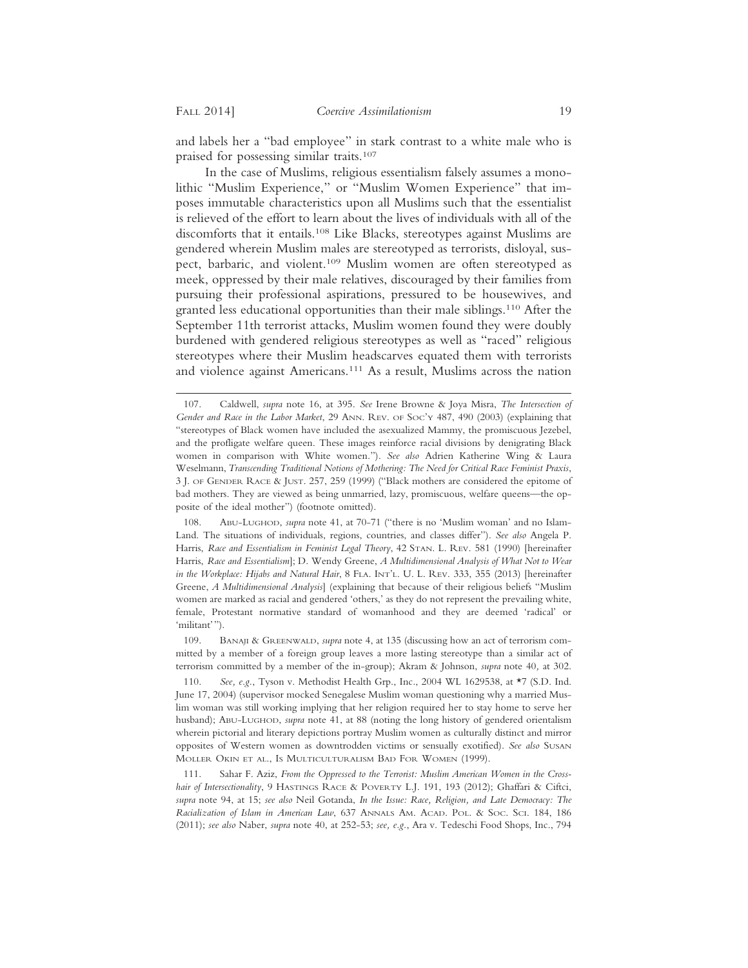and labels her a "bad employee" in stark contrast to a white male who is praised for possessing similar traits.107

In the case of Muslims, religious essentialism falsely assumes a monolithic "Muslim Experience," or "Muslim Women Experience" that imposes immutable characteristics upon all Muslims such that the essentialist is relieved of the effort to learn about the lives of individuals with all of the discomforts that it entails.108 Like Blacks, stereotypes against Muslims are gendered wherein Muslim males are stereotyped as terrorists, disloyal, suspect, barbaric, and violent.109 Muslim women are often stereotyped as meek, oppressed by their male relatives, discouraged by their families from pursuing their professional aspirations, pressured to be housewives, and granted less educational opportunities than their male siblings.110 After the September 11th terrorist attacks, Muslim women found they were doubly burdened with gendered religious stereotypes as well as "raced" religious stereotypes where their Muslim headscarves equated them with terrorists and violence against Americans.111 As a result, Muslims across the nation

109. BANAJI & GREENWALD, *supra* note 4, at 135 (discussing how an act of terrorism committed by a member of a foreign group leaves a more lasting stereotype than a similar act of terrorism committed by a member of the in-group); Akram & Johnson, *supra* note 40*,* at 302.

110. *See, e.g.*, Tyson v. Methodist Health Grp., Inc., 2004 WL 1629538, at \*7 (S.D. Ind. June 17, 2004) (supervisor mocked Senegalese Muslim woman questioning why a married Muslim woman was still working implying that her religion required her to stay home to serve her husband); ABU-LUGHOD, *supra* note 41, at 88 (noting the long history of gendered orientalism wherein pictorial and literary depictions portray Muslim women as culturally distinct and mirror opposites of Western women as downtrodden victims or sensually exotified). *See also* SUSAN MOLLER OKIN ET AL., IS MULTICULTURALISM BAD FOR WOMEN (1999).

111. Sahar F. Aziz, *From the Oppressed to the Terrorist: Muslim American Women in the Crosshair of Intersectionality*, 9 HASTINGS RACE & POVERTY L.J. 191, 193 (2012); Ghaffari & Ciftci, *supra* note 94, at 15; *see also* Neil Gotanda, *In the Issue: Race, Religion, and Late Democracy: The Racialization of Islam in American Law*, 637 ANNALS AM. ACAD. POL. & SOC. SCI. 184, 186 (2011); *see also* Naber, *supra* note 40, at 252-53; *see, e.g.*, Ara v. Tedeschi Food Shops, Inc., 794

<sup>107.</sup> Caldwell, *supra* note 16, at 395. *See* Irene Browne & Joya Misra, *The Intersection of Gender and Race in the Labor Market*, 29 ANN. REV. OF SOC'Y 487, 490 (2003) (explaining that "stereotypes of Black women have included the asexualized Mammy, the promiscuous Jezebel, and the profligate welfare queen. These images reinforce racial divisions by denigrating Black women in comparison with White women."). *See also* Adrien Katherine Wing & Laura Weselmann, *Transcending Traditional Notions of Mothering: The Need for Critical Race Feminist Praxis*, 3 J. OF GENDER RACE & JUST. 257, 259 (1999) ("Black mothers are considered the epitome of bad mothers. They are viewed as being unmarried, lazy, promiscuous, welfare queens—the opposite of the ideal mother") (footnote omitted).

<sup>108.</sup> ABU-LUGHOD, *supra* note 41, at 70-71 ("there is no 'Muslim woman' and no Islam-Land. The situations of individuals, regions, countries, and classes differ"). *See also* Angela P. Harris, *Race and Essentialism in Feminist Legal Theory*, 42 STAN. L. REV. 581 (1990) [hereinafter Harris, *Race and Essentialism*]; D. Wendy Greene, *A Multidimensional Analysis of What Not to Wear in the Workplace: Hijabs and Natural Hair*, 8 FLA. INT'L. U. L. REV. 333, 355 (2013) [hereinafter Greene, *A Multidimensional Analysis*] (explaining that because of their religious beliefs "Muslim women are marked as racial and gendered 'others,' as they do not represent the prevailing white, female, Protestant normative standard of womanhood and they are deemed 'radical' or 'militant'").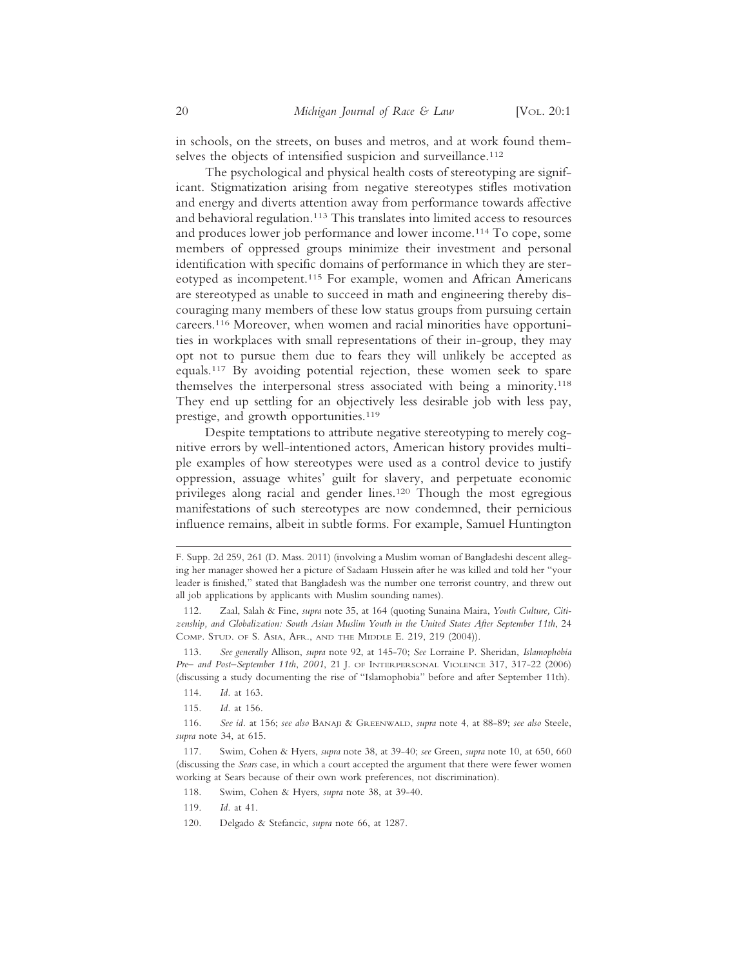in schools, on the streets, on buses and metros, and at work found themselves the objects of intensified suspicion and surveillance.<sup>112</sup>

The psychological and physical health costs of stereotyping are significant. Stigmatization arising from negative stereotypes stifles motivation and energy and diverts attention away from performance towards affective and behavioral regulation.113 This translates into limited access to resources and produces lower job performance and lower income.114 To cope, some members of oppressed groups minimize their investment and personal identification with specific domains of performance in which they are stereotyped as incompetent.<sup>115</sup> For example, women and African Americans are stereotyped as unable to succeed in math and engineering thereby discouraging many members of these low status groups from pursuing certain careers.116 Moreover, when women and racial minorities have opportunities in workplaces with small representations of their in-group, they may opt not to pursue them due to fears they will unlikely be accepted as equals.117 By avoiding potential rejection, these women seek to spare themselves the interpersonal stress associated with being a minority.118 They end up settling for an objectively less desirable job with less pay, prestige, and growth opportunities.<sup>119</sup>

Despite temptations to attribute negative stereotyping to merely cognitive errors by well-intentioned actors, American history provides multiple examples of how stereotypes were used as a control device to justify oppression, assuage whites' guilt for slavery, and perpetuate economic privileges along racial and gender lines.120 Though the most egregious manifestations of such stereotypes are now condemned, their pernicious influence remains, albeit in subtle forms. For example, Samuel Huntington

113. *See generally* Allison, *supra* note 92, at 145-70; *See* Lorraine P. Sheridan, *Islamophobia Pre– and Post–September 11th*, *2001*, 21 J. OF INTERPERSONAL VIOLENCE 317, 317-22 (2006) (discussing a study documenting the rise of "Islamophobia" before and after September 11th).

115. *Id.* at 156.

116. *See id.* at 156; *see also* BANAJI & GREENWALD, *supra* note 4, at 88-89; *see also* Steele, *supra* note 34, at 615.

117. Swim, Cohen & Hyers, *supra* note 38, at 39-40; *see* Green, *supra* note 10, at 650, 660 (discussing the *Sears* case, in which a court accepted the argument that there were fewer women working at Sears because of their own work preferences, not discrimination).

118. Swim, Cohen & Hyers, *supra* note 38, at 39-40.

119. *Id.* at 41.

120. Delgado & Stefancic, *supra* note 66, at 1287.

F. Supp. 2d 259, 261 (D. Mass. 2011) (involving a Muslim woman of Bangladeshi descent alleging her manager showed her a picture of Sadaam Hussein after he was killed and told her "your leader is finished," stated that Bangladesh was the number one terrorist country, and threw out all job applications by applicants with Muslim sounding names).

<sup>112.</sup> Zaal, Salah & Fine, *supra* note 35, at 164 (quoting Sunaina Maira, *Youth Culture, Citizenship, and Globalization: South Asian Muslim Youth in the United States After September 11th*, 24 COMP. STUD. OF S. ASIA, AFR., AND THE MIDDLE E. 219, 219 (2004)).

<sup>114.</sup> *Id.* at 163.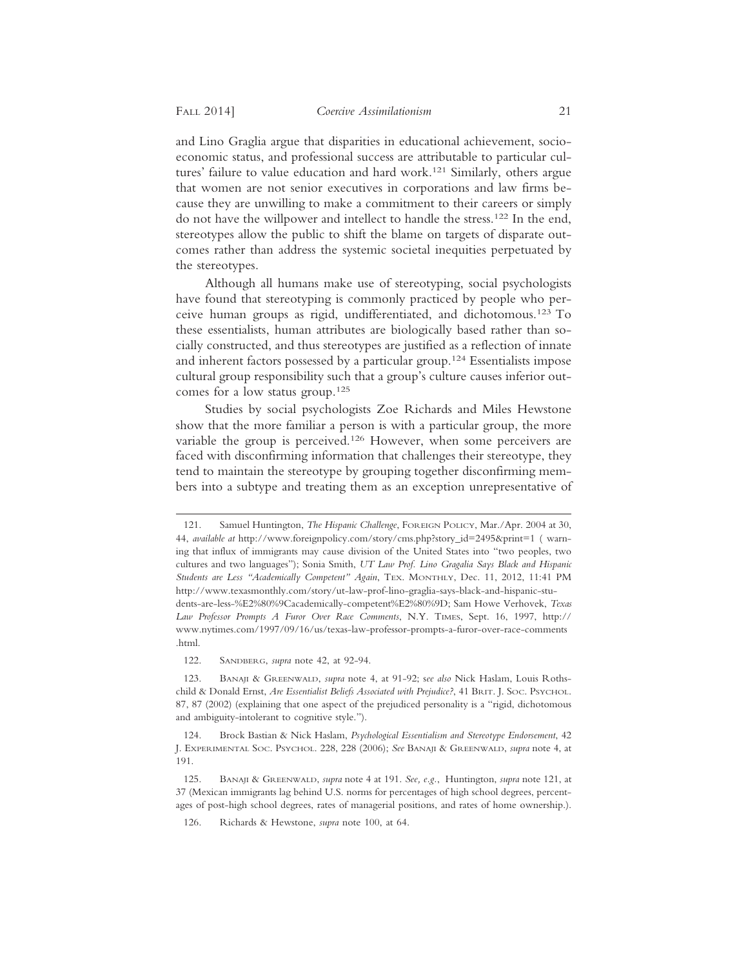and Lino Graglia argue that disparities in educational achievement, socioeconomic status, and professional success are attributable to particular cultures' failure to value education and hard work.121 Similarly, others argue that women are not senior executives in corporations and law firms because they are unwilling to make a commitment to their careers or simply do not have the willpower and intellect to handle the stress.122 In the end, stereotypes allow the public to shift the blame on targets of disparate outcomes rather than address the systemic societal inequities perpetuated by the stereotypes.

Although all humans make use of stereotyping, social psychologists have found that stereotyping is commonly practiced by people who perceive human groups as rigid, undifferentiated, and dichotomous.123 To these essentialists, human attributes are biologically based rather than socially constructed, and thus stereotypes are justified as a reflection of innate and inherent factors possessed by a particular group.124 Essentialists impose cultural group responsibility such that a group's culture causes inferior outcomes for a low status group.125

Studies by social psychologists Zoe Richards and Miles Hewstone show that the more familiar a person is with a particular group, the more variable the group is perceived.<sup>126</sup> However, when some perceivers are faced with disconfirming information that challenges their stereotype, they tend to maintain the stereotype by grouping together disconfirming members into a subtype and treating them as an exception unrepresentative of

<sup>121.</sup> Samuel Huntington, *The Hispanic Challenge*, FOREIGN POLICY, Mar./Apr. 2004 at 30, 44, *available at* http://www.foreignpolicy.com/story/cms.php?story\_id=2495&print=1 ( warning that influx of immigrants may cause division of the United States into "two peoples, two cultures and two languages"); Sonia Smith, *UT Law Prof. Lino Gragalia Says Black and Hispanic Students are Less "Academically Competent" Again*, TEX. MONTHLY, Dec. 11, 2012, 11:41 PM http://www.texasmonthly.com/story/ut-law-prof-lino-graglia-says-black-and-hispanic-stu-

dents-are-less-%E2%80%9Cacademically-competent%E2%80%9D; Sam Howe Verhovek, *Texas Law Professor Prompts A Furor Over Race Comments*, N.Y. TIMES, Sept. 16, 1997, http:// www.nytimes.com/1997/09/16/us/texas-law-professor-prompts-a-furor-over-race-comments .html.

<sup>122.</sup> SANDBERG, *supra* note 42, at 92-94.

<sup>123.</sup> BANAJI & GREENWALD, *supra* note 4, at 91-92; s*ee also* Nick Haslam, Louis Rothschild & Donald Ernst, *Are Essentialist Beliefs Associated with Prejudice?*, 41 BRIT. J. SOC. PSYCHOL. 87, 87 (2002) (explaining that one aspect of the prejudiced personality is a "rigid, dichotomous and ambiguity-intolerant to cognitive style.").

<sup>124.</sup> Brock Bastian & Nick Haslam, *Psychological Essentialism and Stereotype Endorsement*, 42 J. EXPERIMENTAL SOC. PSYCHOL. 228, 228 (2006); *See* BANAJI & GREENWALD, *supra* note 4, at 191.

<sup>125.</sup> BANAJI & GREENWALD, *supra* note 4 at 191. *See, e.g.*, Huntington, *supra* note 121, at 37 (Mexican immigrants lag behind U.S. norms for percentages of high school degrees, percentages of post-high school degrees, rates of managerial positions, and rates of home ownership.).

<sup>126.</sup> Richards & Hewstone, *supra* note 100, at 64.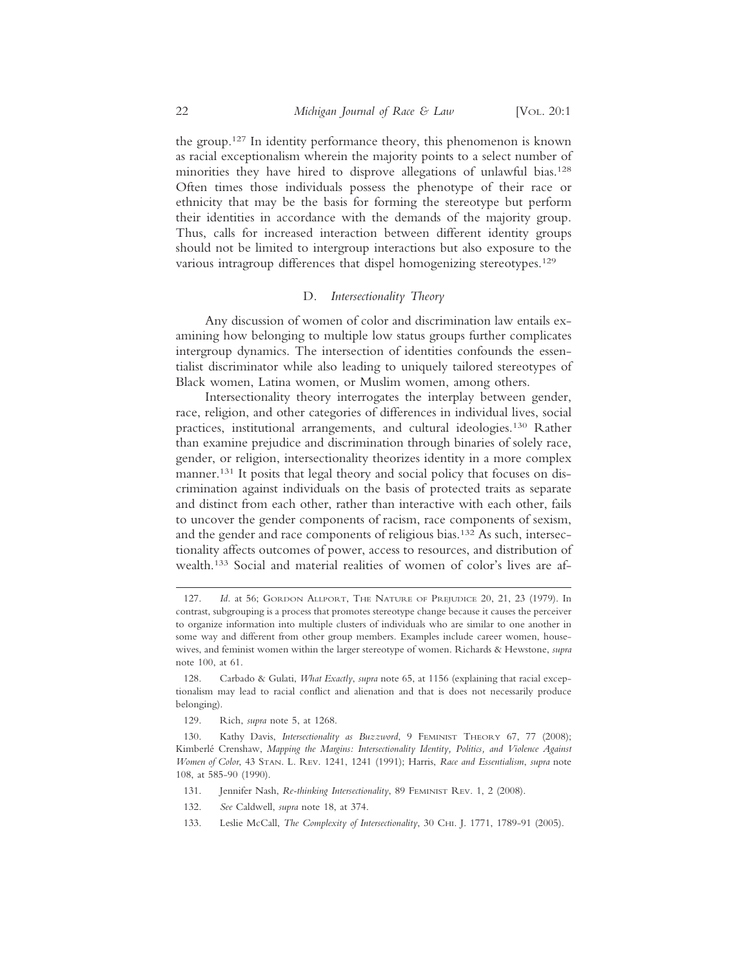the group.127 In identity performance theory, this phenomenon is known as racial exceptionalism wherein the majority points to a select number of minorities they have hired to disprove allegations of unlawful bias.<sup>128</sup> Often times those individuals possess the phenotype of their race or ethnicity that may be the basis for forming the stereotype but perform their identities in accordance with the demands of the majority group. Thus, calls for increased interaction between different identity groups should not be limited to intergroup interactions but also exposure to the various intragroup differences that dispel homogenizing stereotypes.<sup>129</sup>

#### D. *Intersectionality Theory*

Any discussion of women of color and discrimination law entails examining how belonging to multiple low status groups further complicates intergroup dynamics. The intersection of identities confounds the essentialist discriminator while also leading to uniquely tailored stereotypes of Black women, Latina women, or Muslim women, among others.

Intersectionality theory interrogates the interplay between gender, race, religion, and other categories of differences in individual lives, social practices, institutional arrangements, and cultural ideologies.130 Rather than examine prejudice and discrimination through binaries of solely race, gender, or religion, intersectionality theorizes identity in a more complex manner.131 It posits that legal theory and social policy that focuses on discrimination against individuals on the basis of protected traits as separate and distinct from each other, rather than interactive with each other, fails to uncover the gender components of racism, race components of sexism, and the gender and race components of religious bias.132 As such, intersectionality affects outcomes of power, access to resources, and distribution of wealth.133 Social and material realities of women of color's lives are af-

- 131. Jennifer Nash, *Re-thinking Intersectionality*, 89 FEMINIST REV. 1, 2 (2008).
- 132. *See* Caldwell, *supra* note 18, at 374.
- 133. Leslie McCall, *The Complexity of Intersectionality*, 30 CHI. J. 1771, 1789-91 (2005).

<sup>127.</sup> *Id.* at 56; GORDON ALLPORT, THE NATURE OF PREJUDICE 20, 21, 23 (1979). In contrast, subgrouping is a process that promotes stereotype change because it causes the perceiver to organize information into multiple clusters of individuals who are similar to one another in some way and different from other group members. Examples include career women, housewives, and feminist women within the larger stereotype of women. Richards & Hewstone, *supra* note 100, at 61.

<sup>128.</sup> Carbado & Gulati, *What Exactly*, *supra* note 65, at 1156 (explaining that racial exceptionalism may lead to racial conflict and alienation and that is does not necessarily produce belonging).

<sup>129.</sup> Rich, *supra* note 5, at 1268.

<sup>130.</sup> Kathy Davis, *Intersectionality as Buzzword*, 9 FEMINIST THEORY 67, 77 (2008); Kimberl´e Crenshaw, *Mapping the Margins: Intersectionality Identity, Politics, and Violence Against Women of Color*, 43 STAN. L. REV. 1241, 1241 (1991); Harris, *Race and Essentialism*, *supra* note 108, at 585-90 (1990).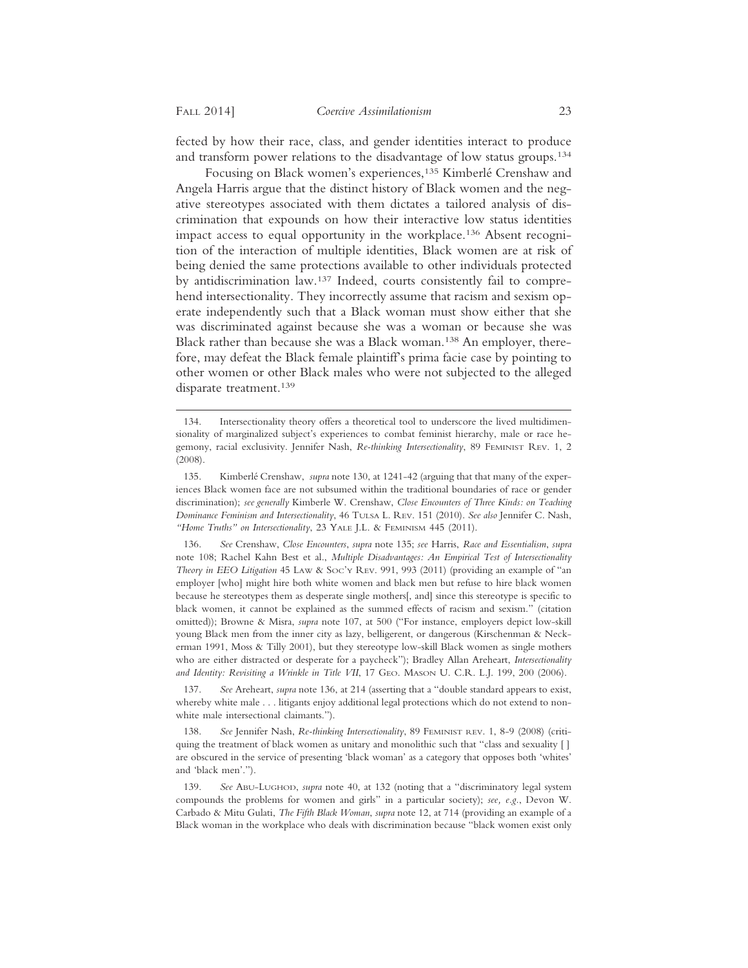fected by how their race, class, and gender identities interact to produce and transform power relations to the disadvantage of low status groups.134

Focusing on Black women's experiences,<sup>135</sup> Kimberlé Crenshaw and Angela Harris argue that the distinct history of Black women and the negative stereotypes associated with them dictates a tailored analysis of discrimination that expounds on how their interactive low status identities impact access to equal opportunity in the workplace.136 Absent recognition of the interaction of multiple identities, Black women are at risk of being denied the same protections available to other individuals protected by antidiscrimination law.137 Indeed, courts consistently fail to comprehend intersectionality. They incorrectly assume that racism and sexism operate independently such that a Black woman must show either that she was discriminated against because she was a woman or because she was Black rather than because she was a Black woman.138 An employer, therefore, may defeat the Black female plaintiff's prima facie case by pointing to other women or other Black males who were not subjected to the alleged disparate treatment.<sup>139</sup>

137. *See* Areheart, *supra* note 136, at 214 (asserting that a "double standard appears to exist, whereby white male . . . litigants enjoy additional legal protections which do not extend to nonwhite male intersectional claimants.").

138. *See* Jennifer Nash, *Re-thinking Intersectionality*, 89 FEMINIST REV. 1, 8-9 (2008) (critiquing the treatment of black women as unitary and monolithic such that "class and sexuality [ ] are obscured in the service of presenting 'black woman' as a category that opposes both 'whites' and 'black men'.").

139. *See* ABU-LUGHOD, *supra* note 40, at 132 (noting that a "discriminatory legal system compounds the problems for women and girls" in a particular society); *see, e.g.*, Devon W. Carbado & Mitu Gulati, *The Fifth Black Woman*, *supra* note 12, at 714 (providing an example of a Black woman in the workplace who deals with discrimination because "black women exist only

<sup>134.</sup> Intersectionality theory offers a theoretical tool to underscore the lived multidimensionality of marginalized subject's experiences to combat feminist hierarchy, male or race hegemony, racial exclusivity. Jennifer Nash, *Re-thinking Intersectionality*, 89 FEMINIST REV. 1, 2 (2008).

<sup>135.</sup> Kimberlé Crenshaw, *supra* note 130, at 1241-42 (arguing that that many of the experiences Black women face are not subsumed within the traditional boundaries of race or gender discrimination); *see generally* Kimberle W. Crenshaw, *Close Encounters of Three Kinds: on Teaching Dominance Feminism and Intersectionality*, 46 TULSA L. REV. 151 (2010). *See also* Jennifer C. Nash, *"Home Truths" on Intersectionality*, 23 YALE J.L. & FEMINISM 445 (2011).

<sup>136.</sup> *See* Crenshaw, *Close Encounters*, *supra* note 135; *see* Harris, *Race and Essentialism*, *supra* note 108; Rachel Kahn Best et al., *Multiple Disadvantages: An Empirical Test of Intersectionality Theory in EEO Litigation* 45 LAW & SOC'Y REV. 991, 993 (2011) (providing an example of "an employer [who] might hire both white women and black men but refuse to hire black women because he stereotypes them as desperate single mothers[, and] since this stereotype is specific to black women, it cannot be explained as the summed effects of racism and sexism." (citation omitted)); Browne & Misra, *supra* note 107, at 500 ("For instance, employers depict low-skill young Black men from the inner city as lazy, belligerent, or dangerous (Kirschenman & Neckerman 1991, Moss & Tilly 2001), but they stereotype low-skill Black women as single mothers who are either distracted or desperate for a paycheck"); Bradley Allan Areheart, *Intersectionality and Identity: Revisiting a Wrinkle in Title VII*, 17 GEO. MASON U. C.R. L.J. 199, 200 (2006).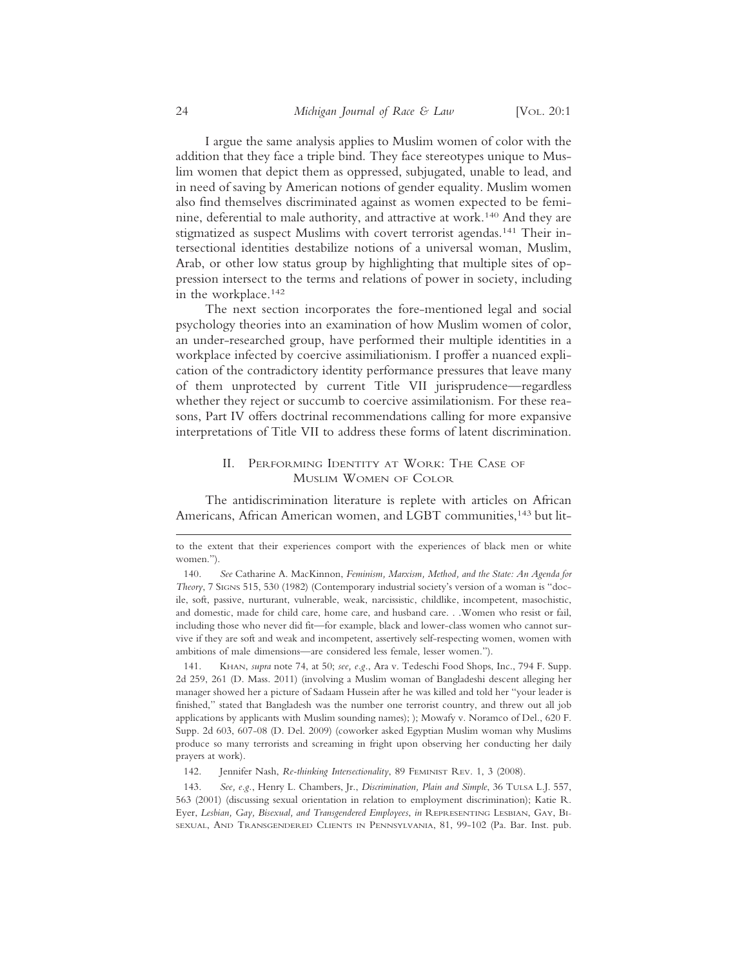I argue the same analysis applies to Muslim women of color with the addition that they face a triple bind. They face stereotypes unique to Muslim women that depict them as oppressed, subjugated, unable to lead, and in need of saving by American notions of gender equality. Muslim women also find themselves discriminated against as women expected to be feminine, deferential to male authority, and attractive at work.140 And they are stigmatized as suspect Muslims with covert terrorist agendas.141 Their intersectional identities destabilize notions of a universal woman, Muslim, Arab, or other low status group by highlighting that multiple sites of oppression intersect to the terms and relations of power in society, including in the workplace.142

The next section incorporates the fore-mentioned legal and social psychology theories into an examination of how Muslim women of color, an under-researched group, have performed their multiple identities in a workplace infected by coercive assimiliationism. I proffer a nuanced explication of the contradictory identity performance pressures that leave many of them unprotected by current Title VII jurisprudence—regardless whether they reject or succumb to coercive assimilationism. For these reasons, Part IV offers doctrinal recommendations calling for more expansive interpretations of Title VII to address these forms of latent discrimination.

# II. PERFORMING IDENTITY AT WORK: THE CASE OF MUSLIM WOMEN OF COLOR

The antidiscrimination literature is replete with articles on African Americans, African American women, and LGBT communities,<sup>143</sup> but lit-

to the extent that their experiences comport with the experiences of black men or white women.").

<sup>140.</sup> *See* Catharine A. MacKinnon, *Feminism, Marxism, Method, and the State: An Agenda for Theory*, 7 SIGNS 515, 530 (1982) (Contemporary industrial society's version of a woman is "docile, soft, passive, nurturant, vulnerable, weak, narcissistic, childlike, incompetent, masochistic, and domestic, made for child care, home care, and husband care. . .Women who resist or fail, including those who never did fit—for example, black and lower-class women who cannot survive if they are soft and weak and incompetent, assertively self-respecting women, women with ambitions of male dimensions—are considered less female, lesser women.").

<sup>141.</sup> KHAN, *supra* note 74, at 50; *see, e.g.*, Ara v. Tedeschi Food Shops, Inc., 794 F. Supp. 2d 259, 261 (D. Mass. 2011) (involving a Muslim woman of Bangladeshi descent alleging her manager showed her a picture of Sadaam Hussein after he was killed and told her "your leader is finished," stated that Bangladesh was the number one terrorist country, and threw out all job applications by applicants with Muslim sounding names); ); Mowafy v. Noramco of Del., 620 F. Supp. 2d 603, 607-08 (D. Del. 2009) (coworker asked Egyptian Muslim woman why Muslims produce so many terrorists and screaming in fright upon observing her conducting her daily prayers at work).

<sup>142.</sup> Jennifer Nash, *Re-thinking Intersectionality*, 89 FEMINIST REV. 1, 3 (2008).

<sup>143.</sup> *See, e.g.*, Henry L. Chambers, Jr., *Discrimination, Plain and Simple*, 36 TULSA L.J. 557, 563 (2001) (discussing sexual orientation in relation to employment discrimination); Katie R. Eyer, *Lesbian, Gay, Bisexual, and Transgendered Employees*, *in* REPRESENTING LESBIAN, GAY, BI-SEXUAL, AND TRANSGENDERED CLIENTS IN PENNSYLVANIA, 81, 99-102 (Pa. Bar. Inst. pub.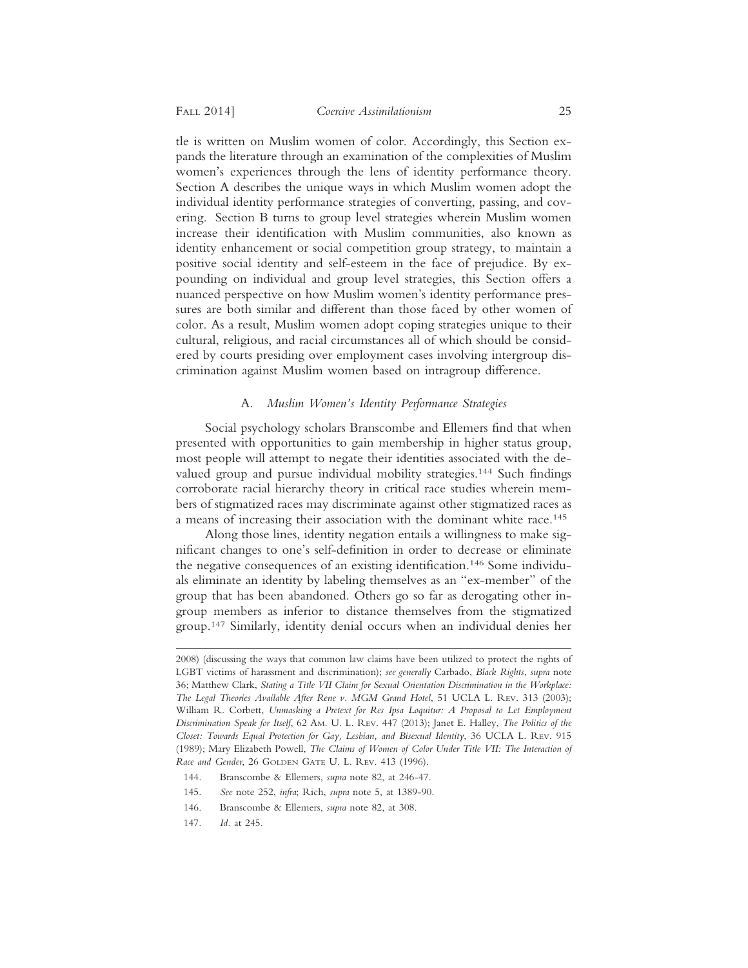tle is written on Muslim women of color. Accordingly, this Section expands the literature through an examination of the complexities of Muslim women's experiences through the lens of identity performance theory. Section A describes the unique ways in which Muslim women adopt the individual identity performance strategies of converting, passing, and covering. Section B turns to group level strategies wherein Muslim women increase their identification with Muslim communities, also known as identity enhancement or social competition group strategy, to maintain a positive social identity and self-esteem in the face of prejudice. By expounding on individual and group level strategies, this Section offers a nuanced perspective on how Muslim women's identity performance pressures are both similar and different than those faced by other women of color. As a result, Muslim women adopt coping strategies unique to their cultural, religious, and racial circumstances all of which should be considered by courts presiding over employment cases involving intergroup discrimination against Muslim women based on intragroup difference.

#### A. *Muslim Women's Identity Performance Strategies*

Social psychology scholars Branscombe and Ellemers find that when presented with opportunities to gain membership in higher status group, most people will attempt to negate their identities associated with the devalued group and pursue individual mobility strategies.144 Such findings corroborate racial hierarchy theory in critical race studies wherein members of stigmatized races may discriminate against other stigmatized races as a means of increasing their association with the dominant white race.145

Along those lines, identity negation entails a willingness to make significant changes to one's self-definition in order to decrease or eliminate the negative consequences of an existing identification.146 Some individuals eliminate an identity by labeling themselves as an "ex-member" of the group that has been abandoned. Others go so far as derogating other ingroup members as inferior to distance themselves from the stigmatized group.147 Similarly, identity denial occurs when an individual denies her

- 145. *See* note 252, *infra*; Rich, *supra* note 5, at 1389-90.
- 146. Branscombe & Ellemers, *supra* note 82, at 308.

<sup>2008) (</sup>discussing the ways that common law claims have been utilized to protect the rights of LGBT victims of harassment and discrimination); *see generally* Carbado, *Black Rights*, *supra* note 36; Matthew Clark, *Stating a Title VII Claim for Sexual Orientation Discrimination in the Workplace: The Legal Theories Available After Rene v. MGM Grand Hotel*, 51 UCLA L. REV. 313 (2003); William R. Corbett, *Unmasking a Pretext for Res Ipsa Loquitur: A Proposal to Let Employment Discrimination Speak for Itself*, 62 AM. U. L. REV. 447 (2013); Janet E. Halley, *The Politics of the Closet: Towards Equal Protection for Gay, Lesbian, and Bisexual Identity*, 36 UCLA L. REV. 915 (1989); Mary Elizabeth Powell, *The Claims of Women of Color Under Title VII: The Interaction of Race and Gender*, 26 GOLDEN GATE U. L. REV. 413 (1996).

<sup>144.</sup> Branscombe & Ellemers, *supra* note 82, at 246-47.

<sup>147.</sup> *Id.* at 245.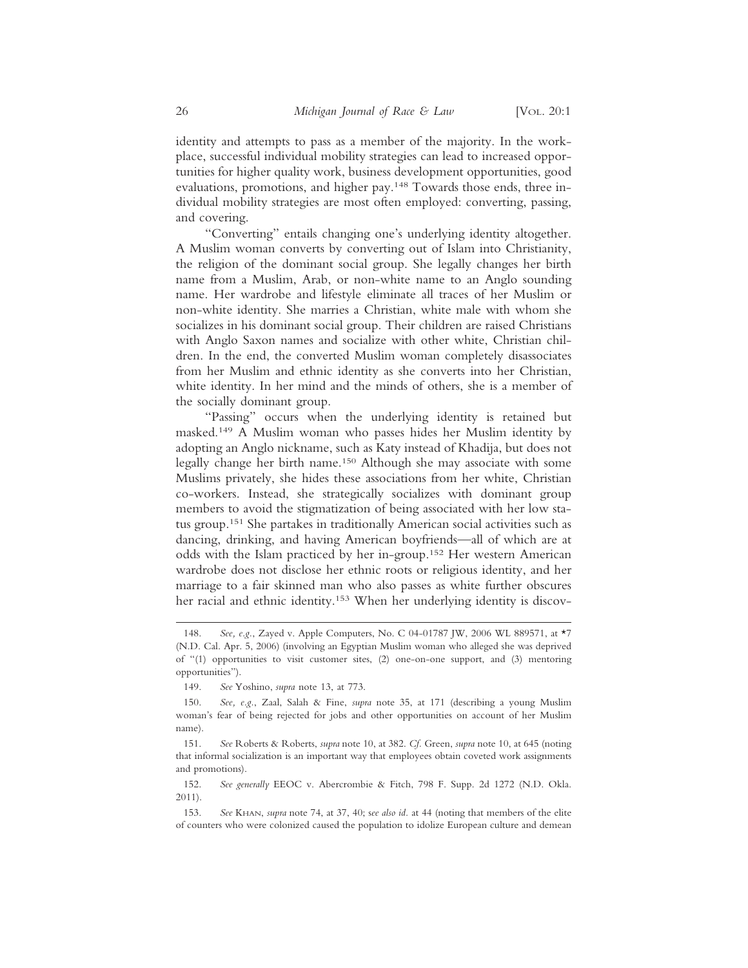identity and attempts to pass as a member of the majority. In the workplace, successful individual mobility strategies can lead to increased opportunities for higher quality work, business development opportunities, good evaluations, promotions, and higher pay.148 Towards those ends, three individual mobility strategies are most often employed: converting, passing, and covering.

"Converting" entails changing one's underlying identity altogether. A Muslim woman converts by converting out of Islam into Christianity, the religion of the dominant social group. She legally changes her birth name from a Muslim, Arab, or non-white name to an Anglo sounding name. Her wardrobe and lifestyle eliminate all traces of her Muslim or non-white identity. She marries a Christian, white male with whom she socializes in his dominant social group. Their children are raised Christians with Anglo Saxon names and socialize with other white, Christian children. In the end, the converted Muslim woman completely disassociates from her Muslim and ethnic identity as she converts into her Christian, white identity. In her mind and the minds of others, she is a member of the socially dominant group.

"Passing" occurs when the underlying identity is retained but masked.149 A Muslim woman who passes hides her Muslim identity by adopting an Anglo nickname, such as Katy instead of Khadija, but does not legally change her birth name.150 Although she may associate with some Muslims privately, she hides these associations from her white, Christian co-workers. Instead, she strategically socializes with dominant group members to avoid the stigmatization of being associated with her low status group.151 She partakes in traditionally American social activities such as dancing, drinking, and having American boyfriends—all of which are at odds with the Islam practiced by her in-group.152 Her western American wardrobe does not disclose her ethnic roots or religious identity, and her marriage to a fair skinned man who also passes as white further obscures her racial and ethnic identity.153 When her underlying identity is discov-

<sup>148.</sup> *See, e.g.*, Zayed v. Apple Computers, No. C 04-01787 JW, 2006 WL 889571, at \*7 (N.D. Cal. Apr. 5, 2006) (involving an Egyptian Muslim woman who alleged she was deprived of "(1) opportunities to visit customer sites, (2) one-on-one support, and (3) mentoring opportunities").

<sup>149.</sup> *See* Yoshino, *supra* note 13, at 773.

<sup>150.</sup> *See, e.g.*, Zaal, Salah & Fine, *supra* note 35, at 171 (describing a young Muslim woman's fear of being rejected for jobs and other opportunities on account of her Muslim name).

<sup>151.</sup> *See* Roberts & Roberts, *supra* note 10, at 382. *Cf.* Green, *supra* note 10, at 645 (noting that informal socialization is an important way that employees obtain coveted work assignments and promotions).

<sup>152.</sup> *See generally* EEOC v. Abercrombie & Fitch, 798 F. Supp. 2d 1272 (N.D. Okla. 2011).

<sup>153.</sup> *See* KHAN, *supra* note 74, at 37, 40; s*ee also id.* at 44 (noting that members of the elite of counters who were colonized caused the population to idolize European culture and demean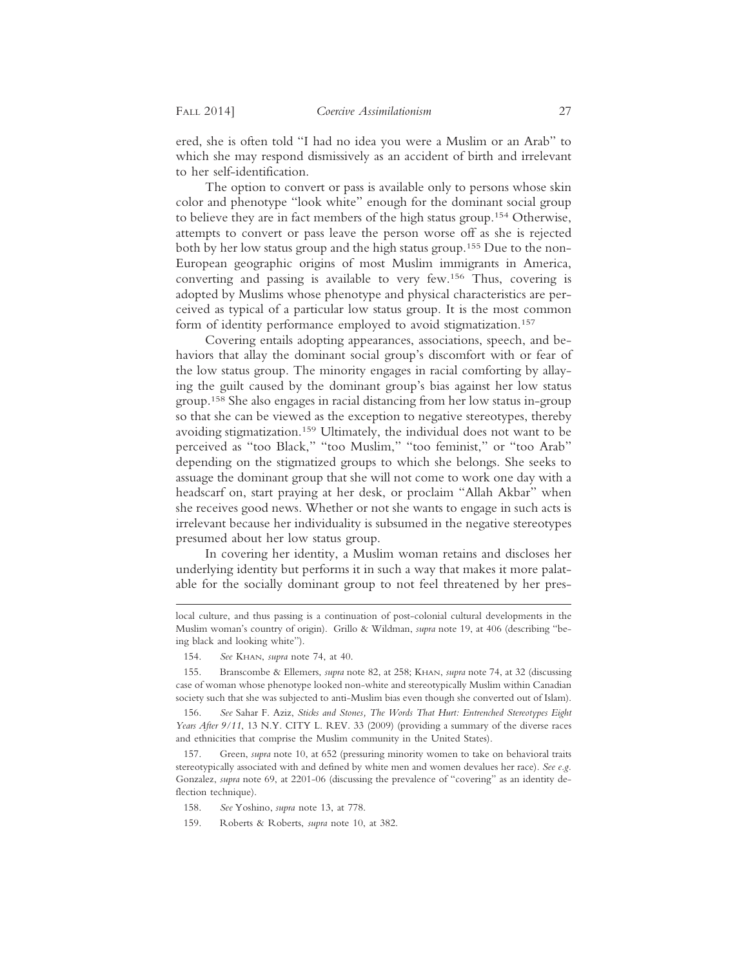ered, she is often told "I had no idea you were a Muslim or an Arab" to which she may respond dismissively as an accident of birth and irrelevant to her self-identification.

The option to convert or pass is available only to persons whose skin color and phenotype "look white" enough for the dominant social group to believe they are in fact members of the high status group.154 Otherwise, attempts to convert or pass leave the person worse off as she is rejected both by her low status group and the high status group.155 Due to the non-European geographic origins of most Muslim immigrants in America, converting and passing is available to very few.156 Thus, covering is adopted by Muslims whose phenotype and physical characteristics are perceived as typical of a particular low status group. It is the most common form of identity performance employed to avoid stigmatization.157

Covering entails adopting appearances, associations, speech, and behaviors that allay the dominant social group's discomfort with or fear of the low status group. The minority engages in racial comforting by allaying the guilt caused by the dominant group's bias against her low status group.158 She also engages in racial distancing from her low status in-group so that she can be viewed as the exception to negative stereotypes, thereby avoiding stigmatization.159 Ultimately, the individual does not want to be perceived as "too Black," "too Muslim," "too feminist," or "too Arab" depending on the stigmatized groups to which she belongs. She seeks to assuage the dominant group that she will not come to work one day with a headscarf on, start praying at her desk, or proclaim "Allah Akbar" when she receives good news. Whether or not she wants to engage in such acts is irrelevant because her individuality is subsumed in the negative stereotypes presumed about her low status group.

In covering her identity, a Muslim woman retains and discloses her underlying identity but performs it in such a way that makes it more palatable for the socially dominant group to not feel threatened by her pres-

local culture, and thus passing is a continuation of post-colonial cultural developments in the Muslim woman's country of origin). Grillo & Wildman, *supra* note 19, at 406 (describing "being black and looking white").

<sup>154.</sup> *See* KHAN, *supra* note 74, at 40.

<sup>155.</sup> Branscombe & Ellemers, *supra* note 82, at 258; KHAN, *supra* note 74, at 32 (discussing case of woman whose phenotype looked non-white and stereotypically Muslim within Canadian society such that she was subjected to anti-Muslim bias even though she converted out of Islam).

<sup>156.</sup> *See* Sahar F. Aziz, *Sticks and Stones, The Words That Hurt: Entrenched Stereotypes Eight Years After 9/11*, 13 N.Y. CITY L. REV. 33 (2009) (providing a summary of the diverse races and ethnicities that comprise the Muslim community in the United States).

<sup>157.</sup> Green, *supra* note 10, at 652 (pressuring minority women to take on behavioral traits stereotypically associated with and defined by white men and women devalues her race). *See e.g.* Gonzalez, *supra* note 69, at 2201-06 (discussing the prevalence of "covering" as an identity deflection technique).

<sup>158.</sup> *See* Yoshino, *supra* note 13, at 778.

<sup>159.</sup> Roberts & Roberts, *supra* note 10, at 382.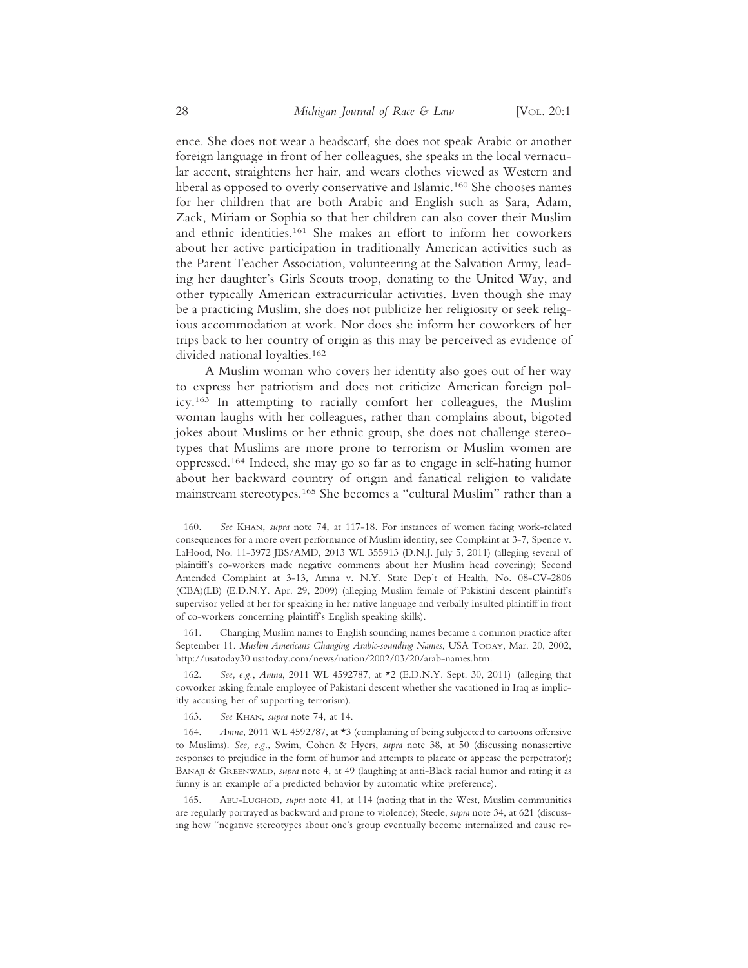ence. She does not wear a headscarf, she does not speak Arabic or another foreign language in front of her colleagues, she speaks in the local vernacular accent, straightens her hair, and wears clothes viewed as Western and liberal as opposed to overly conservative and Islamic.160 She chooses names for her children that are both Arabic and English such as Sara, Adam, Zack, Miriam or Sophia so that her children can also cover their Muslim and ethnic identities.161 She makes an effort to inform her coworkers about her active participation in traditionally American activities such as the Parent Teacher Association, volunteering at the Salvation Army, leading her daughter's Girls Scouts troop, donating to the United Way, and other typically American extracurricular activities. Even though she may be a practicing Muslim, she does not publicize her religiosity or seek religious accommodation at work. Nor does she inform her coworkers of her trips back to her country of origin as this may be perceived as evidence of divided national loyalties.162

A Muslim woman who covers her identity also goes out of her way to express her patriotism and does not criticize American foreign policy.163 In attempting to racially comfort her colleagues, the Muslim woman laughs with her colleagues, rather than complains about, bigoted jokes about Muslims or her ethnic group, she does not challenge stereotypes that Muslims are more prone to terrorism or Muslim women are oppressed.164 Indeed, she may go so far as to engage in self-hating humor about her backward country of origin and fanatical religion to validate mainstream stereotypes.165 She becomes a "cultural Muslim" rather than a

161. Changing Muslim names to English sounding names became a common practice after September 11. *Muslim Americans Changing Arabic-sounding Names*, USA TODAY, Mar. 20, 2002, http://usatoday30.usatoday.com/news/nation/2002/03/20/arab-names.htm.

162. *See, e.g.*, *Amna*, 2011 WL 4592787, at \*2 (E.D.N.Y. Sept. 30, 2011) (alleging that coworker asking female employee of Pakistani descent whether she vacationed in Iraq as implicitly accusing her of supporting terrorism).

163. *See* KHAN, *supra* note 74, at 14.

164. *Amna*, 2011 WL 4592787, at \*3 (complaining of being subjected to cartoons offensive to Muslims). *See, e.g.*, Swim, Cohen & Hyers, *supra* note 38, at 50 (discussing nonassertive responses to prejudice in the form of humor and attempts to placate or appease the perpetrator); BANAJI & GREENWALD, *supra* note 4, at 49 (laughing at anti-Black racial humor and rating it as funny is an example of a predicted behavior by automatic white preference).

165. ABU-LUGHOD, *supra* note 41, at 114 (noting that in the West, Muslim communities are regularly portrayed as backward and prone to violence); Steele, *supra* note 34, at 621 (discussing how "negative stereotypes about one's group eventually become internalized and cause re-

<sup>160.</sup> *See* KHAN, *supra* note 74, at 117-18. For instances of women facing work-related consequences for a more overt performance of Muslim identity, see Complaint at 3-7, Spence v. LaHood, No. 11-3972 JBS/AMD, 2013 WL 355913 (D.N.J. July 5, 2011) (alleging several of plaintiff's co-workers made negative comments about her Muslim head covering); Second Amended Complaint at 3-13, Amna v. N.Y. State Dep't of Health, No. 08-CV-2806 (CBA)(LB) (E.D.N.Y. Apr. 29, 2009) (alleging Muslim female of Pakistini descent plaintiff's supervisor yelled at her for speaking in her native language and verbally insulted plaintiff in front of co-workers concerning plaintiff's English speaking skills).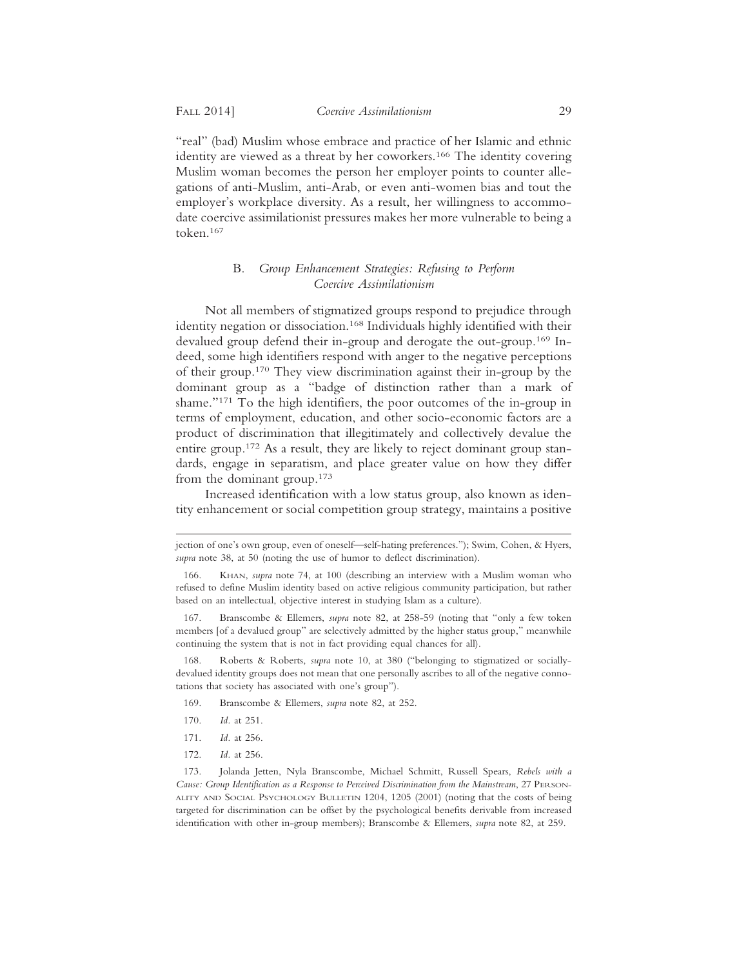"real" (bad) Muslim whose embrace and practice of her Islamic and ethnic identity are viewed as a threat by her coworkers.<sup>166</sup> The identity covering Muslim woman becomes the person her employer points to counter allegations of anti-Muslim, anti-Arab, or even anti-women bias and tout the employer's workplace diversity. As a result, her willingness to accommodate coercive assimilationist pressures makes her more vulnerable to being a token.167

# B. *Group Enhancement Strategies: Refusing to Perform Coercive Assimilationism*

Not all members of stigmatized groups respond to prejudice through identity negation or dissociation.168 Individuals highly identified with their devalued group defend their in-group and derogate the out-group.169 Indeed, some high identifiers respond with anger to the negative perceptions of their group.170 They view discrimination against their in-group by the dominant group as a "badge of distinction rather than a mark of shame."171 To the high identifiers, the poor outcomes of the in-group in terms of employment, education, and other socio-economic factors are a product of discrimination that illegitimately and collectively devalue the entire group.172 As a result, they are likely to reject dominant group standards, engage in separatism, and place greater value on how they differ from the dominant group.173

Increased identification with a low status group, also known as identity enhancement or social competition group strategy, maintains a positive

168. Roberts & Roberts, *supra* note 10, at 380 ("belonging to stigmatized or sociallydevalued identity groups does not mean that one personally ascribes to all of the negative connotations that society has associated with one's group").

- 169. Branscombe & Ellemers, *supra* note 82, at 252.
- 170. *Id.* at 251.
- 171. *Id.* at 256.
- 172. *Id.* at 256.

jection of one's own group, even of oneself—self-hating preferences."); Swim, Cohen, & Hyers, *supra* note 38, at 50 (noting the use of humor to deflect discrimination).

<sup>166.</sup> KHAN, *supra* note 74, at 100 (describing an interview with a Muslim woman who refused to define Muslim identity based on active religious community participation, but rather based on an intellectual, objective interest in studying Islam as a culture).

<sup>167.</sup> Branscombe & Ellemers, *supra* note 82, at 258-59 (noting that "only a few token members [of a devalued group" are selectively admitted by the higher status group," meanwhile continuing the system that is not in fact providing equal chances for all).

<sup>173.</sup> Jolanda Jetten, Nyla Branscombe, Michael Schmitt, Russell Spears, *Rebels with a Cause: Group Identification as a Response to Perceived Discrimination from the Mainstream*, 27 PERSON-ALITY AND SOCIAL PSYCHOLOGY BULLETIN 1204, 1205 (2001) (noting that the costs of being targeted for discrimination can be offset by the psychological benefits derivable from increased identification with other in-group members); Branscombe & Ellemers, *supra* note 82, at 259.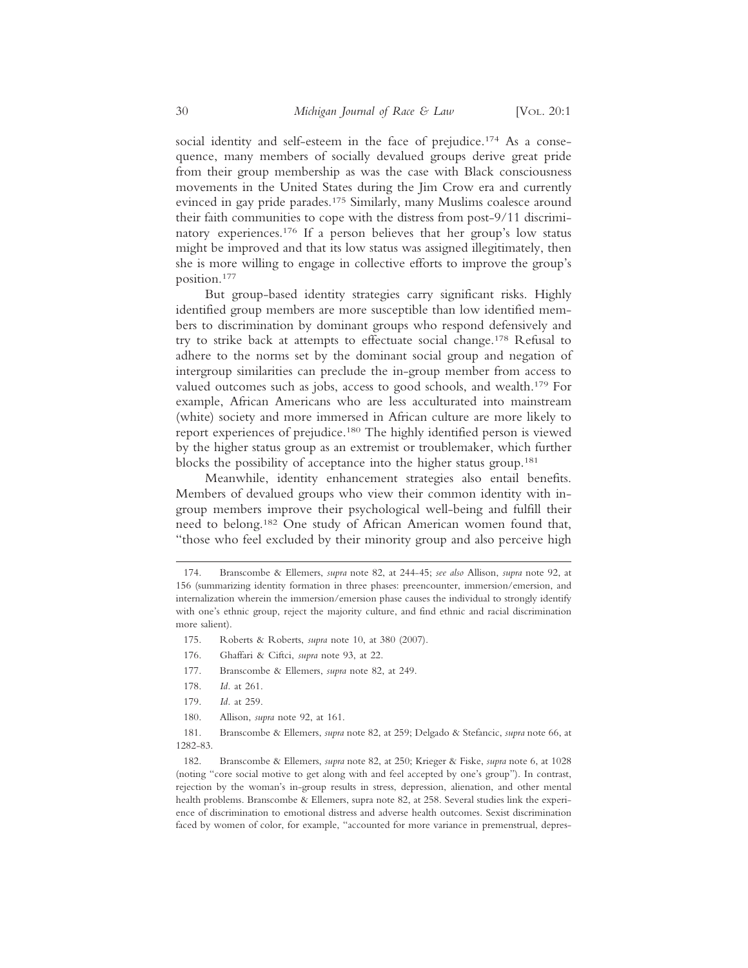social identity and self-esteem in the face of prejudice.<sup>174</sup> As a consequence, many members of socially devalued groups derive great pride from their group membership as was the case with Black consciousness movements in the United States during the Jim Crow era and currently evinced in gay pride parades.175 Similarly, many Muslims coalesce around their faith communities to cope with the distress from post-9/11 discriminatory experiences.176 If a person believes that her group's low status might be improved and that its low status was assigned illegitimately, then she is more willing to engage in collective efforts to improve the group's position.177

But group-based identity strategies carry significant risks. Highly identified group members are more susceptible than low identified members to discrimination by dominant groups who respond defensively and try to strike back at attempts to effectuate social change.178 Refusal to adhere to the norms set by the dominant social group and negation of intergroup similarities can preclude the in-group member from access to valued outcomes such as jobs, access to good schools, and wealth.179 For example, African Americans who are less acculturated into mainstream (white) society and more immersed in African culture are more likely to report experiences of prejudice.180 The highly identified person is viewed by the higher status group as an extremist or troublemaker, which further blocks the possibility of acceptance into the higher status group.181

Meanwhile, identity enhancement strategies also entail benefits. Members of devalued groups who view their common identity with ingroup members improve their psychological well-being and fulfill their need to belong.182 One study of African American women found that, "those who feel excluded by their minority group and also perceive high

- 175. Roberts & Roberts, *supra* note 10, at 380 (2007).
- 176. Ghaffari & Ciftci, *supra* note 93, at 22.
- 177. Branscombe & Ellemers, *supra* note 82, at 249.
- 178. *Id.* at 261.
- 179. *Id.* at 259.
- 180. Allison, *supra* note 92, at 161.

181. Branscombe & Ellemers, *supra* note 82, at 259; Delgado & Stefancic, *supra* note 66, at 1282-83.

182. Branscombe & Ellemers, *supra* note 82, at 250; Krieger & Fiske, *supra* note 6, at 1028 (noting "core social motive to get along with and feel accepted by one's group"). In contrast, rejection by the woman's in-group results in stress, depression, alienation, and other mental health problems. Branscombe & Ellemers, supra note 82, at 258. Several studies link the experience of discrimination to emotional distress and adverse health outcomes. Sexist discrimination faced by women of color, for example, "accounted for more variance in premenstrual, depres-

<sup>174.</sup> Branscombe & Ellemers, *supra* note 82, at 244-45; *see also* Allison, *supra* note 92, at 156 (summarizing identity formation in three phases: preencounter, immersion/emersion, and internalization wherein the immersion/emersion phase causes the individual to strongly identify with one's ethnic group, reject the majority culture, and find ethnic and racial discrimination more salient).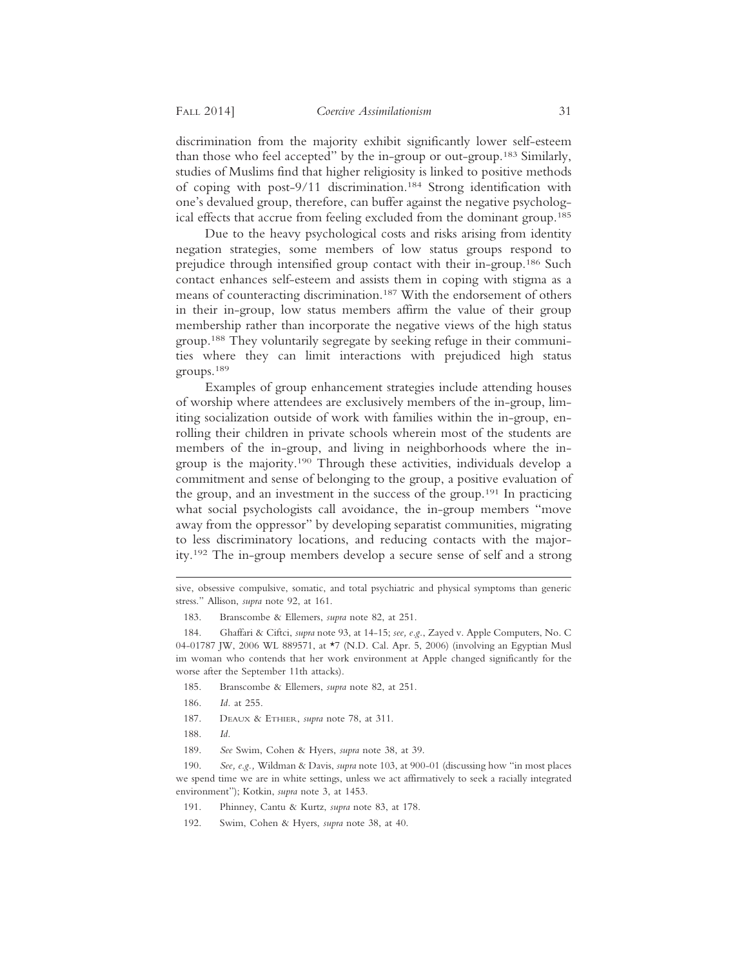discrimination from the majority exhibit significantly lower self-esteem than those who feel accepted" by the in-group or out-group.183 Similarly, studies of Muslims find that higher religiosity is linked to positive methods of coping with post-9/11 discrimination.<sup>184</sup> Strong identification with one's devalued group, therefore, can buffer against the negative psychological effects that accrue from feeling excluded from the dominant group.185

Due to the heavy psychological costs and risks arising from identity negation strategies, some members of low status groups respond to prejudice through intensified group contact with their in-group.186 Such contact enhances self-esteem and assists them in coping with stigma as a means of counteracting discrimination.<sup>187</sup> With the endorsement of others in their in-group, low status members affirm the value of their group membership rather than incorporate the negative views of the high status group.188 They voluntarily segregate by seeking refuge in their communities where they can limit interactions with prejudiced high status groups.189

Examples of group enhancement strategies include attending houses of worship where attendees are exclusively members of the in-group, limiting socialization outside of work with families within the in-group, enrolling their children in private schools wherein most of the students are members of the in-group, and living in neighborhoods where the ingroup is the majority.190 Through these activities, individuals develop a commitment and sense of belonging to the group, a positive evaluation of the group, and an investment in the success of the group.<sup>191</sup> In practicing what social psychologists call avoidance, the in-group members "move away from the oppressor" by developing separatist communities, migrating to less discriminatory locations, and reducing contacts with the majority.192 The in-group members develop a secure sense of self and a strong

183. Branscombe & Ellemers, *supra* note 82, at 251.

- 185. Branscombe & Ellemers, *supra* note 82, at 251.
- 186. *Id.* at 255.
- 187. DEAUX & ETHIER, *supra* note 78, at 311.
- 188. *Id.*
- 189. *See* Swim, Cohen & Hyers, *supra* note 38, at 39.

190. *See, e.g.,* Wildman & Davis, *supra* note 103, at 900-01 (discussing how "in most places we spend time we are in white settings, unless we act affirmatively to seek a racially integrated environment"); Kotkin, *supra* note 3, at 1453*.*

- 191. Phinney, Cantu & Kurtz, *supra* note 83, at 178.
- 192. Swim, Cohen & Hyers, *supra* note 38, at 40.

sive, obsessive compulsive, somatic, and total psychiatric and physical symptoms than generic stress." Allison, *supra* note 92, at 161.

<sup>184.</sup> Ghaffari & Ciftci, *supra* note 93, at 14-15; *see, e.g.*, Zayed v. Apple Computers, No. C 04-01787 JW, 2006 WL 889571, at \*7 (N.D. Cal. Apr. 5, 2006) (involving an Egyptian Musl im woman who contends that her work environment at Apple changed significantly for the worse after the September 11th attacks).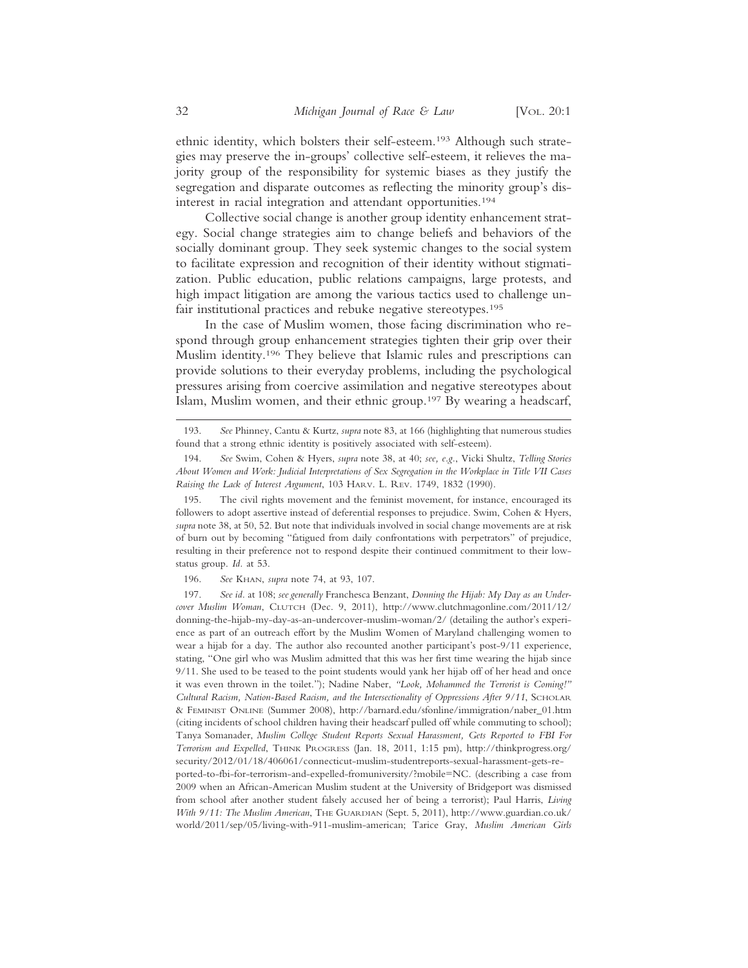interest in racial integration and attendant opportunities.194 Collective social change is another group identity enhancement strategy. Social change strategies aim to change beliefs and behaviors of the socially dominant group. They seek systemic changes to the social system to facilitate expression and recognition of their identity without stigmatization. Public education, public relations campaigns, large protests, and high impact litigation are among the various tactics used to challenge unfair institutional practices and rebuke negative stereotypes.<sup>195</sup>

segregation and disparate outcomes as reflecting the minority group's dis-

In the case of Muslim women, those facing discrimination who respond through group enhancement strategies tighten their grip over their Muslim identity.196 They believe that Islamic rules and prescriptions can provide solutions to their everyday problems, including the psychological pressures arising from coercive assimilation and negative stereotypes about Islam, Muslim women, and their ethnic group.197 By wearing a headscarf,

195. The civil rights movement and the feminist movement, for instance, encouraged its followers to adopt assertive instead of deferential responses to prejudice. Swim, Cohen & Hyers, *supra* note 38, at 50, 52. But note that individuals involved in social change movements are at risk of burn out by becoming "fatigued from daily confrontations with perpetrators" of prejudice, resulting in their preference not to respond despite their continued commitment to their lowstatus group. *Id.* at 53.

196. *See* KHAN, *supra* note 74, at 93, 107.

197. *See id.* at 108; *see generally* Franchesca Benzant, *Donning the Hijab: My Day as an Undercover Muslim Woman*, CLUTCH (Dec. 9, 2011), http://www.clutchmagonline.com/2011/12/ donning-the-hijab-my-day-as-an-undercover-muslim-woman/2/ (detailing the author's experience as part of an outreach effort by the Muslim Women of Maryland challenging women to wear a hijab for a day. The author also recounted another participant's post-9/11 experience, stating, "One girl who was Muslim admitted that this was her first time wearing the hijab since 9/11. She used to be teased to the point students would yank her hijab off of her head and once it was even thrown in the toilet."); Nadine Naber, *"Look, Mohammed the Terrorist is Coming!" Cultural Racism, Nation-Based Racism, and the Intersectionality of Oppressions After 9/11*, SCHOLAR & FEMINIST ONLINE (Summer 2008), http://barnard.edu/sfonline/immigration/naber\_01.htm (citing incidents of school children having their headscarf pulled off while commuting to school); Tanya Somanader, *Muslim College Student Reports Sexual Harassment, Gets Reported to FBI For Terrorism and Expelled*, THINK PROGRESS (Jan. 18, 2011, 1:15 pm), http://thinkprogress.org/ security/2012/01/18/406061/connecticut-muslim-studentreports-sexual-harassment-gets-reported-to-fbi-for-terrorism-and-expelled-fromuniversity/?mobile=NC. (describing a case from 2009 when an African-American Muslim student at the University of Bridgeport was dismissed from school after another student falsely accused her of being a terrorist); Paul Harris, *Living With 9/11: The Muslim American*, THE GUARDIAN (Sept. 5, 2011), http://www.guardian.co.uk/ world/2011/sep/05/living-with-911-muslim-american; Tarice Gray, *Muslim American Girls*

<sup>193.</sup> *See* Phinney, Cantu & Kurtz, *supra* note 83, at 166 (highlighting that numerous studies found that a strong ethnic identity is positively associated with self-esteem).

<sup>194.</sup> *See* Swim, Cohen & Hyers, *supra* note 38, at 40; *see, e.g.*, Vicki Shultz, *Telling Stories About Women and Work: Judicial Interpretations of Sex Segregation in the Workplace in Title VII Cases Raising the Lack of Interest Argument*, 103 HARV. L. REV. 1749, 1832 (1990).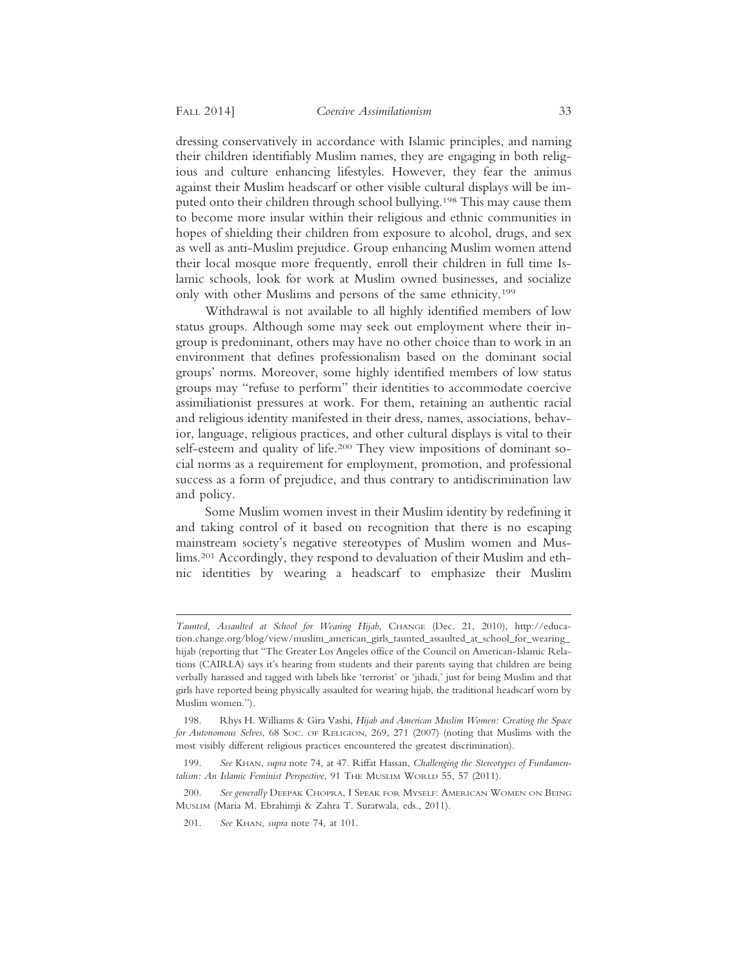dressing conservatively in accordance with Islamic principles, and naming their children identifiably Muslim names, they are engaging in both religious and culture enhancing lifestyles. However, they fear the animus against their Muslim headscarf or other visible cultural displays will be imputed onto their children through school bullying.198 This may cause them to become more insular within their religious and ethnic communities in hopes of shielding their children from exposure to alcohol, drugs, and sex as well as anti-Muslim prejudice. Group enhancing Muslim women attend their local mosque more frequently, enroll their children in full time Islamic schools, look for work at Muslim owned businesses, and socialize only with other Muslims and persons of the same ethnicity.<sup>199</sup>

Withdrawal is not available to all highly identified members of low status groups. Although some may seek out employment where their ingroup is predominant, others may have no other choice than to work in an environment that defines professionalism based on the dominant social groups' norms. Moreover, some highly identified members of low status groups may "refuse to perform" their identities to accommodate coercive assimiliationist pressures at work. For them, retaining an authentic racial and religious identity manifested in their dress, names, associations, behavior, language, religious practices, and other cultural displays is vital to their self-esteem and quality of life.<sup>200</sup> They view impositions of dominant social norms as a requirement for employment, promotion, and professional success as a form of prejudice, and thus contrary to antidiscrimination law and policy.

Some Muslim women invest in their Muslim identity by redefining it and taking control of it based on recognition that there is no escaping mainstream society's negative stereotypes of Muslim women and Muslims.201 Accordingly, they respond to devaluation of their Muslim and ethnic identities by wearing a headscarf to emphasize their Muslim

*Taunted, Assaulted at School for Wearing Hijab*, CHANGE (Dec. 21, 2010), http://education.change.org/blog/view/muslim\_american\_girls\_taunted\_assaulted\_at\_school\_for\_wearing\_ hijab (reporting that "The Greater Los Angeles office of the Council on American-Islamic Relations (CAIRLA) says it's hearing from students and their parents saying that children are being verbally harassed and tagged with labels like 'terrorist' or 'jihadi,' just for being Muslim and that girls have reported being physically assaulted for wearing hijab, the traditional headscarf worn by Muslim women.").

<sup>198.</sup> Rhys H. Williams & Gira Vashi, *Hijab and American Muslim Women: Creating the Space for Autonomous Selves*, 68 SOC. OF RELIGION, 269, 271 (2007) (noting that Muslims with the most visibly different religious practices encountered the greatest discrimination).

<sup>199.</sup> *See* KHAN, *supra* note 74, at 47. Riffat Hassan, *Challenging the Stereotypes of Fundamentalism: An Islamic Feminist Perspective*, 91 THE MUSLIM WORLD 55, 57 (2011).

<sup>200.</sup> *See generally* DEEPAK CHOPRA, I SPEAK FOR MYSELF: AMERICAN WOMEN ON BEING MUSLIM (Maria M. Ebrahimji & Zahra T. Suratwala, eds., 2011).

<sup>201.</sup> *See* KHAN, *supra* note 74, at 101.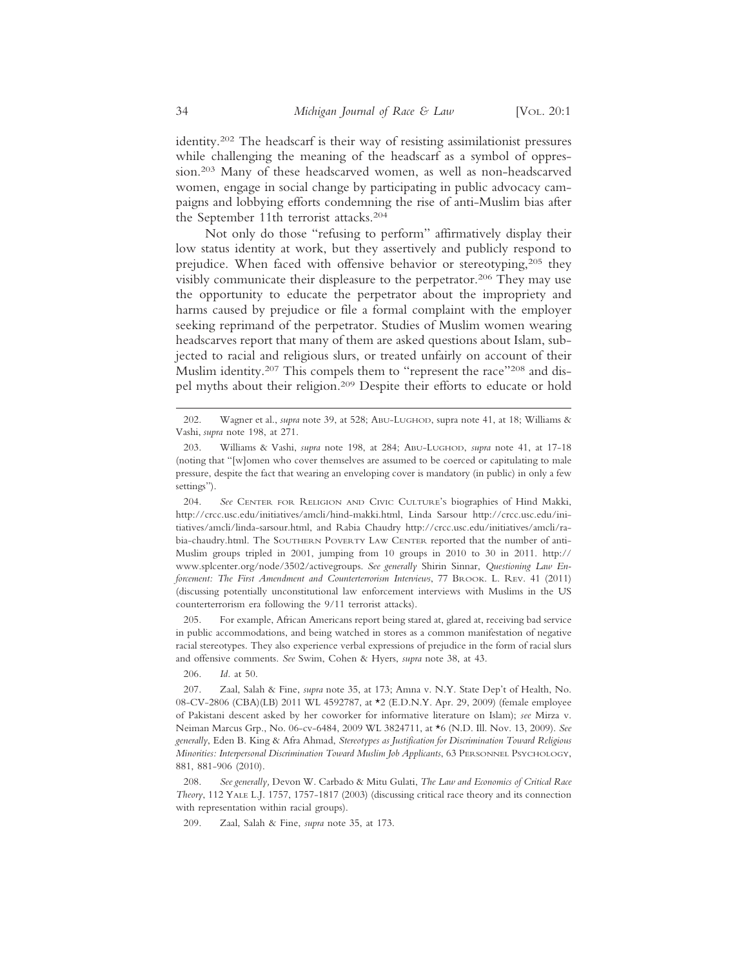identity.202 The headscarf is their way of resisting assimilationist pressures while challenging the meaning of the headscarf as a symbol of oppression.203 Many of these headscarved women, as well as non-headscarved women, engage in social change by participating in public advocacy campaigns and lobbying efforts condemning the rise of anti-Muslim bias after the September 11th terrorist attacks.204

Not only do those "refusing to perform" affirmatively display their low status identity at work, but they assertively and publicly respond to prejudice. When faced with offensive behavior or stereotyping,<sup>205</sup> they visibly communicate their displeasure to the perpetrator.206 They may use the opportunity to educate the perpetrator about the impropriety and harms caused by prejudice or file a formal complaint with the employer seeking reprimand of the perpetrator. Studies of Muslim women wearing headscarves report that many of them are asked questions about Islam, subjected to racial and religious slurs, or treated unfairly on account of their Muslim identity.<sup>207</sup> This compels them to "represent the race"<sup>208</sup> and dispel myths about their religion.209 Despite their efforts to educate or hold

204. *See* CENTER FOR RELIGION AND CIVIC CULTURE'S biographies of Hind Makki, http://crcc.usc.edu/initiatives/amcli/hind-makki.html, Linda Sarsour http://crcc.usc.edu/initiatives/amcli/linda-sarsour.html, and Rabia Chaudry http://crcc.usc.edu/initiatives/amcli/rabia-chaudry.html. The SOUTHERN POVERTY LAW CENTER reported that the number of anti-Muslim groups tripled in 2001, jumping from 10 groups in 2010 to 30 in 2011. http:// www.splcenter.org/node/3502/activegroups. *See generally* Shirin Sinnar, *Questioning Law Enforcement: The First Amendment and Counterterrorism Interviews*, 77 BROOK. L. REV. 41 (2011) (discussing potentially unconstitutional law enforcement interviews with Muslims in the US counterterrorism era following the 9/11 terrorist attacks).

205. For example, African Americans report being stared at, glared at, receiving bad service in public accommodations, and being watched in stores as a common manifestation of negative racial stereotypes. They also experience verbal expressions of prejudice in the form of racial slurs and offensive comments. *See* Swim, Cohen & Hyers, *supra* note 38, at 43.

206. *Id.* at 50.

207. Zaal, Salah & Fine, *supra* note 35, at 173; Amna v. N.Y. State Dep't of Health, No. 08-CV-2806 (CBA)(LB) 2011 WL 4592787, at \*2 (E.D.N.Y. Apr. 29, 2009) (female employee of Pakistani descent asked by her coworker for informative literature on Islam); *see* Mirza v. Neiman Marcus Grp., No. 06-cv-6484, 2009 WL 3824711, at \*6 (N.D. Ill. Nov. 13, 2009). *See generally*, Eden B. King & Afra Ahmad, *Stereotypes as Justification for Discrimination Toward Religious Minorities: Interpersonal Discrimination Toward Muslim Job Applicants*, 63 PERSONNEL PSYCHOLOGY, 881, 881-906 (2010).

208. *See generally,* Devon W. Carbado & Mitu Gulati, *The Law and Economics of Critical Race Theory*, 112 YALE L.J. 1757, 1757-1817 (2003) (discussing critical race theory and its connection with representation within racial groups).

209. Zaal, Salah & Fine, *supra* note 35, at 173.

<sup>202.</sup> Wagner et al., *supra* note 39, at 528; ABU-LUGHOD, supra note 41, at 18; Williams & Vashi, *supra* note 198, at 271.

<sup>203.</sup> Williams & Vashi, *supra* note 198, at 284; ABU-LUGHOD, *supra* note 41, at 17-18 (noting that "[w]omen who cover themselves are assumed to be coerced or capitulating to male pressure, despite the fact that wearing an enveloping cover is mandatory (in public) in only a few settings").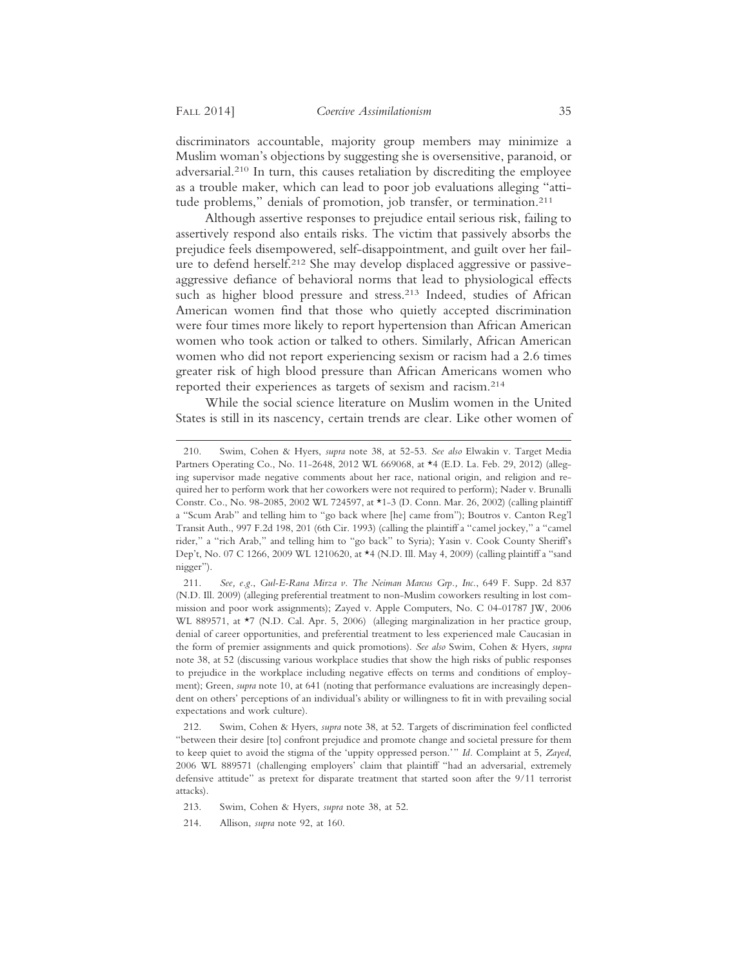discriminators accountable, majority group members may minimize a Muslim woman's objections by suggesting she is oversensitive, paranoid, or adversarial.210 In turn, this causes retaliation by discrediting the employee as a trouble maker, which can lead to poor job evaluations alleging "attitude problems," denials of promotion, job transfer, or termination.<sup>211</sup>

Although assertive responses to prejudice entail serious risk, failing to assertively respond also entails risks. The victim that passively absorbs the prejudice feels disempowered, self-disappointment, and guilt over her failure to defend herself.212 She may develop displaced aggressive or passiveaggressive defiance of behavioral norms that lead to physiological effects such as higher blood pressure and stress.<sup>213</sup> Indeed, studies of African American women find that those who quietly accepted discrimination were four times more likely to report hypertension than African American women who took action or talked to others. Similarly, African American women who did not report experiencing sexism or racism had a 2.6 times greater risk of high blood pressure than African Americans women who reported their experiences as targets of sexism and racism.214

While the social science literature on Muslim women in the United States is still in its nascency, certain trends are clear. Like other women of

<sup>210.</sup> Swim, Cohen & Hyers, *supra* note 38, at 52-53. *See also* Elwakin v. Target Media Partners Operating Co., No. 11-2648, 2012 WL 669068, at \*4 (E.D. La. Feb. 29, 2012) (alleging supervisor made negative comments about her race, national origin, and religion and required her to perform work that her coworkers were not required to perform); Nader v. Brunalli Constr. Co., No. 98-2085, 2002 WL 724597, at \*1-3 (D. Conn. Mar. 26, 2002) (calling plaintiff a "Scum Arab" and telling him to "go back where [he] came from"); Boutros v. Canton Reg'l Transit Auth., 997 F.2d 198, 201 (6th Cir. 1993) (calling the plaintiff a "camel jockey," a "camel rider," a "rich Arab," and telling him to "go back" to Syria); Yasin v. Cook County Sheriff's Dep't, No. 07 C 1266, 2009 WL 1210620, at \*4 (N.D. Ill. May 4, 2009) (calling plaintiff a "sand nigger").

<sup>211.</sup> *See, e.g.*, *Gul-E-Rana Mirza v. The Neiman Marcus Grp., Inc.*, 649 F. Supp. 2d 837 (N.D. Ill. 2009) (alleging preferential treatment to non-Muslim coworkers resulting in lost commission and poor work assignments); Zayed v. Apple Computers, No. C 04-01787 JW, 2006 WL 889571, at  $\star$ 7 (N.D. Cal. Apr. 5, 2006) (alleging marginalization in her practice group, denial of career opportunities, and preferential treatment to less experienced male Caucasian in the form of premier assignments and quick promotions). *See also* Swim, Cohen & Hyers, *supra* note 38, at 52 (discussing various workplace studies that show the high risks of public responses to prejudice in the workplace including negative effects on terms and conditions of employment); Green, *supra* note 10, at 641 (noting that performance evaluations are increasingly dependent on others' perceptions of an individual's ability or willingness to fit in with prevailing social expectations and work culture).

<sup>212.</sup> Swim, Cohen & Hyers, *supra* note 38, at 52. Targets of discrimination feel conflicted "between their desire [to] confront prejudice and promote change and societal pressure for them to keep quiet to avoid the stigma of the 'uppity oppressed person.'" *Id.* Complaint at 5, *Zayed*, 2006 WL 889571 (challenging employers' claim that plaintiff "had an adversarial, extremely defensive attitude" as pretext for disparate treatment that started soon after the 9/11 terrorist attacks).

<sup>213.</sup> Swim, Cohen & Hyers, *supra* note 38, at 52.

<sup>214.</sup> Allison, *supra* note 92, at 160.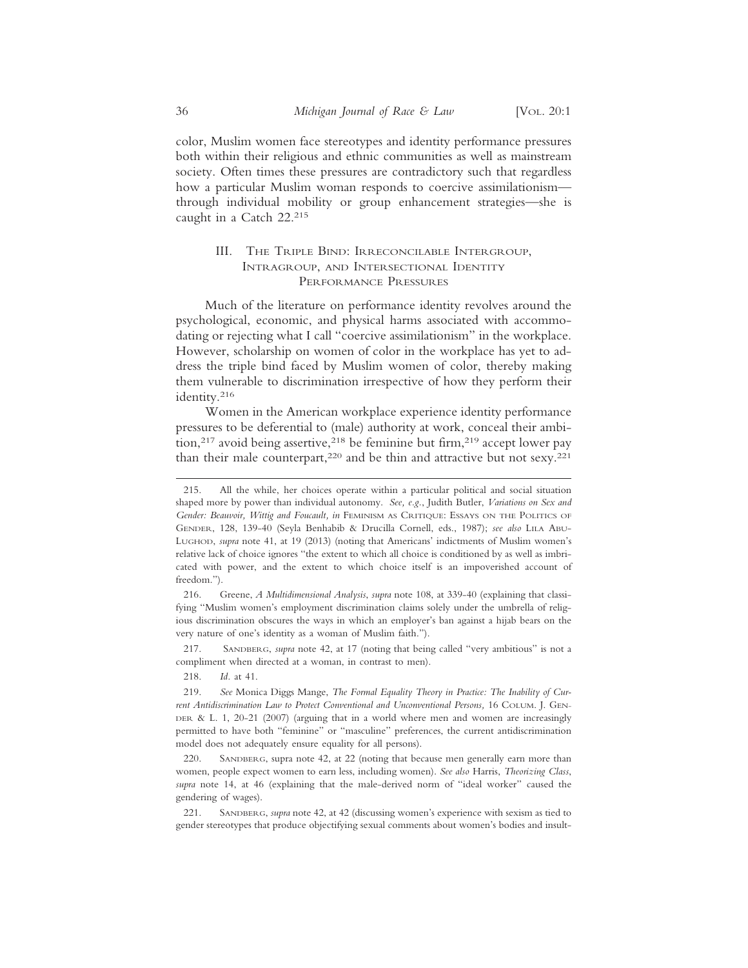color, Muslim women face stereotypes and identity performance pressures both within their religious and ethnic communities as well as mainstream society. Often times these pressures are contradictory such that regardless how a particular Muslim woman responds to coercive assimilationism through individual mobility or group enhancement strategies—she is caught in a Catch 22.215

# III. THE TRIPLE BIND: IRRECONCILABLE INTERGROUP, INTRAGROUP, AND INTERSECTIONAL IDENTITY PERFORMANCE PRESSURES

Much of the literature on performance identity revolves around the psychological, economic, and physical harms associated with accommodating or rejecting what I call "coercive assimilationism" in the workplace. However, scholarship on women of color in the workplace has yet to address the triple bind faced by Muslim women of color, thereby making them vulnerable to discrimination irrespective of how they perform their identity.216

Women in the American workplace experience identity performance pressures to be deferential to (male) authority at work, conceal their ambition,<sup>217</sup> avoid being assertive,<sup>218</sup> be feminine but firm,<sup>219</sup> accept lower pay than their male counterpart,<sup>220</sup> and be thin and attractive but not sexy.<sup>221</sup>

217. SANDBERG, *supra* note 42, at 17 (noting that being called "very ambitious" is not a compliment when directed at a woman, in contrast to men).

218. *Id.* at 41.

<sup>215.</sup> All the while, her choices operate within a particular political and social situation shaped more by power than individual autonomy. *See, e.g.*, Judith Butler, *Variations on Sex and Gender: Beauvoir, Wittig and Foucault, in* FEMINISM AS CRITIQUE: ESSAYS ON THE POLITICS OF GENDER, 128, 139-40 (Seyla Benhabib & Drucilla Cornell, eds., 1987); *see also* LILA ABU-LUGHOD, *supra* note 41, at 19 (2013) (noting that Americans' indictments of Muslim women's relative lack of choice ignores "the extent to which all choice is conditioned by as well as imbricated with power, and the extent to which choice itself is an impoverished account of freedom.").

<sup>216.</sup> Greene, *A Multidimensional Analysis*, *supra* note 108, at 339-40 (explaining that classifying "Muslim women's employment discrimination claims solely under the umbrella of religious discrimination obscures the ways in which an employer's ban against a hijab bears on the very nature of one's identity as a woman of Muslim faith.").

<sup>219.</sup> *See* Monica Diggs Mange, *The Formal Equality Theory in Practice: The Inability of Current Antidiscrimination Law to Protect Conventional and Unconventional Persons,* 16 COLUM. J. GEN-DER & L. 1, 20-21 (2007) (arguing that in a world where men and women are increasingly permitted to have both "feminine" or "masculine" preferences, the current antidiscrimination model does not adequately ensure equality for all persons).

<sup>220.</sup> SANDBERG, supra note 42, at 22 (noting that because men generally earn more than women, people expect women to earn less, including women). *See also* Harris, *Theorizing Class*, *supra* note 14, at 46 (explaining that the male-derived norm of "ideal worker" caused the gendering of wages).

<sup>221.</sup> SANDBERG, *supra* note 42, at 42 (discussing women's experience with sexism as tied to gender stereotypes that produce objectifying sexual comments about women's bodies and insult-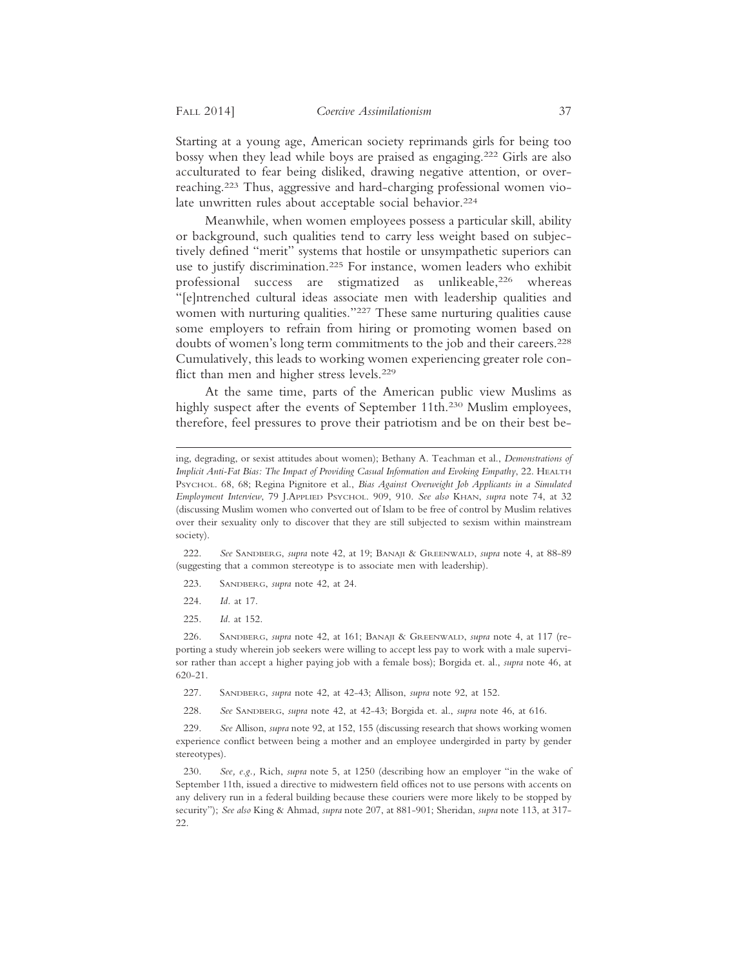Starting at a young age, American society reprimands girls for being too bossy when they lead while boys are praised as engaging.222 Girls are also acculturated to fear being disliked, drawing negative attention, or overreaching.223 Thus, aggressive and hard-charging professional women violate unwritten rules about acceptable social behavior.<sup>224</sup>

Meanwhile, when women employees possess a particular skill, ability or background, such qualities tend to carry less weight based on subjectively defined "merit" systems that hostile or unsympathetic superiors can use to justify discrimination.225 For instance, women leaders who exhibit professional success are stigmatized as unlikeable,<sup>226</sup> whereas "[e]ntrenched cultural ideas associate men with leadership qualities and women with nurturing qualities."227 These same nurturing qualities cause some employers to refrain from hiring or promoting women based on doubts of women's long term commitments to the job and their careers.<sup>228</sup> Cumulatively, this leads to working women experiencing greater role conflict than men and higher stress levels.<sup>229</sup>

At the same time, parts of the American public view Muslims as highly suspect after the events of September 11th.<sup>230</sup> Muslim employees, therefore, feel pressures to prove their patriotism and be on their best be-

222. *See* SANDBERG, *supra* note 42, at 19; BANAJI & GREENWALD, *supra* note 4, at 88-89 (suggesting that a common stereotype is to associate men with leadership).

223. SANDBERG, *supra* note 42, at 24.

- 224. *Id.* at 17.
- 225. *Id*. at 152.

226. SANDBERG, *supra* note 42, at 161; BANAJI & GREENWALD, *supra* note 4, at 117 (reporting a study wherein job seekers were willing to accept less pay to work with a male supervisor rather than accept a higher paying job with a female boss); Borgida et. al., *supra* note 46, at 620-21.

- 227. SANDBERG, *supra* note 42, at 42-43; Allison, *supra* note 92, at 152.
- 228. *See* SANDBERG, *supra* note 42, at 42-43; Borgida et. al., *supra* note 46, at 616.

229. *See* Allison, *supra* note 92, at 152, 155 (discussing research that shows working women experience conflict between being a mother and an employee undergirded in party by gender stereotypes).

230. *See, e.g.,* Rich, *supra* note 5, at 1250 (describing how an employer "in the wake of September 11th, issued a directive to midwestern field offices not to use persons with accents on any delivery run in a federal building because these couriers were more likely to be stopped by security"); *See also* King & Ahmad, *supra* note 207, at 881-901; Sheridan, *supra* note 113, at 317- 22.

ing, degrading, or sexist attitudes about women); Bethany A. Teachman et al., *Demonstrations of Implicit Anti-Fat Bias: The Impact of Providing Casual Information and Evoking Empathy*, 22. HEALTH PSYCHOL. 68, 68; Regina Pignitore et al., *Bias Against Overweight Job Applicants in a Simulated Employment Interview*, 79 J.APPLIED PSYCHOL. 909, 910. *See also* KHAN, *supra* note 74, at 32 (discussing Muslim women who converted out of Islam to be free of control by Muslim relatives over their sexuality only to discover that they are still subjected to sexism within mainstream society).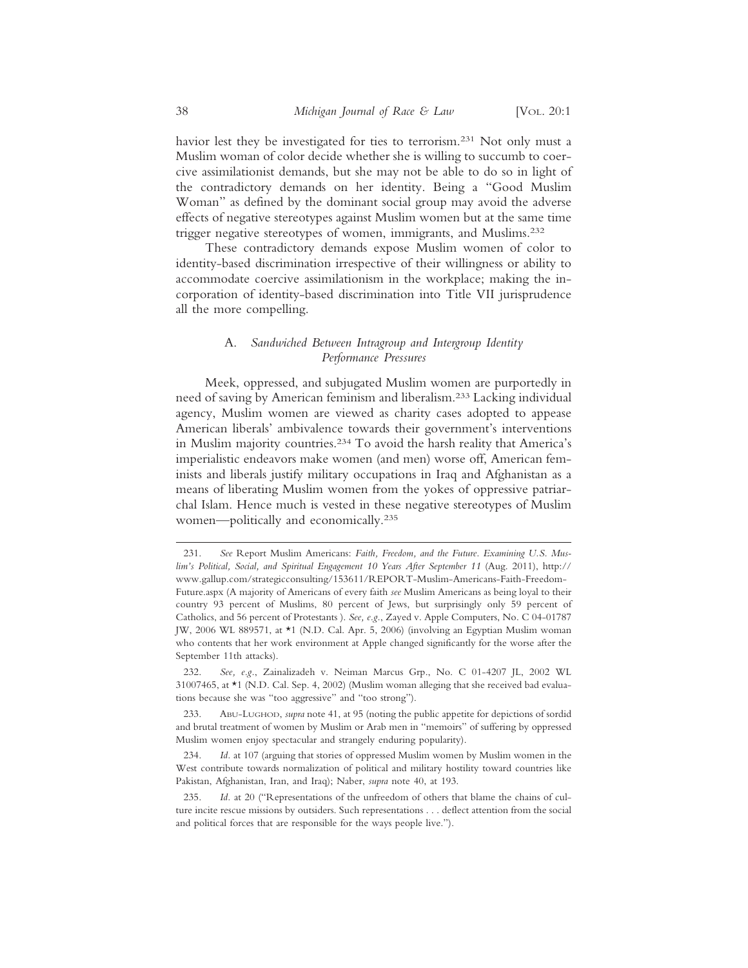havior lest they be investigated for ties to terrorism.231 Not only must a Muslim woman of color decide whether she is willing to succumb to coercive assimilationist demands, but she may not be able to do so in light of the contradictory demands on her identity. Being a "Good Muslim Woman" as defined by the dominant social group may avoid the adverse effects of negative stereotypes against Muslim women but at the same time trigger negative stereotypes of women, immigrants, and Muslims.232

These contradictory demands expose Muslim women of color to identity-based discrimination irrespective of their willingness or ability to accommodate coercive assimilationism in the workplace; making the incorporation of identity-based discrimination into Title VII jurisprudence all the more compelling.

# A. *Sandwiched Between Intragroup and Intergroup Identity Performance Pressures*

Meek, oppressed, and subjugated Muslim women are purportedly in need of saving by American feminism and liberalism.233 Lacking individual agency, Muslim women are viewed as charity cases adopted to appease American liberals' ambivalence towards their government's interventions in Muslim majority countries.234 To avoid the harsh reality that America's imperialistic endeavors make women (and men) worse off, American feminists and liberals justify military occupations in Iraq and Afghanistan as a means of liberating Muslim women from the yokes of oppressive patriarchal Islam. Hence much is vested in these negative stereotypes of Muslim women—politically and economically.235

<sup>231.</sup> *See* Report Muslim Americans: *Faith, Freedom, and the Future. Examining U.S. Muslim's Political, Social, and Spiritual Engagement 10 Years After September 11* (Aug. 2011), http:// www.gallup.com/strategicconsulting/153611/REPORT-Muslim-Americans-Faith-Freedom-Future.aspx (A majority of Americans of every faith *see* Muslim Americans as being loyal to their country 93 percent of Muslims, 80 percent of Jews, but surprisingly only 59 percent of Catholics, and 56 percent of Protestants ). *See, e.g.*, Zayed v. Apple Computers, No. C 04-01787 JW, 2006 WL 889571, at \*1 (N.D. Cal. Apr. 5, 2006) (involving an Egyptian Muslim woman who contents that her work environment at Apple changed significantly for the worse after the September 11th attacks).

<sup>232.</sup> *See, e.g.*, Zainalizadeh v. Neiman Marcus Grp., No. C 01-4207 JL, 2002 WL 31007465, at \*1 (N.D. Cal. Sep. 4, 2002) (Muslim woman alleging that she received bad evaluations because she was "too aggressive" and "too strong").

<sup>233.</sup> ABU-LUGHOD, *supra* note 41, at 95 (noting the public appetite for depictions of sordid and brutal treatment of women by Muslim or Arab men in "memoirs" of suffering by oppressed Muslim women enjoy spectacular and strangely enduring popularity).

<sup>234.</sup> *Id.* at 107 (arguing that stories of oppressed Muslim women by Muslim women in the West contribute towards normalization of political and military hostility toward countries like Pakistan, Afghanistan, Iran, and Iraq); Naber, *supra* note 40, at 193.

<sup>235.</sup> *Id.* at 20 ("Representations of the unfreedom of others that blame the chains of culture incite rescue missions by outsiders. Such representations . . . deflect attention from the social and political forces that are responsible for the ways people live.").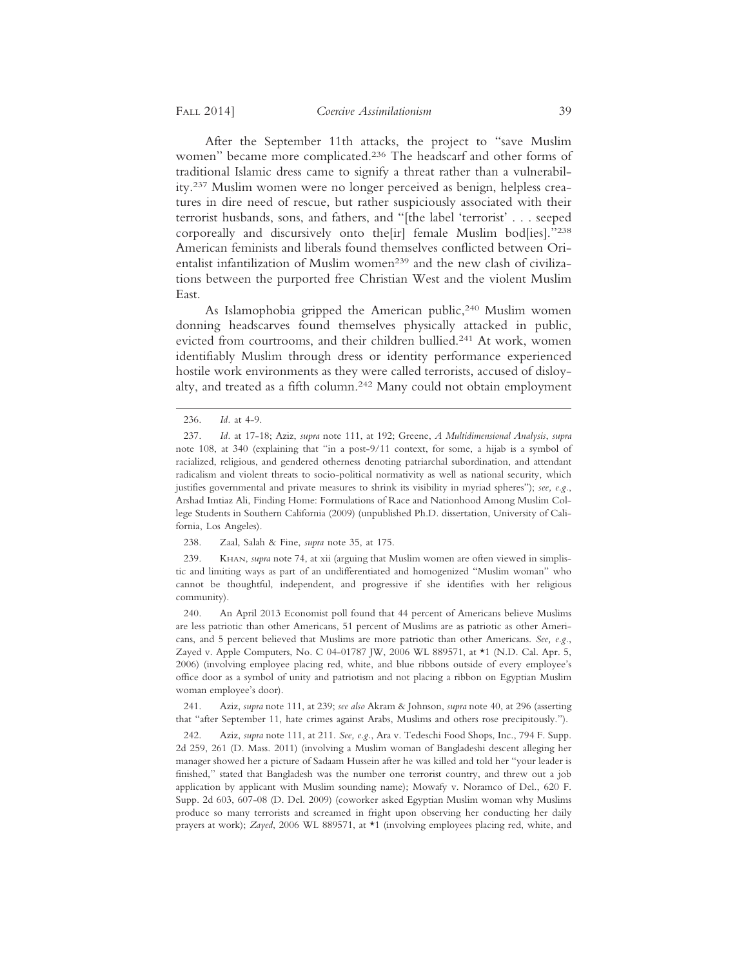After the September 11th attacks, the project to "save Muslim women" became more complicated.236 The headscarf and other forms of traditional Islamic dress came to signify a threat rather than a vulnerability.237 Muslim women were no longer perceived as benign, helpless creatures in dire need of rescue, but rather suspiciously associated with their terrorist husbands, sons, and fathers, and "[the label 'terrorist' . . . seeped corporeally and discursively onto the[ir] female Muslim bod[ies]."238 American feminists and liberals found themselves conflicted between Orientalist infantilization of Muslim women<sup>239</sup> and the new clash of civilizations between the purported free Christian West and the violent Muslim East.

As Islamophobia gripped the American public,<sup>240</sup> Muslim women donning headscarves found themselves physically attacked in public, evicted from courtrooms, and their children bullied.241 At work, women identifiably Muslim through dress or identity performance experienced hostile work environments as they were called terrorists, accused of disloyalty, and treated as a fifth column.242 Many could not obtain employment

238. Zaal, Salah & Fine, *supra* note 35, at 175.

239. KHAN, *supra* note 74, at xii (arguing that Muslim women are often viewed in simplistic and limiting ways as part of an undifferentiated and homogenized "Muslim woman" who cannot be thoughtful, independent, and progressive if she identifies with her religious community).

240. An April 2013 Economist poll found that 44 percent of Americans believe Muslims are less patriotic than other Americans, 51 percent of Muslims are as patriotic as other Americans, and 5 percent believed that Muslims are more patriotic than other Americans. *See, e.g.*, Zayed v. Apple Computers, No. C 04-01787 JW, 2006 WL 889571, at \*1 (N.D. Cal. Apr. 5, 2006) (involving employee placing red, white, and blue ribbons outside of every employee's office door as a symbol of unity and patriotism and not placing a ribbon on Egyptian Muslim woman employee's door).

241. Aziz, *supra* note 111, at 239; *see also* Akram & Johnson, *supra* note 40, at 296 (asserting that "after September 11, hate crimes against Arabs, Muslims and others rose precipitously.").

242. Aziz, *supra* note 111, at 211. *See, e.g.*, Ara v. Tedeschi Food Shops, Inc., 794 F. Supp. 2d 259, 261 (D. Mass. 2011) (involving a Muslim woman of Bangladeshi descent alleging her manager showed her a picture of Sadaam Hussein after he was killed and told her "your leader is finished," stated that Bangladesh was the number one terrorist country, and threw out a job application by applicant with Muslim sounding name); Mowafy v. Noramco of Del., 620 F. Supp. 2d 603, 607-08 (D. Del. 2009) (coworker asked Egyptian Muslim woman why Muslims produce so many terrorists and screamed in fright upon observing her conducting her daily prayers at work); *Zayed*, 2006 WL 889571, at \*1 (involving employees placing red, white, and

<sup>236.</sup> *Id.* at 4-9.

<sup>237.</sup> *Id.* at 17-18; Aziz, *supra* note 111, at 192; Greene, *A Multidimensional Analysis*, *supra* note 108, at 340 (explaining that "in a post-9/11 context, for some, a hijab is a symbol of racialized, religious, and gendered otherness denoting patriarchal subordination, and attendant radicalism and violent threats to socio-political normativity as well as national security, which justifies governmental and private measures to shrink its visibility in myriad spheres"); *see, e.g.*, Arshad Imtiaz Ali, Finding Home: Formulations of Race and Nationhood Among Muslim College Students in Southern California (2009) (unpublished Ph.D. dissertation, University of California, Los Angeles).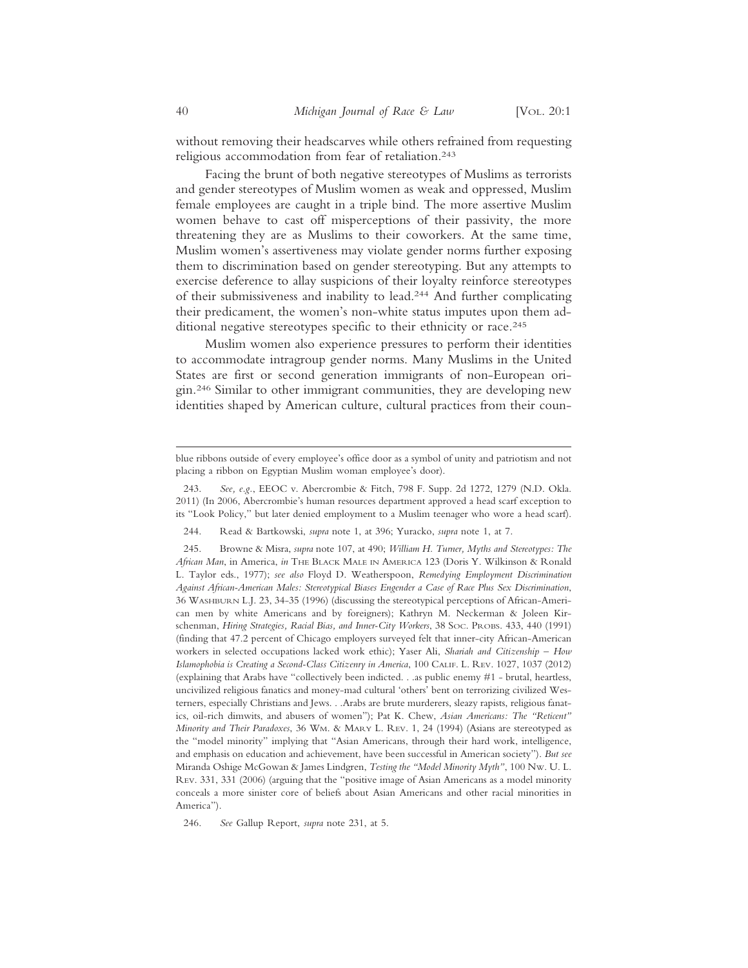without removing their headscarves while others refrained from requesting religious accommodation from fear of retaliation.243

Facing the brunt of both negative stereotypes of Muslims as terrorists and gender stereotypes of Muslim women as weak and oppressed, Muslim female employees are caught in a triple bind. The more assertive Muslim women behave to cast off misperceptions of their passivity, the more threatening they are as Muslims to their coworkers. At the same time, Muslim women's assertiveness may violate gender norms further exposing them to discrimination based on gender stereotyping. But any attempts to exercise deference to allay suspicions of their loyalty reinforce stereotypes of their submissiveness and inability to lead.244 And further complicating their predicament, the women's non-white status imputes upon them additional negative stereotypes specific to their ethnicity or race.<sup>245</sup>

Muslim women also experience pressures to perform their identities to accommodate intragroup gender norms. Many Muslims in the United States are first or second generation immigrants of non-European origin.246 Similar to other immigrant communities, they are developing new identities shaped by American culture, cultural practices from their coun-

blue ribbons outside of every employee's office door as a symbol of unity and patriotism and not placing a ribbon on Egyptian Muslim woman employee's door).

<sup>243.</sup> *See, e.g.*, EEOC v. Abercrombie & Fitch, 798 F. Supp. 2d 1272, 1279 (N.D. Okla. 2011) (In 2006, Abercrombie's human resources department approved a head scarf exception to its "Look Policy," but later denied employment to a Muslim teenager who wore a head scarf).

<sup>244.</sup> Read & Bartkowski, *supra* note 1, at 396; Yuracko, *supra* note 1, at 7.

<sup>245.</sup> Browne & Misra, *supra* note 107, at 490; *William H. Turner, Myths and Stereotypes: The African Man*, in America, *in* THE BLACK MALE IN AMERICA 123 (Doris Y. Wilkinson & Ronald L. Taylor eds., 1977); *see also* Floyd D. Weatherspoon, *Remedying Employment Discrimination Against African-American Males: Stereotypical Biases Engender a Case of Race Plus Sex Discrimination*, 36 WASHBURN L.J. 23, 34-35 (1996) (discussing the stereotypical perceptions of African-American men by white Americans and by foreigners); Kathryn M. Neckerman & Joleen Kirschenman, *Hiring Strategies, Racial Bias, and Inner-City Workers*, 38 SOC. PROBS. 433, 440 (1991) (finding that 47.2 percent of Chicago employers surveyed felt that inner-city African-American workers in selected occupations lacked work ethic); Yaser Ali, *Shariah and Citizenship – How Islamophobia is Creating a Second-Class Citizenry in America*, 100 CALIF. L. REV. 1027, 1037 (2012) (explaining that Arabs have "collectively been indicted. . .as public enemy #1 - brutal, heartless, uncivilized religious fanatics and money-mad cultural 'others' bent on terrorizing civilized Westerners, especially Christians and Jews. . .Arabs are brute murderers, sleazy rapists, religious fanatics, oil-rich dimwits, and abusers of women"); Pat K. Chew, *Asian Americans: The "Reticent" Minority and Their Paradoxes*, 36 WM. & MARY L. REV. 1, 24 (1994) (Asians are stereotyped as the "model minority" implying that "Asian Americans, through their hard work, intelligence, and emphasis on education and achievement, have been successful in American society"). *But see* Miranda Oshige McGowan & James Lindgren, *Testing the "Model Minority Myth"*, 100 NW. U. L. REV. 331, 331 (2006) (arguing that the "positive image of Asian Americans as a model minority conceals a more sinister core of beliefs about Asian Americans and other racial minorities in America").

<sup>246.</sup> *See* Gallup Report, *supra* note 231, at 5.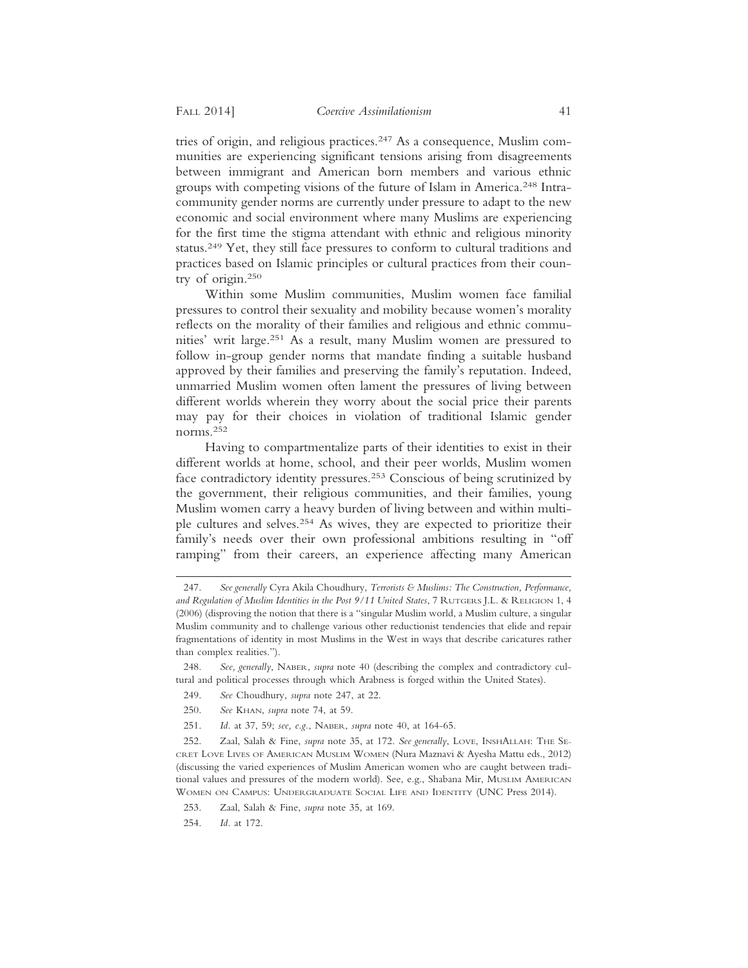tries of origin, and religious practices.247 As a consequence, Muslim communities are experiencing significant tensions arising from disagreements between immigrant and American born members and various ethnic groups with competing visions of the future of Islam in America.<sup>248</sup> Intracommunity gender norms are currently under pressure to adapt to the new economic and social environment where many Muslims are experiencing for the first time the stigma attendant with ethnic and religious minority status.249 Yet, they still face pressures to conform to cultural traditions and practices based on Islamic principles or cultural practices from their country of origin.250

Within some Muslim communities, Muslim women face familial pressures to control their sexuality and mobility because women's morality reflects on the morality of their families and religious and ethnic communities' writ large.251 As a result, many Muslim women are pressured to follow in-group gender norms that mandate finding a suitable husband approved by their families and preserving the family's reputation. Indeed, unmarried Muslim women often lament the pressures of living between different worlds wherein they worry about the social price their parents may pay for their choices in violation of traditional Islamic gender norms.252

Having to compartmentalize parts of their identities to exist in their different worlds at home, school, and their peer worlds, Muslim women face contradictory identity pressures.<sup>253</sup> Conscious of being scrutinized by the government, their religious communities, and their families, young Muslim women carry a heavy burden of living between and within multiple cultures and selves.254 As wives, they are expected to prioritize their family's needs over their own professional ambitions resulting in "off ramping" from their careers, an experience affecting many American

- 249. *See* Choudhury, *supra* note 247, at 22.
- 250. *See* KHAN, *supra* note 74, at 59.
- 251. *Id.* at 37, 59; *see, e.g.*, NABER, *supra* note 40, at 164-65.

252. Zaal, Salah & Fine, *supra* note 35, at 172. *See generally*, LOVE, INSHALLAH: THE SE-CRET LOVE LIVES OF AMERICAN MUSLIM WOMEN (Nura Maznavi & Ayesha Mattu eds., 2012) (discussing the varied experiences of Muslim American women who are caught between traditional values and pressures of the modern world). See, e.g., Shabana Mir, MUSLIM AMERICAN WOMEN ON CAMPUS: UNDERGRADUATE SOCIAL LIFE AND IDENTITY (UNC Press 2014).

<sup>247.</sup> *See generally* Cyra Akila Choudhury, *Terrorists & Muslims: The Construction, Performance, and Regulation of Muslim Identities in the Post 9/11 United States*, 7 RUTGERS J.L. & RELIGION 1, 4 (2006) (disproving the notion that there is a "singular Muslim world, a Muslim culture, a singular Muslim community and to challenge various other reductionist tendencies that elide and repair fragmentations of identity in most Muslims in the West in ways that describe caricatures rather than complex realities.").

<sup>248.</sup> *See, generally*, NABER, *supra* note 40 (describing the complex and contradictory cultural and political processes through which Arabness is forged within the United States).

<sup>253.</sup> Zaal, Salah & Fine, *supra* note 35, at 169.

<sup>254.</sup> *Id.* at 172.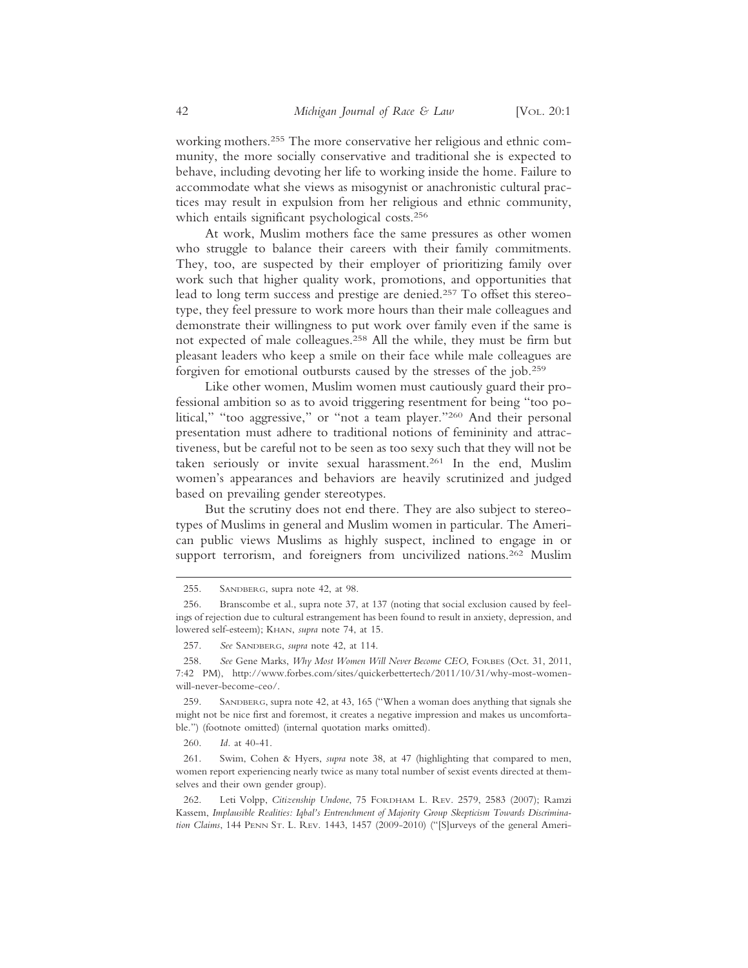working mothers.255 The more conservative her religious and ethnic community, the more socially conservative and traditional she is expected to behave, including devoting her life to working inside the home. Failure to accommodate what she views as misogynist or anachronistic cultural practices may result in expulsion from her religious and ethnic community, which entails significant psychological costs.<sup>256</sup>

At work, Muslim mothers face the same pressures as other women who struggle to balance their careers with their family commitments. They, too, are suspected by their employer of prioritizing family over work such that higher quality work, promotions, and opportunities that lead to long term success and prestige are denied.257 To offset this stereotype, they feel pressure to work more hours than their male colleagues and demonstrate their willingness to put work over family even if the same is not expected of male colleagues.258 All the while, they must be firm but pleasant leaders who keep a smile on their face while male colleagues are forgiven for emotional outbursts caused by the stresses of the job.259

Like other women, Muslim women must cautiously guard their professional ambition so as to avoid triggering resentment for being "too political," "too aggressive," or "not a team player."260 And their personal presentation must adhere to traditional notions of femininity and attractiveness, but be careful not to be seen as too sexy such that they will not be taken seriously or invite sexual harassment.261 In the end, Muslim women's appearances and behaviors are heavily scrutinized and judged based on prevailing gender stereotypes.

But the scrutiny does not end there. They are also subject to stereotypes of Muslims in general and Muslim women in particular. The American public views Muslims as highly suspect, inclined to engage in or support terrorism, and foreigners from uncivilized nations.<sup>262</sup> Muslim

260. *Id.* at 40-41.

261. Swim, Cohen & Hyers, *supra* note 38, at 47 (highlighting that compared to men, women report experiencing nearly twice as many total number of sexist events directed at themselves and their own gender group).

262. Leti Volpp, *Citizenship Undone*, 75 FORDHAM L. REV. 2579, 2583 (2007); Ramzi Kassem, *Implausible Realities: Iqbal's Entrenchment of Majority Group Skepticism Towards Discrimination Claims*, 144 PENN ST. L. REV. 1443, 1457 (2009-2010) ("[S]urveys of the general Ameri-

<sup>255.</sup> SANDBERG, supra note 42, at 98.

<sup>256.</sup> Branscombe et al., supra note 37, at 137 (noting that social exclusion caused by feelings of rejection due to cultural estrangement has been found to result in anxiety, depression, and lowered self-esteem); KHAN, *supra* note 74, at 15.

<sup>257.</sup> *See* SANDBERG, *supra* note 42, at 114.

<sup>258.</sup> *See* Gene Marks, *Why Most Women Will Never Become CEO*, FORBES (Oct. 31, 2011, 7:42 PM), http://www.forbes.com/sites/quickerbettertech/2011/10/31/why-most-womenwill-never-become-ceo/.

<sup>259.</sup> SANDBERG, supra note 42, at 43, 165 ("When a woman does anything that signals she might not be nice first and foremost, it creates a negative impression and makes us uncomfortable.") (footnote omitted) (internal quotation marks omitted).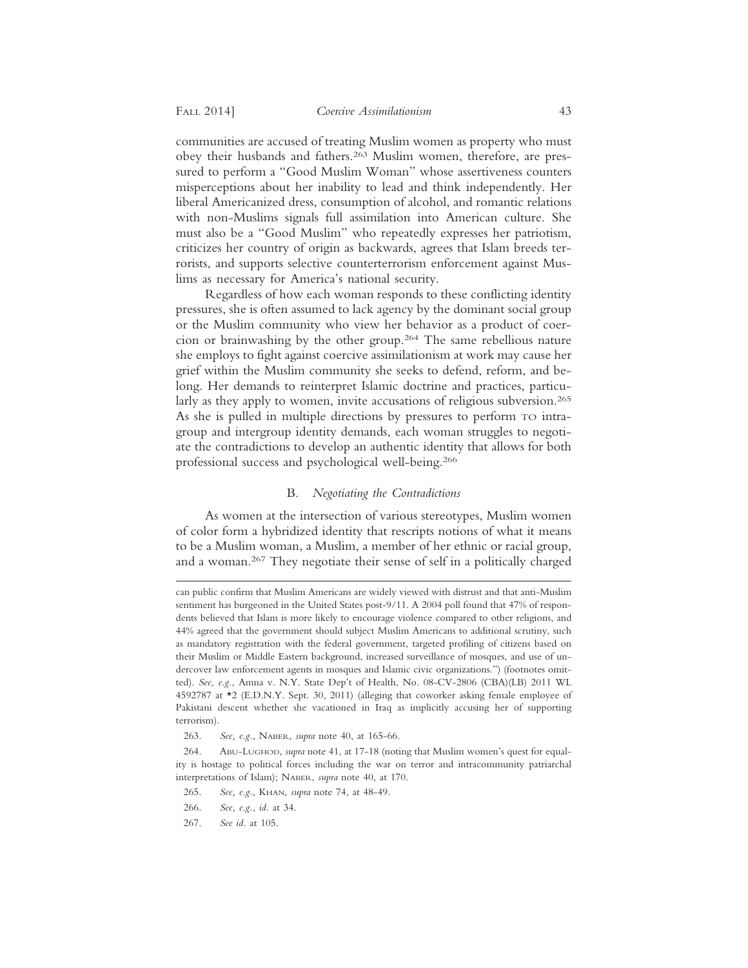communities are accused of treating Muslim women as property who must obey their husbands and fathers.263 Muslim women, therefore, are pressured to perform a "Good Muslim Woman" whose assertiveness counters misperceptions about her inability to lead and think independently. Her liberal Americanized dress, consumption of alcohol, and romantic relations with non-Muslims signals full assimilation into American culture. She must also be a "Good Muslim" who repeatedly expresses her patriotism, criticizes her country of origin as backwards, agrees that Islam breeds terrorists, and supports selective counterterrorism enforcement against Muslims as necessary for America's national security.

Regardless of how each woman responds to these conflicting identity pressures, she is often assumed to lack agency by the dominant social group or the Muslim community who view her behavior as a product of coercion or brainwashing by the other group.264 The same rebellious nature she employs to fight against coercive assimilationism at work may cause her grief within the Muslim community she seeks to defend, reform, and belong. Her demands to reinterpret Islamic doctrine and practices, particularly as they apply to women, invite accusations of religious subversion.<sup>265</sup> As she is pulled in multiple directions by pressures to perform TO intragroup and intergroup identity demands, each woman struggles to negotiate the contradictions to develop an authentic identity that allows for both professional success and psychological well-being.266

#### B. *Negotiating the Contradictions*

As women at the intersection of various stereotypes, Muslim women of color form a hybridized identity that rescripts notions of what it means to be a Muslim woman, a Muslim, a member of her ethnic or racial group, and a woman.267 They negotiate their sense of self in a politically charged

can public confirm that Muslim Americans are widely viewed with distrust and that anti-Muslim sentiment has burgeoned in the United States post-9/11. A 2004 poll found that 47% of respondents believed that Islam is more likely to encourage violence compared to other religions, and 44% agreed that the government should subject Muslim Americans to additional scrutiny, such as mandatory registration with the federal government, targeted profiling of citizens based on their Muslim or Middle Eastern background, increased surveillance of mosques, and use of undercover law enforcement agents in mosques and Islamic civic organizations.") (footnotes omitted). *See, e.g.*, Amna v. N.Y. State Dep't of Health, No. 08-CV-2806 (CBA)(LB) 2011 WL 4592787 at \*2 (E.D.N.Y. Sept. 30, 2011) (alleging that coworker asking female employee of Pakistani descent whether she vacationed in Iraq as implicitly accusing her of supporting terrorism).

<sup>263.</sup> *See, e.g.*, NABER, *supra* note 40, at 165-66.

<sup>264.</sup> ABU-LUGHOD, *supra* note 41, at 17-18 (noting that Muslim women's quest for equality is hostage to political forces including the war on terror and intracommunity patriarchal interpretations of Islam); NABER, *supra* note 40, at 170.

<sup>265.</sup> *See, e.g.*, KHAN, *supra* note 74, at 48-49.

<sup>266.</sup> *See, e.g.*, *id.* at 34.

<sup>267.</sup> *See id.* at 105.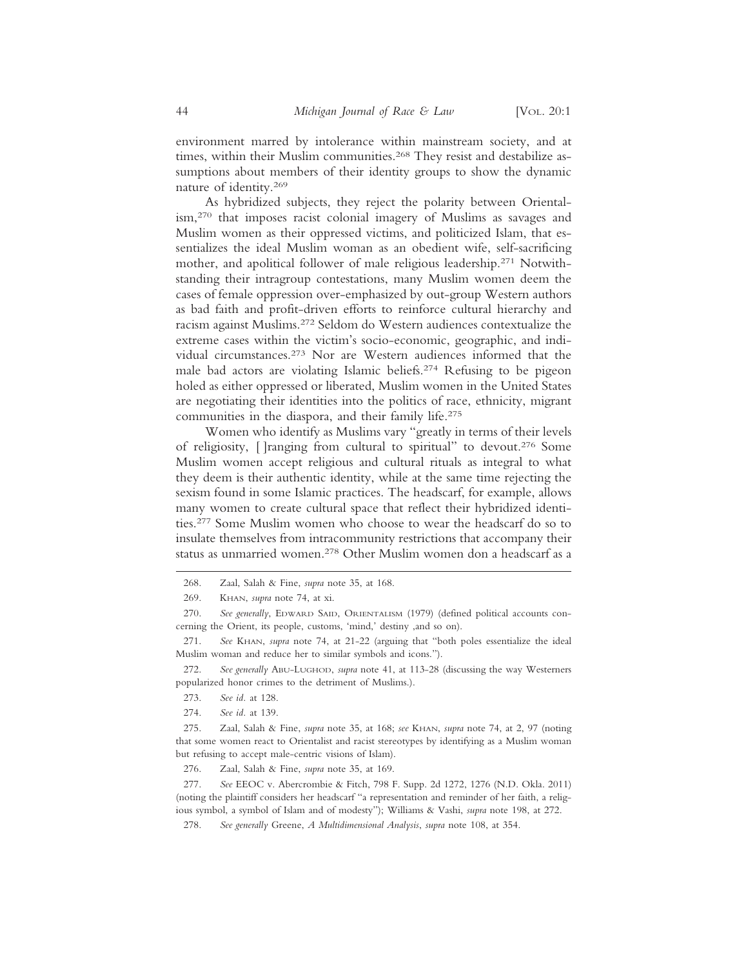environment marred by intolerance within mainstream society, and at times, within their Muslim communities.<sup>268</sup> They resist and destabilize assumptions about members of their identity groups to show the dynamic nature of identity.269

As hybridized subjects, they reject the polarity between Orientalism,270 that imposes racist colonial imagery of Muslims as savages and Muslim women as their oppressed victims, and politicized Islam, that essentializes the ideal Muslim woman as an obedient wife, self-sacrificing mother, and apolitical follower of male religious leadership.271 Notwithstanding their intragroup contestations, many Muslim women deem the cases of female oppression over-emphasized by out-group Western authors as bad faith and profit-driven efforts to reinforce cultural hierarchy and racism against Muslims.272 Seldom do Western audiences contextualize the extreme cases within the victim's socio-economic, geographic, and individual circumstances.273 Nor are Western audiences informed that the male bad actors are violating Islamic beliefs.274 Refusing to be pigeon holed as either oppressed or liberated, Muslim women in the United States are negotiating their identities into the politics of race, ethnicity, migrant communities in the diaspora, and their family life.275

Women who identify as Muslims vary "greatly in terms of their levels of religiosity, [ ]ranging from cultural to spiritual" to devout.276 Some Muslim women accept religious and cultural rituals as integral to what they deem is their authentic identity, while at the same time rejecting the sexism found in some Islamic practices. The headscarf, for example, allows many women to create cultural space that reflect their hybridized identities.277 Some Muslim women who choose to wear the headscarf do so to insulate themselves from intracommunity restrictions that accompany their status as unmarried women.278 Other Muslim women don a headscarf as a

274. *See id.* at 139.

275. Zaal, Salah & Fine, *supra* note 35, at 168; *see* KHAN, *supra* note 74, at 2, 97 (noting that some women react to Orientalist and racist stereotypes by identifying as a Muslim woman but refusing to accept male-centric visions of Islam).

276. Zaal, Salah & Fine, *supra* note 35, at 169.

277. *See* EEOC v. Abercrombie & Fitch, 798 F. Supp. 2d 1272, 1276 (N.D. Okla. 2011) (noting the plaintiff considers her headscarf "a representation and reminder of her faith, a religious symbol, a symbol of Islam and of modesty"); Williams & Vashi, *supra* note 198, at 272.

278. *See generally* Greene, *A Multidimensional Analysis*, *supra* note 108, at 354.

<sup>268.</sup> Zaal, Salah & Fine, *supra* note 35, at 168.

<sup>269.</sup> KHAN, *supra* note 74, at xi.

<sup>270.</sup> *See generally*, EDWARD SAID, ORIENTALISM (1979) (defined political accounts concerning the Orient, its people, customs, 'mind,' destiny ,and so on).

<sup>271.</sup> *See* KHAN, *supra* note 74, at 21-22 (arguing that "both poles essentialize the ideal Muslim woman and reduce her to similar symbols and icons.").

<sup>272.</sup> *See generally* ABU-LUGHOD, *supra* note 41, at 113-28 (discussing the way Westerners popularized honor crimes to the detriment of Muslims.).

<sup>273.</sup> *See id.* at 128.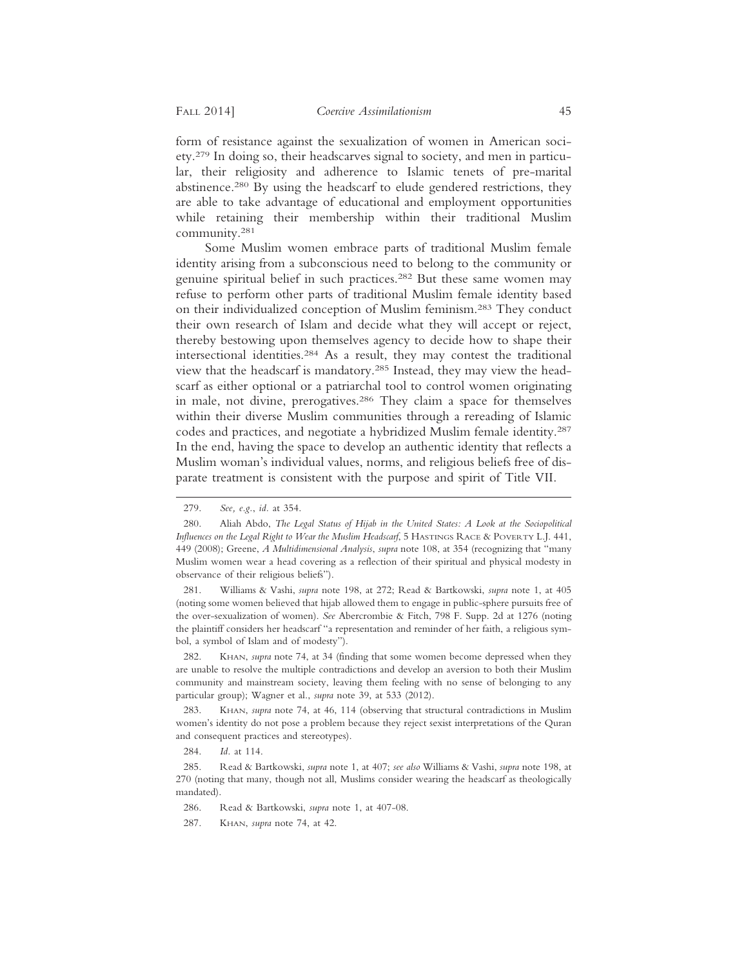form of resistance against the sexualization of women in American society.279 In doing so, their headscarves signal to society, and men in particular, their religiosity and adherence to Islamic tenets of pre-marital abstinence.280 By using the headscarf to elude gendered restrictions, they are able to take advantage of educational and employment opportunities while retaining their membership within their traditional Muslim community.281

Some Muslim women embrace parts of traditional Muslim female identity arising from a subconscious need to belong to the community or genuine spiritual belief in such practices.282 But these same women may refuse to perform other parts of traditional Muslim female identity based on their individualized conception of Muslim feminism.283 They conduct their own research of Islam and decide what they will accept or reject, thereby bestowing upon themselves agency to decide how to shape their intersectional identities.284 As a result, they may contest the traditional view that the headscarf is mandatory.285 Instead, they may view the headscarf as either optional or a patriarchal tool to control women originating in male, not divine, prerogatives.<sup>286</sup> They claim a space for themselves within their diverse Muslim communities through a rereading of Islamic codes and practices, and negotiate a hybridized Muslim female identity.287 In the end, having the space to develop an authentic identity that reflects a Muslim woman's individual values, norms, and religious beliefs free of disparate treatment is consistent with the purpose and spirit of Title VII.

281. Williams & Vashi, *supra* note 198, at 272; Read & Bartkowski, *supra* note 1, at 405 (noting some women believed that hijab allowed them to engage in public-sphere pursuits free of the over-sexualization of women). *See* Abercrombie & Fitch, 798 F. Supp. 2d at 1276 (noting the plaintiff considers her headscarf "a representation and reminder of her faith, a religious symbol, a symbol of Islam and of modesty").

282. KHAN, *supra* note 74, at 34 (finding that some women become depressed when they are unable to resolve the multiple contradictions and develop an aversion to both their Muslim community and mainstream society, leaving them feeling with no sense of belonging to any particular group); Wagner et al., *supra* note 39, at 533 (2012).

283. KHAN, *supra* note 74, at 46, 114 (observing that structural contradictions in Muslim women's identity do not pose a problem because they reject sexist interpretations of the Quran and consequent practices and stereotypes).

284. *Id.* at 114.

<sup>279.</sup> *See, e.g.*, *id.* at 354.

<sup>280.</sup> Aliah Abdo, *The Legal Status of Hijab in the United States: A Look at the Sociopolitical Influences on the Legal Right to Wear the Muslim Headscarf*, 5 HASTINGS RACE & POVERTY L.J. 441, 449 (2008); Greene, *A Multidimensional Analysis*, *supra* note 108, at 354 (recognizing that "many Muslim women wear a head covering as a reflection of their spiritual and physical modesty in observance of their religious beliefs").

<sup>285.</sup> Read & Bartkowski, *supra* note 1, at 407; *see also* Williams & Vashi, *supra* note 198, at 270 (noting that many, though not all, Muslims consider wearing the headscarf as theologically mandated).

<sup>286.</sup> Read & Bartkowski, *supra* note 1, at 407-08.

<sup>287.</sup> KHAN, *supra* note 74, at 42.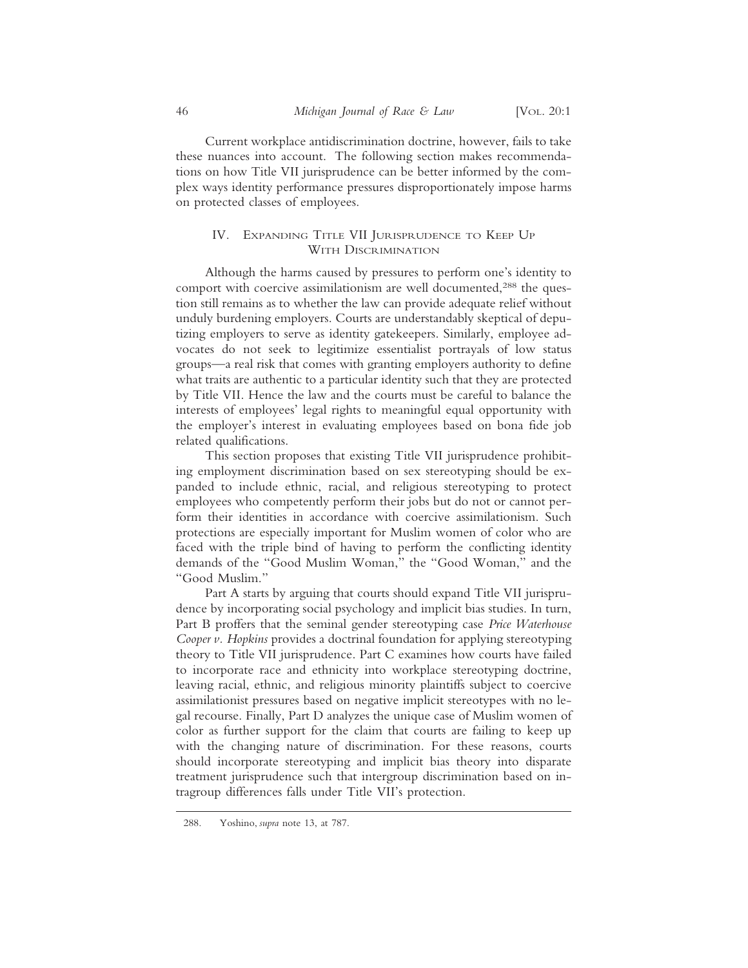Current workplace antidiscrimination doctrine, however, fails to take these nuances into account. The following section makes recommendations on how Title VII jurisprudence can be better informed by the complex ways identity performance pressures disproportionately impose harms on protected classes of employees.

# IV. EXPANDING TITLE VII JURISPRUDENCE TO KEEP UP WITH DISCRIMINATION

Although the harms caused by pressures to perform one's identity to comport with coercive assimilationism are well documented,<sup>288</sup> the question still remains as to whether the law can provide adequate relief without unduly burdening employers. Courts are understandably skeptical of deputizing employers to serve as identity gatekeepers. Similarly, employee advocates do not seek to legitimize essentialist portrayals of low status groups—a real risk that comes with granting employers authority to define what traits are authentic to a particular identity such that they are protected by Title VII. Hence the law and the courts must be careful to balance the interests of employees' legal rights to meaningful equal opportunity with the employer's interest in evaluating employees based on bona fide job related qualifications.

This section proposes that existing Title VII jurisprudence prohibiting employment discrimination based on sex stereotyping should be expanded to include ethnic, racial, and religious stereotyping to protect employees who competently perform their jobs but do not or cannot perform their identities in accordance with coercive assimilationism. Such protections are especially important for Muslim women of color who are faced with the triple bind of having to perform the conflicting identity demands of the "Good Muslim Woman," the "Good Woman," and the "Good Muslim."

Part A starts by arguing that courts should expand Title VII jurisprudence by incorporating social psychology and implicit bias studies. In turn, Part B proffers that the seminal gender stereotyping case *Price Waterhouse Cooper v. Hopkins* provides a doctrinal foundation for applying stereotyping theory to Title VII jurisprudence. Part C examines how courts have failed to incorporate race and ethnicity into workplace stereotyping doctrine, leaving racial, ethnic, and religious minority plaintiffs subject to coercive assimilationist pressures based on negative implicit stereotypes with no legal recourse. Finally, Part D analyzes the unique case of Muslim women of color as further support for the claim that courts are failing to keep up with the changing nature of discrimination. For these reasons, courts should incorporate stereotyping and implicit bias theory into disparate treatment jurisprudence such that intergroup discrimination based on intragroup differences falls under Title VII's protection.

<sup>288.</sup> Yoshino, *supra* note 13, at 787.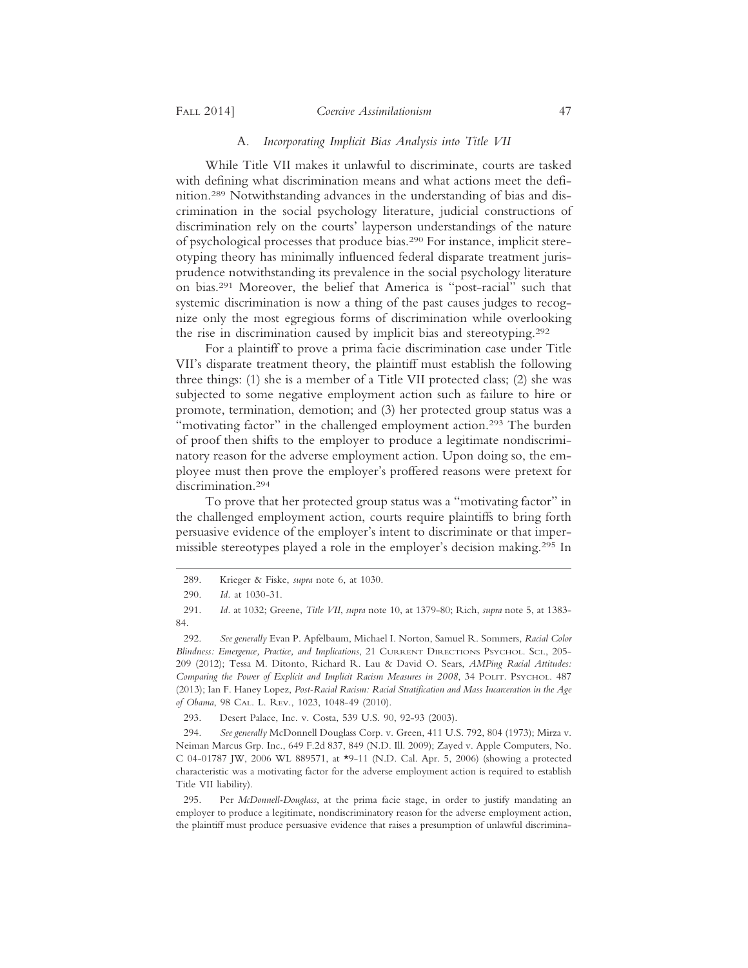#### FALL 2014] *Coercive Assimilationism* 47

#### A. *Incorporating Implicit Bias Analysis into Title VII*

While Title VII makes it unlawful to discriminate, courts are tasked with defining what discrimination means and what actions meet the definition.289 Notwithstanding advances in the understanding of bias and discrimination in the social psychology literature, judicial constructions of discrimination rely on the courts' layperson understandings of the nature of psychological processes that produce bias.290 For instance, implicit stereotyping theory has minimally influenced federal disparate treatment jurisprudence notwithstanding its prevalence in the social psychology literature on bias.291 Moreover, the belief that America is "post-racial" such that systemic discrimination is now a thing of the past causes judges to recognize only the most egregious forms of discrimination while overlooking the rise in discrimination caused by implicit bias and stereotyping.292

For a plaintiff to prove a prima facie discrimination case under Title VII's disparate treatment theory, the plaintiff must establish the following three things: (1) she is a member of a Title VII protected class; (2) she was subjected to some negative employment action such as failure to hire or promote, termination, demotion; and (3) her protected group status was a "motivating factor" in the challenged employment action.<sup>293</sup> The burden of proof then shifts to the employer to produce a legitimate nondiscriminatory reason for the adverse employment action. Upon doing so, the employee must then prove the employer's proffered reasons were pretext for discrimination.294

To prove that her protected group status was a "motivating factor" in the challenged employment action, courts require plaintiffs to bring forth persuasive evidence of the employer's intent to discriminate or that impermissible stereotypes played a role in the employer's decision making.295 In

<sup>289.</sup> Krieger & Fiske, *supra* note 6, at 1030.

<sup>290.</sup> *Id.* at 1030-31.

<sup>291.</sup> *Id.* at 1032; Greene, *Title VII*, *supra* note 10, at 1379-80; Rich, *supra* note 5, at 1383- 84.

<sup>292.</sup> *See generally* Evan P. Apfelbaum, Michael I. Norton, Samuel R. Sommers, *Racial Color Blindness: Emergence, Practice, and Implications*, 21 CURRENT DIRECTIONS PSYCHOL. SCI., 205- 209 (2012); Tessa M. Ditonto, Richard R. Lau & David O. Sears, *AMPing Racial Attitudes: Comparing the Power of Explicit and Implicit Racism Measures in 2008*, 34 POLIT. PSYCHOL. 487 (2013); Ian F. Haney Lopez, *Post-Racial Racism: Racial Stratification and Mass Incarceration in the Age of Obama*, 98 CAL. L. REV., 1023, 1048-49 (2010).

<sup>293.</sup> Desert Palace, Inc. v. Costa, 539 U.S. 90, 92-93 (2003).

<sup>294.</sup> *See generally* McDonnell Douglass Corp. v. Green, 411 U.S. 792, 804 (1973); Mirza v. Neiman Marcus Grp. Inc., 649 F.2d 837, 849 (N.D. Ill. 2009); Zayed v. Apple Computers, No. C 04-01787 JW, 2006 WL 889571, at \*9-11 (N.D. Cal. Apr. 5, 2006) (showing a protected characteristic was a motivating factor for the adverse employment action is required to establish Title VII liability).

<sup>295.</sup> Per *McDonnell-Douglass*, at the prima facie stage, in order to justify mandating an employer to produce a legitimate, nondiscriminatory reason for the adverse employment action, the plaintiff must produce persuasive evidence that raises a presumption of unlawful discrimina-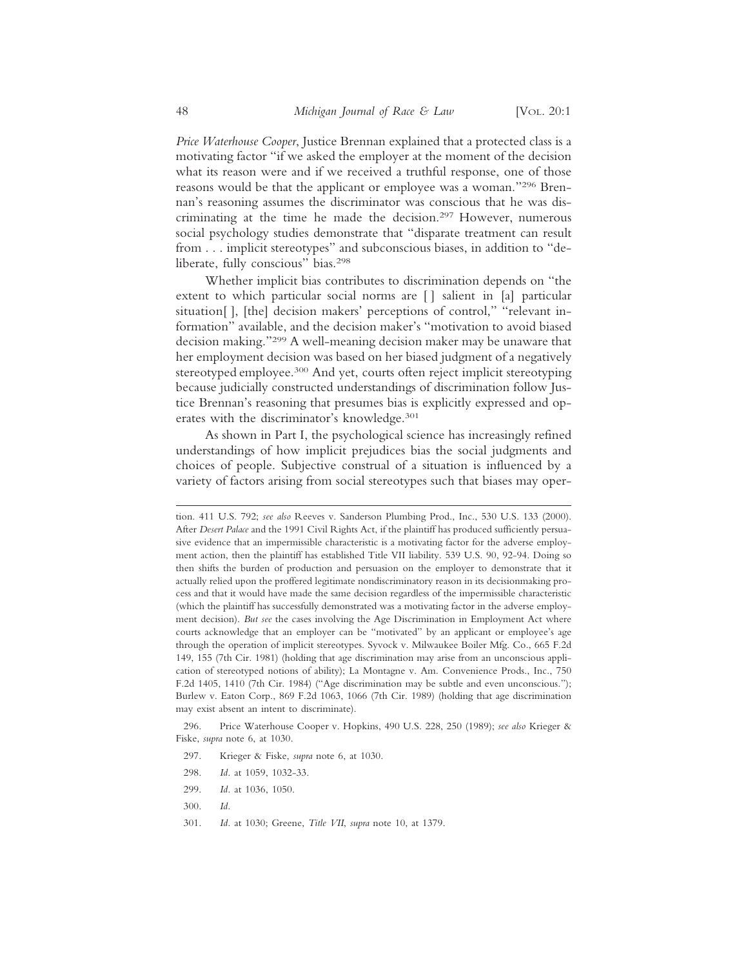*Price Waterhouse Cooper*, Justice Brennan explained that a protected class is a motivating factor "if we asked the employer at the moment of the decision what its reason were and if we received a truthful response, one of those reasons would be that the applicant or employee was a woman."296 Brennan's reasoning assumes the discriminator was conscious that he was discriminating at the time he made the decision.297 However, numerous social psychology studies demonstrate that "disparate treatment can result from . . . implicit stereotypes" and subconscious biases, in addition to "deliberate, fully conscious" bias.<sup>298</sup>

Whether implicit bias contributes to discrimination depends on "the extent to which particular social norms are [ ] salient in [a] particular situation[ ], [the] decision makers' perceptions of control," "relevant information" available, and the decision maker's "motivation to avoid biased decision making."299 A well-meaning decision maker may be unaware that her employment decision was based on her biased judgment of a negatively stereotyped employee.<sup>300</sup> And yet, courts often reject implicit stereotyping because judicially constructed understandings of discrimination follow Justice Brennan's reasoning that presumes bias is explicitly expressed and operates with the discriminator's knowledge.<sup>301</sup>

As shown in Part I, the psychological science has increasingly refined understandings of how implicit prejudices bias the social judgments and choices of people. Subjective construal of a situation is influenced by a variety of factors arising from social stereotypes such that biases may oper-

296. Price Waterhouse Cooper v. Hopkins, 490 U.S. 228, 250 (1989); *see also* Krieger & Fiske, *supra* note 6, at 1030.

- 297. Krieger & Fiske, *supra* note 6, at 1030.
- 298. *Id.* at 1059, 1032-33.
- 299. *Id.* at 1036, 1050.
- 300. *Id.*
- 301. *Id.* at 1030; Greene, *Title VII*, *supra* note 10, at 1379.

tion. 411 U.S. 792; *see also* Reeves v. Sanderson Plumbing Prod., Inc., 530 U.S. 133 (2000). After *Desert Palace* and the 1991 Civil Rights Act, if the plaintiff has produced sufficiently persuasive evidence that an impermissible characteristic is a motivating factor for the adverse employment action, then the plaintiff has established Title VII liability. 539 U.S. 90, 92-94. Doing so then shifts the burden of production and persuasion on the employer to demonstrate that it actually relied upon the proffered legitimate nondiscriminatory reason in its decisionmaking process and that it would have made the same decision regardless of the impermissible characteristic (which the plaintiff has successfully demonstrated was a motivating factor in the adverse employment decision). *But see* the cases involving the Age Discrimination in Employment Act where courts acknowledge that an employer can be "motivated" by an applicant or employee's age through the operation of implicit stereotypes. Syvock v. Milwaukee Boiler Mfg. Co., 665 F.2d 149, 155 (7th Cir. 1981) (holding that age discrimination may arise from an unconscious application of stereotyped notions of ability); La Montagne v. Am. Convenience Prods., Inc., 750 F.2d 1405, 1410 (7th Cir. 1984) ("Age discrimination may be subtle and even unconscious."); Burlew v. Eaton Corp., 869 F.2d 1063, 1066 (7th Cir. 1989) (holding that age discrimination may exist absent an intent to discriminate).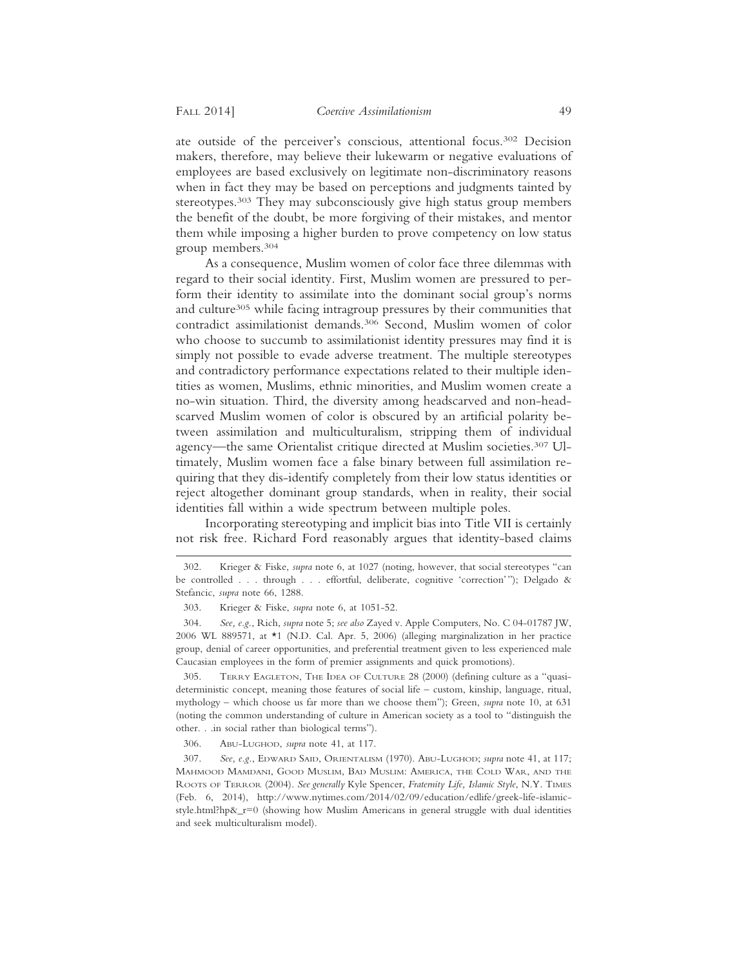ate outside of the perceiver's conscious, attentional focus.302 Decision makers, therefore, may believe their lukewarm or negative evaluations of employees are based exclusively on legitimate non-discriminatory reasons when in fact they may be based on perceptions and judgments tainted by stereotypes.<sup>303</sup> They may subconsciously give high status group members the benefit of the doubt, be more forgiving of their mistakes, and mentor them while imposing a higher burden to prove competency on low status group members.304

As a consequence, Muslim women of color face three dilemmas with regard to their social identity. First, Muslim women are pressured to perform their identity to assimilate into the dominant social group's norms and culture<sup>305</sup> while facing intragroup pressures by their communities that contradict assimilationist demands.306 Second, Muslim women of color who choose to succumb to assimilationist identity pressures may find it is simply not possible to evade adverse treatment. The multiple stereotypes and contradictory performance expectations related to their multiple identities as women, Muslims, ethnic minorities, and Muslim women create a no-win situation. Third, the diversity among headscarved and non-headscarved Muslim women of color is obscured by an artificial polarity between assimilation and multiculturalism, stripping them of individual agency—the same Orientalist critique directed at Muslim societies.<sup>307</sup> Ultimately, Muslim women face a false binary between full assimilation requiring that they dis-identify completely from their low status identities or reject altogether dominant group standards, when in reality, their social identities fall within a wide spectrum between multiple poles.

Incorporating stereotyping and implicit bias into Title VII is certainly not risk free. Richard Ford reasonably argues that identity-based claims

305. TERRY EAGLETON, THE IDEA OF CULTURE 28 (2000) (defining culture as a "quasideterministic concept, meaning those features of social life – custom, kinship, language, ritual, mythology – which choose us far more than we choose them"); Green, *supra* note 10, at 631 (noting the common understanding of culture in American society as a tool to "distinguish the other. . .in social rather than biological terms").

306. ABU-LUGHOD, *supra* note 41, at 117.

307. *See, e.g.*, EDWARD SAID, ORIENTALISM (1970). ABU-LUGHOD; *supra* note 41, at 117; MAHMOOD MAMDANI, GOOD MUSLIM, BAD MUSLIM: AMERICA, THE COLD WAR, AND THE ROOTS OF TERROR (2004). *See generally* Kyle Spencer, *Fraternity Life, Islamic Style*, N.Y. TIMES (Feb. 6, 2014), http://www.nytimes.com/2014/02/09/education/edlife/greek-life-islamicstyle.html?hp& $r=0$  (showing how Muslim Americans in general struggle with dual identities and seek multiculturalism model).

<sup>302.</sup> Krieger & Fiske, *supra* note 6, at 1027 (noting, however, that social stereotypes "can be controlled . . . through . . . effortful, deliberate, cognitive 'correction'"); Delgado & Stefancic, *supra* note 66, 1288.

<sup>303.</sup> Krieger & Fiske, *supra* note 6, at 1051-52.

<sup>304.</sup> *See, e.g.*, Rich, *supra* note 5; *see also* Zayed v. Apple Computers, No. C 04-01787 JW, 2006 WL 889571, at  $\star$ 1 (N.D. Cal. Apr. 5, 2006) (alleging marginalization in her practice group, denial of career opportunities, and preferential treatment given to less experienced male Caucasian employees in the form of premier assignments and quick promotions).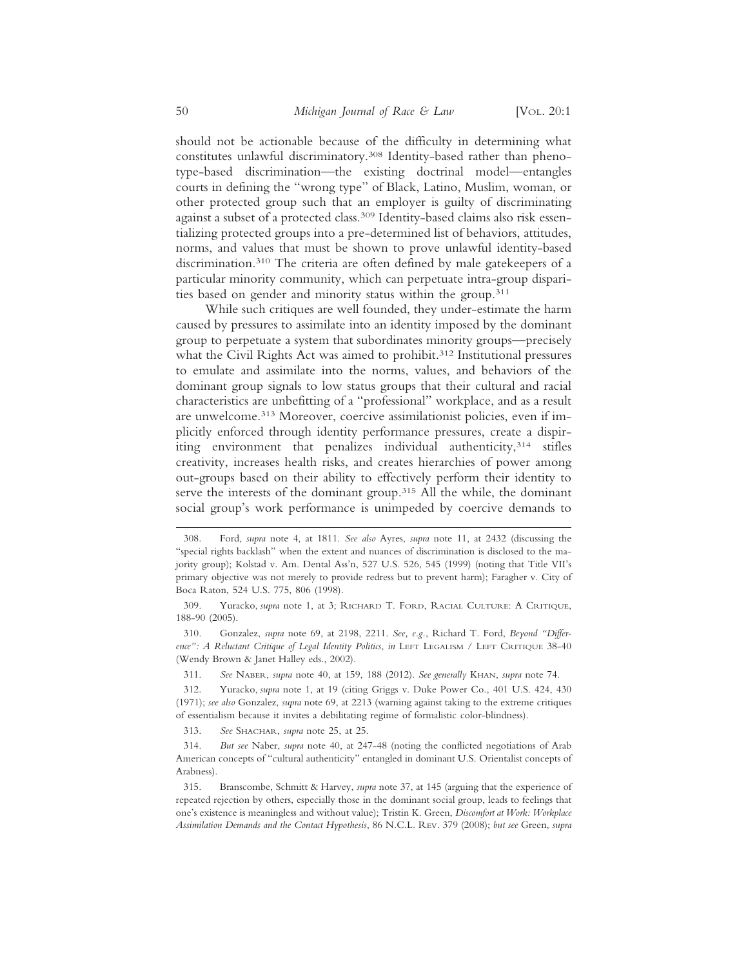should not be actionable because of the difficulty in determining what constitutes unlawful discriminatory.308 Identity-based rather than phenotype-based discrimination—the existing doctrinal model—entangles courts in defining the "wrong type" of Black, Latino, Muslim, woman, or other protected group such that an employer is guilty of discriminating against a subset of a protected class.309 Identity-based claims also risk essentializing protected groups into a pre-determined list of behaviors, attitudes, norms, and values that must be shown to prove unlawful identity-based discrimination.310 The criteria are often defined by male gatekeepers of a particular minority community, which can perpetuate intra-group disparities based on gender and minority status within the group.<sup>311</sup>

While such critiques are well founded, they under-estimate the harm caused by pressures to assimilate into an identity imposed by the dominant group to perpetuate a system that subordinates minority groups—precisely what the Civil Rights Act was aimed to prohibit.<sup>312</sup> Institutional pressures to emulate and assimilate into the norms, values, and behaviors of the dominant group signals to low status groups that their cultural and racial characteristics are unbefitting of a "professional" workplace, and as a result are unwelcome.313 Moreover, coercive assimilationist policies, even if implicitly enforced through identity performance pressures, create a dispiriting environment that penalizes individual authenticity,<sup>314</sup> stifles creativity, increases health risks, and creates hierarchies of power among out-groups based on their ability to effectively perform their identity to serve the interests of the dominant group.315 All the while, the dominant social group's work performance is unimpeded by coercive demands to

309. Yuracko, *supra* note 1, at 3; RICHARD T. FORD, RACIAL CULTURE: A CRITIQUE, 188-90 (2005).

310. Gonzalez, *supra* note 69, at 2198, 2211. *See, e.g.*, Richard T. Ford, *Beyond "Difference": A Reluctant Critique of Legal Identity Politics*, *in* LEFT LEGALISM / LEFT CRITIQUE 38-40 (Wendy Brown & Janet Halley eds., 2002).

311. *See* NABER, *supra* note 40, at 159, 188 (2012). *See generally* KHAN, *supra* note 74.

312. Yuracko, *supra* note 1, at 19 (citing Griggs v. Duke Power Co., 401 U.S. 424, 430 (1971); *see also* Gonzalez, *supra* note 69, at 2213 (warning against taking to the extreme critiques of essentialism because it invites a debilitating regime of formalistic color-blindness).

313. *See* SHACHAR, *supra* note 25, at 25.

314. *But see* Naber, *supra* note 40, at 247-48 (noting the conflicted negotiations of Arab American concepts of "cultural authenticity" entangled in dominant U.S. Orientalist concepts of Arabness).

315. Branscombe, Schmitt & Harvey, *supra* note 37, at 145 (arguing that the experience of repeated rejection by others, especially those in the dominant social group, leads to feelings that one's existence is meaningless and without value); Tristin K. Green, *Discomfort at Work: Workplace Assimilation Demands and the Contact Hypothesis*, 86 N.C.L. REV. 379 (2008); *but see* Green, *supra*

<sup>308.</sup> Ford, *supra* note 4, at 1811. *See also* Ayres, *supra* note 11, at 2432 (discussing the "special rights backlash" when the extent and nuances of discrimination is disclosed to the majority group); Kolstad v. Am. Dental Ass'n, 527 U.S. 526, 545 (1999) (noting that Title VII's primary objective was not merely to provide redress but to prevent harm); Faragher v. City of Boca Raton, 524 U.S. 775, 806 (1998).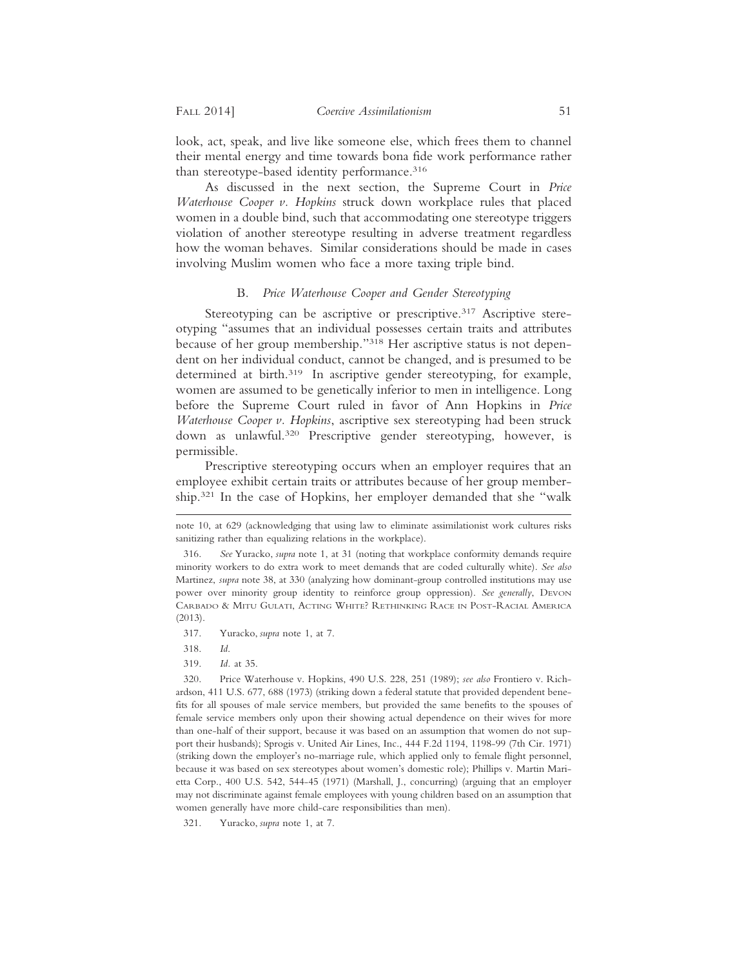look, act, speak, and live like someone else, which frees them to channel their mental energy and time towards bona fide work performance rather than stereotype-based identity performance.<sup>316</sup>

As discussed in the next section, the Supreme Court in *Price Waterhouse Cooper v. Hopkins* struck down workplace rules that placed women in a double bind, such that accommodating one stereotype triggers violation of another stereotype resulting in adverse treatment regardless how the woman behaves. Similar considerations should be made in cases involving Muslim women who face a more taxing triple bind.

#### B. *Price Waterhouse Cooper and Gender Stereotyping*

Stereotyping can be ascriptive or prescriptive.<sup>317</sup> Ascriptive stereotyping "assumes that an individual possesses certain traits and attributes because of her group membership."318 Her ascriptive status is not dependent on her individual conduct, cannot be changed, and is presumed to be determined at birth.<sup>319</sup> In ascriptive gender stereotyping, for example, women are assumed to be genetically inferior to men in intelligence. Long before the Supreme Court ruled in favor of Ann Hopkins in *Price Waterhouse Cooper v. Hopkins*, ascriptive sex stereotyping had been struck down as unlawful.320 Prescriptive gender stereotyping, however, is permissible.

Prescriptive stereotyping occurs when an employer requires that an employee exhibit certain traits or attributes because of her group membership.321 In the case of Hopkins, her employer demanded that she "walk

317. Yuracko, *supra* note 1, at 7.

318. *Id*.

319. *Id.* at 35.

note 10, at 629 (acknowledging that using law to eliminate assimilationist work cultures risks sanitizing rather than equalizing relations in the workplace).

<sup>316.</sup> *See* Yuracko, *supra* note 1, at 31 (noting that workplace conformity demands require minority workers to do extra work to meet demands that are coded culturally white). *See also* Martinez, *supra* note 38, at 330 (analyzing how dominant-group controlled institutions may use power over minority group identity to reinforce group oppression). *See generally*, DEVON CARBADO & MITU GULATI, ACTING WHITE? RETHINKING RACE IN POST-RACIAL AMERICA (2013).

<sup>320.</sup> Price Waterhouse v. Hopkins, 490 U.S. 228, 251 (1989); *see also* Frontiero v. Richardson, 411 U.S. 677, 688 (1973) (striking down a federal statute that provided dependent benefits for all spouses of male service members, but provided the same benefits to the spouses of female service members only upon their showing actual dependence on their wives for more than one-half of their support, because it was based on an assumption that women do not support their husbands); Sprogis v. United Air Lines, Inc., 444 F.2d 1194, 1198-99 (7th Cir. 1971) (striking down the employer's no-marriage rule, which applied only to female flight personnel, because it was based on sex stereotypes about women's domestic role); Phillips v. Martin Marietta Corp., 400 U.S. 542, 544-45 (1971) (Marshall, J., concurring) (arguing that an employer may not discriminate against female employees with young children based on an assumption that women generally have more child-care responsibilities than men).

<sup>321.</sup> Yuracko, *supra* note 1, at 7.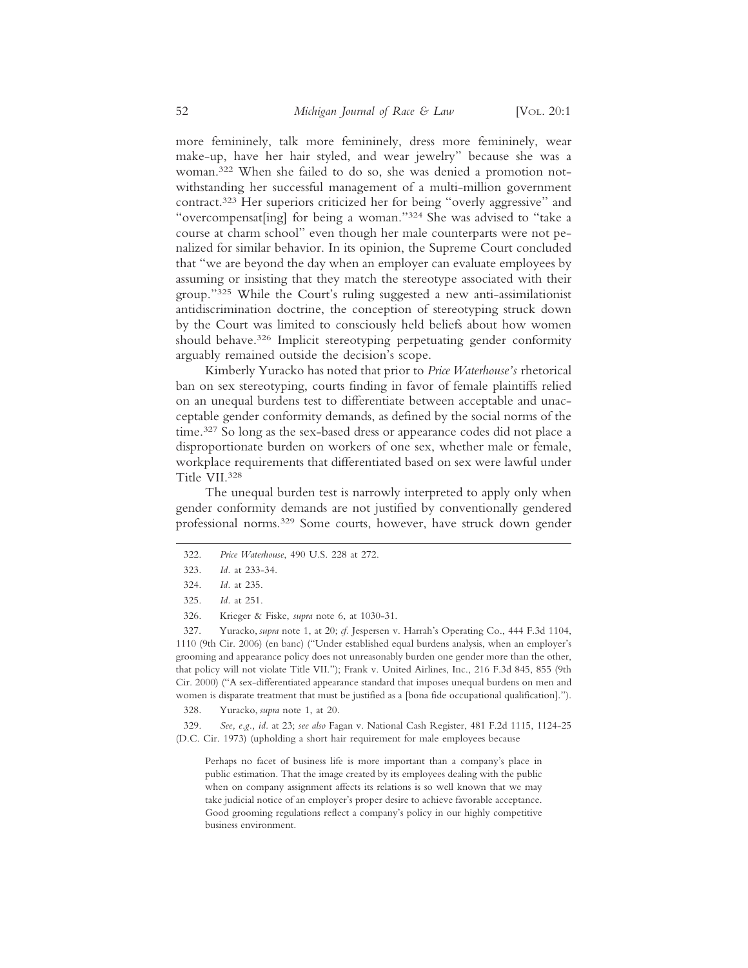more femininely, talk more femininely, dress more femininely, wear make-up, have her hair styled, and wear jewelry" because she was a woman.322 When she failed to do so, she was denied a promotion notwithstanding her successful management of a multi-million government contract.323 Her superiors criticized her for being "overly aggressive" and "overcompensat[ing] for being a woman."324 She was advised to "take a course at charm school" even though her male counterparts were not penalized for similar behavior. In its opinion, the Supreme Court concluded that "we are beyond the day when an employer can evaluate employees by assuming or insisting that they match the stereotype associated with their group."325 While the Court's ruling suggested a new anti-assimilationist antidiscrimination doctrine, the conception of stereotyping struck down by the Court was limited to consciously held beliefs about how women should behave.<sup>326</sup> Implicit stereotyping perpetuating gender conformity arguably remained outside the decision's scope.

Kimberly Yuracko has noted that prior to *Price Waterhouse's* rhetorical ban on sex stereotyping, courts finding in favor of female plaintiffs relied on an unequal burdens test to differentiate between acceptable and unacceptable gender conformity demands, as defined by the social norms of the time.327 So long as the sex-based dress or appearance codes did not place a disproportionate burden on workers of one sex, whether male or female, workplace requirements that differentiated based on sex were lawful under Title VII.328

The unequal burden test is narrowly interpreted to apply only when gender conformity demands are not justified by conventionally gendered professional norms.329 Some courts, however, have struck down gender

327. Yuracko, *supra* note 1, at 20; *cf.* Jespersen v. Harrah's Operating Co., 444 F.3d 1104, 1110 (9th Cir. 2006) (en banc) ("Under established equal burdens analysis, when an employer's grooming and appearance policy does not unreasonably burden one gender more than the other, that policy will not violate Title VII."); Frank v. United Airlines, Inc., 216 F.3d 845, 855 (9th Cir. 2000) ("A sex-differentiated appearance standard that imposes unequal burdens on men and women is disparate treatment that must be justified as a [bona fide occupational qualification].").

328. Yuracko, *supra* note 1, at 20.

329. *See, e.g., id.* at 23; *see also* Fagan v. National Cash Register, 481 F.2d 1115, 1124-25 (D.C. Cir. 1973) (upholding a short hair requirement for male employees because

Perhaps no facet of business life is more important than a company's place in public estimation. That the image created by its employees dealing with the public when on company assignment affects its relations is so well known that we may take judicial notice of an employer's proper desire to achieve favorable acceptance. Good grooming regulations reflect a company's policy in our highly competitive business environment.

<sup>322.</sup> *Price Waterhouse*, 490 U.S. 228 at 272.

<sup>323.</sup> *Id.* at 233-34.

<sup>324.</sup> *Id.* at 235.

<sup>325.</sup> *Id.* at 251.

<sup>326.</sup> Krieger & Fiske, *supra* note 6, at 1030-31.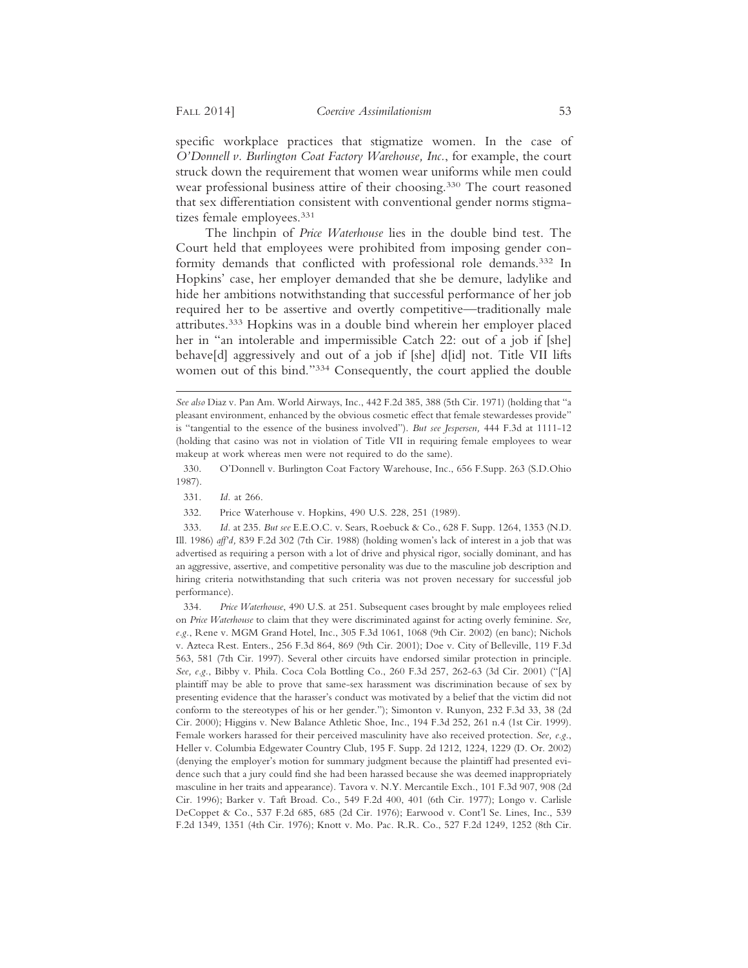specific workplace practices that stigmatize women. In the case of *O'Donnell v. Burlington Coat Factory Warehouse, Inc.*, for example, the court struck down the requirement that women wear uniforms while men could wear professional business attire of their choosing.<sup>330</sup> The court reasoned that sex differentiation consistent with conventional gender norms stigmatizes female employees.331

The linchpin of *Price Waterhouse* lies in the double bind test. The Court held that employees were prohibited from imposing gender conformity demands that conflicted with professional role demands.<sup>332</sup> In Hopkins' case, her employer demanded that she be demure, ladylike and hide her ambitions notwithstanding that successful performance of her job required her to be assertive and overtly competitive—traditionally male attributes.333 Hopkins was in a double bind wherein her employer placed her in "an intolerable and impermissible Catch 22: out of a job if [she] behave[d] aggressively and out of a job if [she] d[id] not. Title VII lifts women out of this bind."334 Consequently, the court applied the double

330. O'Donnell v. Burlington Coat Factory Warehouse, Inc., 656 F.Supp. 263 (S.D.Ohio 1987).

331. *Id.* at 266.

332. Price Waterhouse v. Hopkins, 490 U.S. 228, 251 (1989).

333. *Id.* at 235. *But see* E.E.O.C. v. Sears, Roebuck & Co., 628 F. Supp. 1264, 1353 (N.D. Ill. 1986) *aff'd,* 839 F.2d 302 (7th Cir. 1988) (holding women's lack of interest in a job that was advertised as requiring a person with a lot of drive and physical rigor, socially dominant, and has an aggressive, assertive, and competitive personality was due to the masculine job description and hiring criteria notwithstanding that such criteria was not proven necessary for successful job performance).

334. *Price Waterhouse*, 490 U.S. at 251. Subsequent cases brought by male employees relied on *Price Waterhouse* to claim that they were discriminated against for acting overly feminine. *See, e.g.*, Rene v. MGM Grand Hotel, Inc., 305 F.3d 1061, 1068 (9th Cir. 2002) (en banc); Nichols v. Azteca Rest. Enters., 256 F.3d 864, 869 (9th Cir. 2001); Doe v. City of Belleville, 119 F.3d 563, 581 (7th Cir. 1997). Several other circuits have endorsed similar protection in principle. *See, e.g.*, Bibby v. Phila. Coca Cola Bottling Co., 260 F.3d 257, 262-63 (3d Cir. 2001) ("[A] plaintiff may be able to prove that same-sex harassment was discrimination because of sex by presenting evidence that the harasser's conduct was motivated by a belief that the victim did not conform to the stereotypes of his or her gender."); Simonton v. Runyon, 232 F.3d 33, 38 (2d Cir. 2000); Higgins v. New Balance Athletic Shoe, Inc., 194 F.3d 252, 261 n.4 (1st Cir. 1999). Female workers harassed for their perceived masculinity have also received protection. *See, e.g.*, Heller v. Columbia Edgewater Country Club, 195 F. Supp. 2d 1212, 1224, 1229 (D. Or. 2002) (denying the employer's motion for summary judgment because the plaintiff had presented evidence such that a jury could find she had been harassed because she was deemed inappropriately masculine in her traits and appearance). Tavora v. N.Y. Mercantile Exch., 101 F.3d 907, 908 (2d Cir. 1996); Barker v. Taft Broad. Co., 549 F.2d 400, 401 (6th Cir. 1977); Longo v. Carlisle DeCoppet & Co., 537 F.2d 685, 685 (2d Cir. 1976); Earwood v. Cont'l Se. Lines, Inc., 539 F.2d 1349, 1351 (4th Cir. 1976); Knott v. Mo. Pac. R.R. Co., 527 F.2d 1249, 1252 (8th Cir.

*See also* Diaz v. Pan Am. World Airways, Inc., 442 F.2d 385, 388 (5th Cir. 1971) (holding that "a pleasant environment, enhanced by the obvious cosmetic effect that female stewardesses provide" is "tangential to the essence of the business involved"). *But see Jespersen,* 444 F.3d at 1111-12 (holding that casino was not in violation of Title VII in requiring female employees to wear makeup at work whereas men were not required to do the same).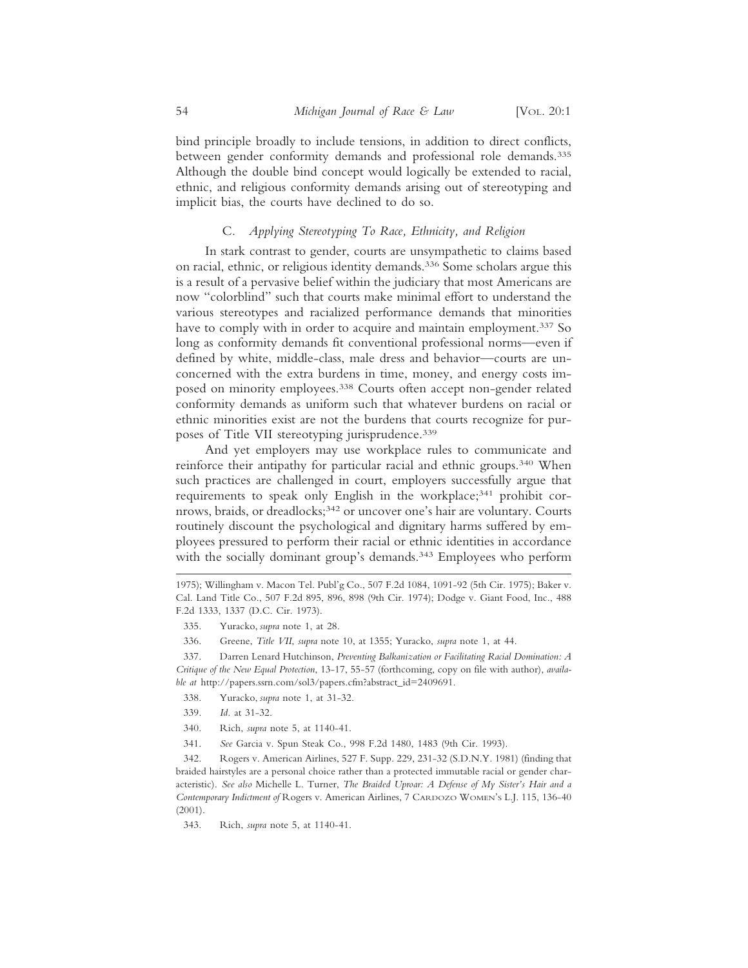bind principle broadly to include tensions, in addition to direct conflicts, between gender conformity demands and professional role demands.335 Although the double bind concept would logically be extended to racial, ethnic, and religious conformity demands arising out of stereotyping and implicit bias, the courts have declined to do so.

#### C. *Applying Stereotyping To Race, Ethnicity, and Religion*

In stark contrast to gender, courts are unsympathetic to claims based on racial, ethnic, or religious identity demands.336 Some scholars argue this is a result of a pervasive belief within the judiciary that most Americans are now "colorblind" such that courts make minimal effort to understand the various stereotypes and racialized performance demands that minorities have to comply with in order to acquire and maintain employment.<sup>337</sup> So long as conformity demands fit conventional professional norms—even if defined by white, middle-class, male dress and behavior—courts are unconcerned with the extra burdens in time, money, and energy costs imposed on minority employees.<sup>338</sup> Courts often accept non-gender related conformity demands as uniform such that whatever burdens on racial or ethnic minorities exist are not the burdens that courts recognize for purposes of Title VII stereotyping jurisprudence.<sup>339</sup>

And yet employers may use workplace rules to communicate and reinforce their antipathy for particular racial and ethnic groups.<sup>340</sup> When such practices are challenged in court, employers successfully argue that requirements to speak only English in the workplace;<sup>341</sup> prohibit cornrows, braids, or dreadlocks;<sup>342</sup> or uncover one's hair are voluntary. Courts routinely discount the psychological and dignitary harms suffered by employees pressured to perform their racial or ethnic identities in accordance with the socially dominant group's demands.<sup>343</sup> Employees who perform

336. Greene, *Title VII*, *supra* note 10, at 1355; Yuracko, *supra* note 1, at 44.

337. Darren Lenard Hutchinson, *Preventing Balkanization or Facilitating Racial Domination: A Critique of the New Equal Protection*, 13-17, 55-57 (forthcoming, copy on file with author), *available at* http://papers.ssrn.com/sol3/papers.cfm?abstract\_id=2409691.

- 338. Yuracko, *supra* note 1, at 31-32.
- 339. *Id.* at 31-32.
- 340. Rich, *supra* note 5, at 1140-41.
- 341. *See* Garcia v. Spun Steak Co., 998 F.2d 1480, 1483 (9th Cir. 1993).

342. Rogers v. American Airlines, 527 F. Supp. 229, 231-32 (S.D.N.Y. 1981) (finding that braided hairstyles are a personal choice rather than a protected immutable racial or gender characteristic). *See also* Michelle L. Turner, *The Braided Uproar: A Defense of My Sister's Hair and a Contemporary Indictment of* Rogers v. American Airlines, 7 CARDOZO WOMEN'S L.J. 115, 136-40 (2001).

343. Rich, *supra* note 5, at 1140-41.

<sup>1975);</sup> Willingham v. Macon Tel. Publ'g Co., 507 F.2d 1084, 1091-92 (5th Cir. 1975); Baker v. Cal. Land Title Co., 507 F.2d 895, 896, 898 (9th Cir. 1974); Dodge v. Giant Food, Inc., 488 F.2d 1333, 1337 (D.C. Cir. 1973).

<sup>335.</sup> Yuracko, *supra* note 1, at 28.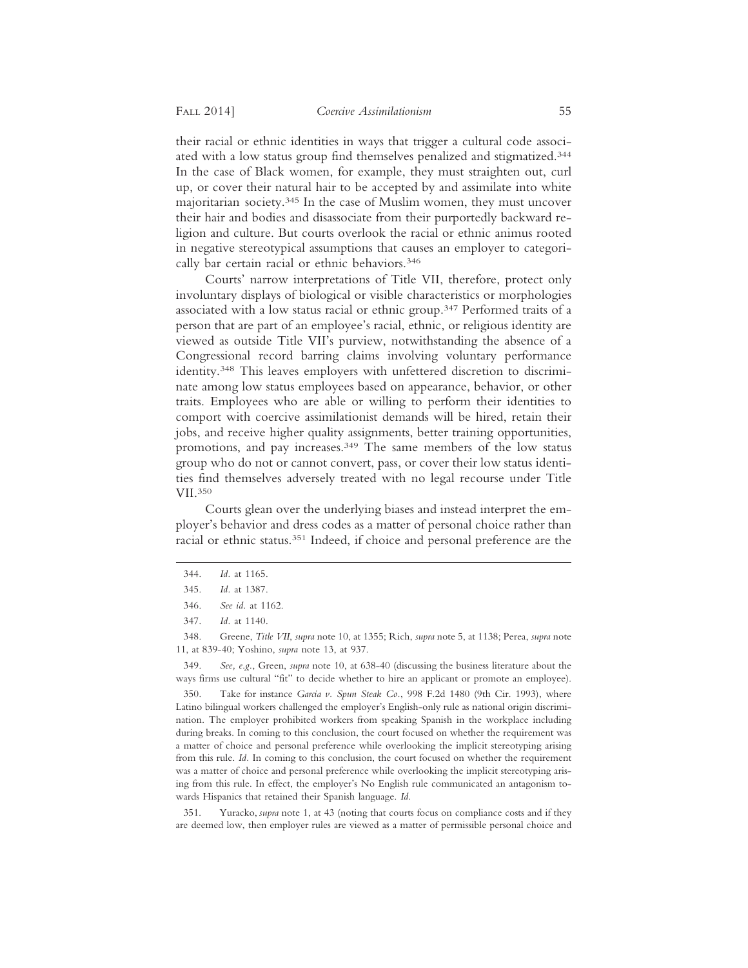their racial or ethnic identities in ways that trigger a cultural code associated with a low status group find themselves penalized and stigmatized.344 In the case of Black women, for example, they must straighten out, curl up, or cover their natural hair to be accepted by and assimilate into white majoritarian society.345 In the case of Muslim women, they must uncover their hair and bodies and disassociate from their purportedly backward religion and culture. But courts overlook the racial or ethnic animus rooted in negative stereotypical assumptions that causes an employer to categorically bar certain racial or ethnic behaviors.<sup>346</sup>

Courts' narrow interpretations of Title VII, therefore, protect only involuntary displays of biological or visible characteristics or morphologies associated with a low status racial or ethnic group.347 Performed traits of a person that are part of an employee's racial, ethnic, or religious identity are viewed as outside Title VII's purview, notwithstanding the absence of a Congressional record barring claims involving voluntary performance identity.348 This leaves employers with unfettered discretion to discriminate among low status employees based on appearance, behavior, or other traits. Employees who are able or willing to perform their identities to comport with coercive assimilationist demands will be hired, retain their jobs, and receive higher quality assignments, better training opportunities, promotions, and pay increases.349 The same members of the low status group who do not or cannot convert, pass, or cover their low status identities find themselves adversely treated with no legal recourse under Title VII.350

Courts glean over the underlying biases and instead interpret the employer's behavior and dress codes as a matter of personal choice rather than racial or ethnic status.351 Indeed, if choice and personal preference are the

349. *See, e.g.*, Green, *supra* note 10, at 638-40 (discussing the business literature about the ways firms use cultural "fit" to decide whether to hire an applicant or promote an employee).

350. Take for instance *Garcia v. Spun Steak Co.*, 998 F.2d 1480 (9th Cir. 1993), where Latino bilingual workers challenged the employer's English-only rule as national origin discrimination. The employer prohibited workers from speaking Spanish in the workplace including during breaks. In coming to this conclusion, the court focused on whether the requirement was a matter of choice and personal preference while overlooking the implicit stereotyping arising from this rule. *Id.* In coming to this conclusion, the court focused on whether the requirement was a matter of choice and personal preference while overlooking the implicit stereotyping arising from this rule. In effect, the employer's No English rule communicated an antagonism towards Hispanics that retained their Spanish language. *Id.*

351. Yuracko, *supra* note 1, at 43 (noting that courts focus on compliance costs and if they are deemed low, then employer rules are viewed as a matter of permissible personal choice and

<sup>344.</sup> *Id.* at 1165.

<sup>345.</sup> *Id.* at 1387.

<sup>346.</sup> *See id.* at 1162.

<sup>347.</sup> *Id.* at 1140.

<sup>348.</sup> Greene, *Title VII*, *supra* note 10, at 1355; Rich, *supra* note 5, at 1138; Perea, *supra* note 11, at 839-40; Yoshino, *supra* note 13, at 937.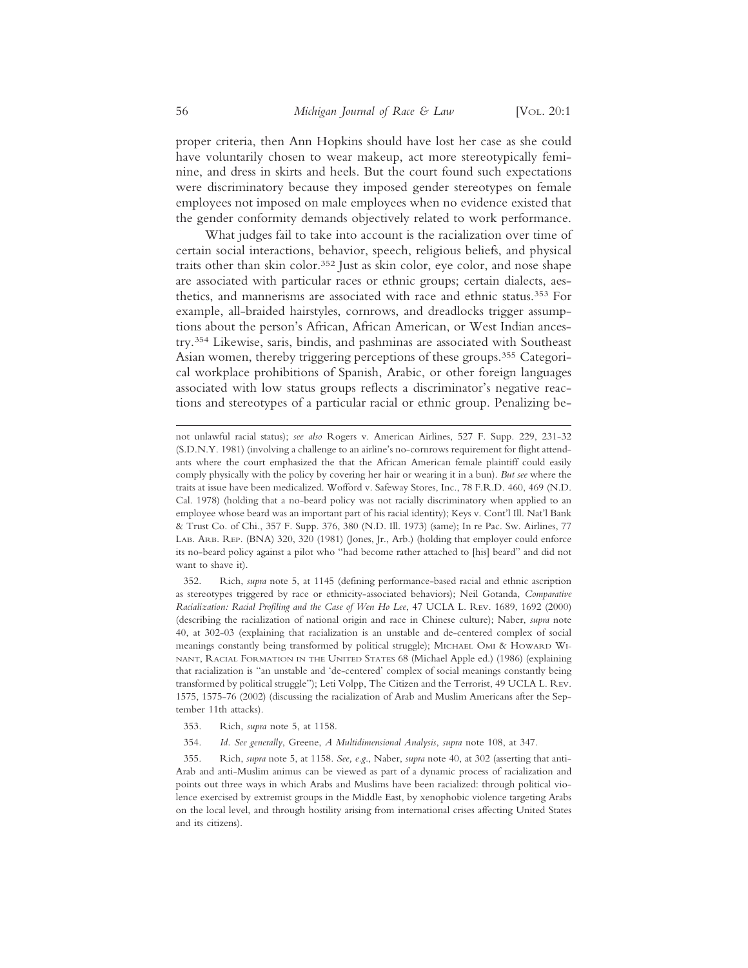proper criteria, then Ann Hopkins should have lost her case as she could have voluntarily chosen to wear makeup, act more stereotypically feminine, and dress in skirts and heels. But the court found such expectations were discriminatory because they imposed gender stereotypes on female employees not imposed on male employees when no evidence existed that the gender conformity demands objectively related to work performance.

What judges fail to take into account is the racialization over time of certain social interactions, behavior, speech, religious beliefs, and physical traits other than skin color.<sup>352</sup> Just as skin color, eye color, and nose shape are associated with particular races or ethnic groups; certain dialects, aesthetics, and mannerisms are associated with race and ethnic status.353 For example, all-braided hairstyles, cornrows, and dreadlocks trigger assumptions about the person's African, African American, or West Indian ancestry.354 Likewise, saris, bindis, and pashminas are associated with Southeast Asian women, thereby triggering perceptions of these groups.355 Categorical workplace prohibitions of Spanish, Arabic, or other foreign languages associated with low status groups reflects a discriminator's negative reactions and stereotypes of a particular racial or ethnic group. Penalizing be-

352. Rich, *supra* note 5, at 1145 (defining performance-based racial and ethnic ascription as stereotypes triggered by race or ethnicity-associated behaviors); Neil Gotanda, *Comparative Racialization: Racial Profiling and the Case of Wen Ho Lee*, 47 UCLA L. REV. 1689, 1692 (2000) (describing the racialization of national origin and race in Chinese culture); Naber, *supra* note 40, at 302-03 (explaining that racialization is an unstable and de-centered complex of social meanings constantly being transformed by political struggle); MICHAEL OMI & HOWARD WI-NANT, RACIAL FORMATION IN THE UNITED STATES 68 (Michael Apple ed.) (1986) (explaining that racialization is "an unstable and 'de-centered' complex of social meanings constantly being transformed by political struggle"); Leti Volpp, The Citizen and the Terrorist, 49 UCLA L. REV. 1575, 1575-76 (2002) (discussing the racialization of Arab and Muslim Americans after the September 11th attacks).

- 353. Rich, *supra* note 5, at 1158.
- 354. *Id. See generally*, Greene, *A Multidimensional Analysis*, *supra* note 108, at 347.

355. Rich, *supra* note 5, at 1158. *See, e.g*., Naber, *supra* note 40, at 302 (asserting that anti-Arab and anti-Muslim animus can be viewed as part of a dynamic process of racialization and points out three ways in which Arabs and Muslims have been racialized: through political violence exercised by extremist groups in the Middle East, by xenophobic violence targeting Arabs on the local level, and through hostility arising from international crises affecting United States and its citizens).

not unlawful racial status); *see also* Rogers v. American Airlines, 527 F. Supp. 229, 231-32 (S.D.N.Y. 1981) (involving a challenge to an airline's no-cornrows requirement for flight attendants where the court emphasized the that the African American female plaintiff could easily comply physically with the policy by covering her hair or wearing it in a bun). *But see* where the traits at issue have been medicalized. Wofford v. Safeway Stores, Inc., 78 F.R.D. 460, 469 (N.D. Cal. 1978) (holding that a no-beard policy was not racially discriminatory when applied to an employee whose beard was an important part of his racial identity); Keys v. Cont'l Ill. Nat'l Bank & Trust Co. of Chi., 357 F. Supp. 376, 380 (N.D. Ill. 1973) (same); In re Pac. Sw. Airlines, 77 LAB. ARB. REP. (BNA) 320, 320 (1981) (Jones, Jr., Arb.) (holding that employer could enforce its no-beard policy against a pilot who "had become rather attached to [his] beard" and did not want to shave it).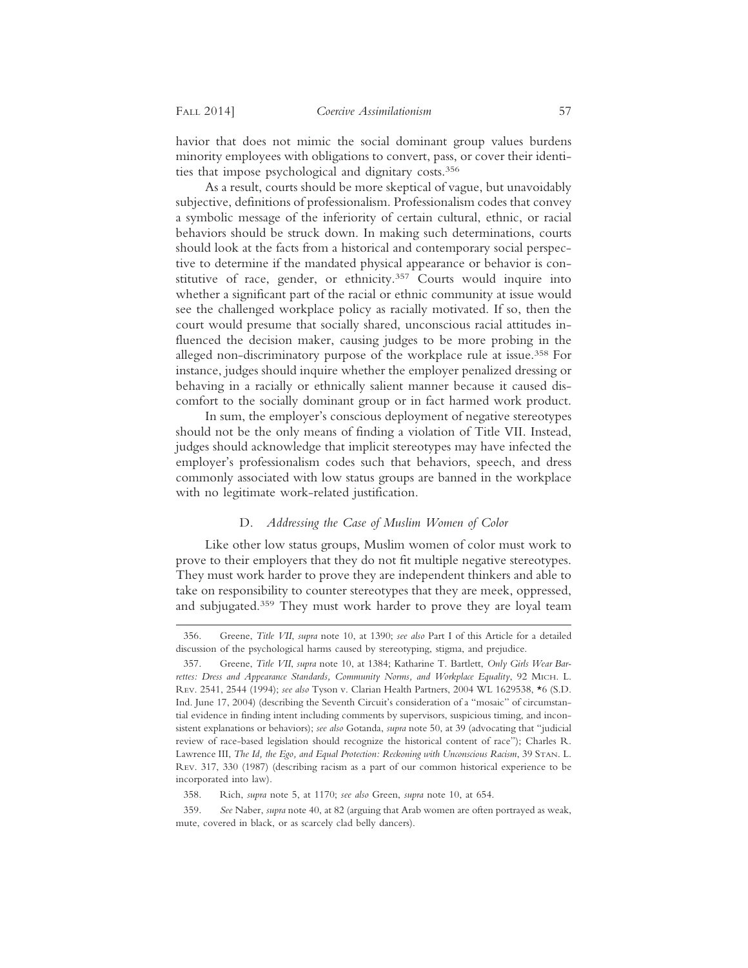havior that does not mimic the social dominant group values burdens minority employees with obligations to convert, pass, or cover their identities that impose psychological and dignitary costs.356

As a result, courts should be more skeptical of vague, but unavoidably subjective, definitions of professionalism. Professionalism codes that convey a symbolic message of the inferiority of certain cultural, ethnic, or racial behaviors should be struck down. In making such determinations, courts should look at the facts from a historical and contemporary social perspective to determine if the mandated physical appearance or behavior is constitutive of race, gender, or ethnicity.357 Courts would inquire into whether a significant part of the racial or ethnic community at issue would see the challenged workplace policy as racially motivated. If so, then the court would presume that socially shared, unconscious racial attitudes influenced the decision maker, causing judges to be more probing in the alleged non-discriminatory purpose of the workplace rule at issue.358 For instance, judges should inquire whether the employer penalized dressing or behaving in a racially or ethnically salient manner because it caused discomfort to the socially dominant group or in fact harmed work product.

In sum, the employer's conscious deployment of negative stereotypes should not be the only means of finding a violation of Title VII. Instead, judges should acknowledge that implicit stereotypes may have infected the employer's professionalism codes such that behaviors, speech, and dress commonly associated with low status groups are banned in the workplace with no legitimate work-related justification.

#### D. *Addressing the Case of Muslim Women of Color*

Like other low status groups, Muslim women of color must work to prove to their employers that they do not fit multiple negative stereotypes. They must work harder to prove they are independent thinkers and able to take on responsibility to counter stereotypes that they are meek, oppressed, and subjugated.359 They must work harder to prove they are loyal team

<sup>356.</sup> Greene, *Title VII*, *supra* note 10, at 1390; *see also* Part I of this Article for a detailed discussion of the psychological harms caused by stereotyping, stigma, and prejudice.

<sup>357.</sup> Greene, *Title VII*, *supra* note 10, at 1384; Katharine T. Bartlett, *Only Girls Wear Barrettes: Dress and Appearance Standards, Community Norms, and Workplace Equality*, 92 MICH. L. REV. 2541, 2544 (1994); *see also* Tyson v. Clarian Health Partners, 2004 WL 1629538, \*6 (S.D. Ind. June 17, 2004) (describing the Seventh Circuit's consideration of a "mosaic" of circumstantial evidence in finding intent including comments by supervisors, suspicious timing, and inconsistent explanations or behaviors); *see also* Gotanda, *supra* note 50, at 39 (advocating that "judicial review of race-based legislation should recognize the historical content of race"); Charles R. Lawrence III, *The Id, the Ego, and Equal Protection: Reckoning with Unconscious Racism*, 39 STAN. L. REV. 317, 330 (1987) (describing racism as a part of our common historical experience to be incorporated into law).

<sup>358.</sup> Rich, *supra* note 5, at 1170; *see also* Green, *supra* note 10, at 654.

<sup>359.</sup> *See* Naber, *supra* note 40, at 82 (arguing that Arab women are often portrayed as weak, mute, covered in black, or as scarcely clad belly dancers).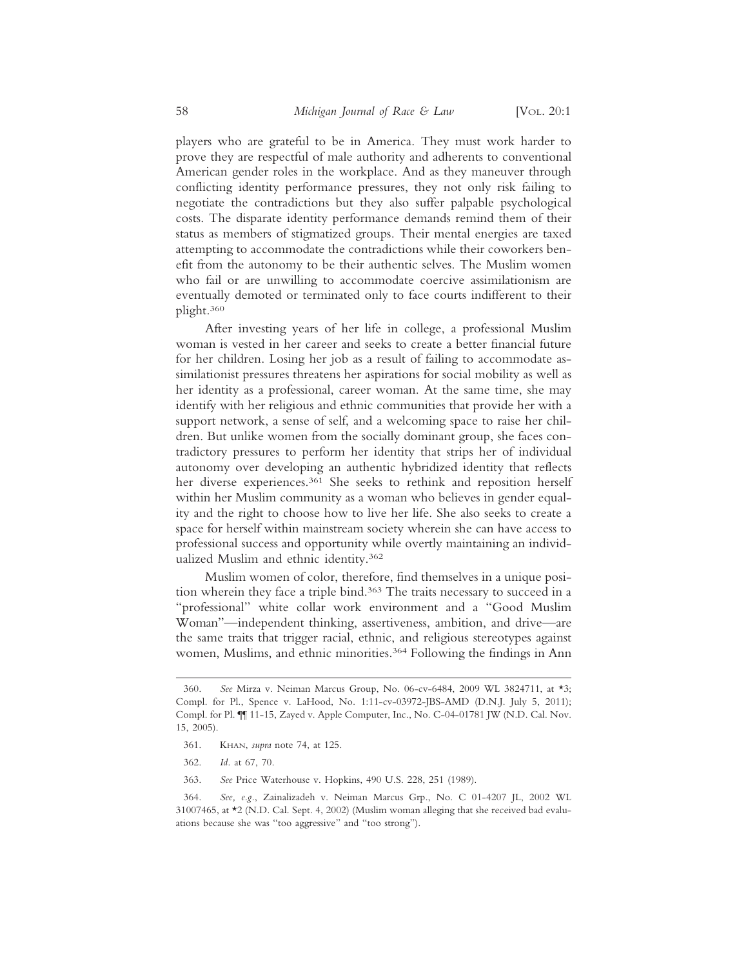players who are grateful to be in America. They must work harder to prove they are respectful of male authority and adherents to conventional American gender roles in the workplace. And as they maneuver through conflicting identity performance pressures, they not only risk failing to negotiate the contradictions but they also suffer palpable psychological costs. The disparate identity performance demands remind them of their status as members of stigmatized groups. Their mental energies are taxed attempting to accommodate the contradictions while their coworkers benefit from the autonomy to be their authentic selves. The Muslim women who fail or are unwilling to accommodate coercive assimilationism are eventually demoted or terminated only to face courts indifferent to their plight.360

After investing years of her life in college, a professional Muslim woman is vested in her career and seeks to create a better financial future for her children. Losing her job as a result of failing to accommodate assimilationist pressures threatens her aspirations for social mobility as well as her identity as a professional, career woman. At the same time, she may identify with her religious and ethnic communities that provide her with a support network, a sense of self, and a welcoming space to raise her children. But unlike women from the socially dominant group, she faces contradictory pressures to perform her identity that strips her of individual autonomy over developing an authentic hybridized identity that reflects her diverse experiences.<sup>361</sup> She seeks to rethink and reposition herself within her Muslim community as a woman who believes in gender equality and the right to choose how to live her life. She also seeks to create a space for herself within mainstream society wherein she can have access to professional success and opportunity while overtly maintaining an individualized Muslim and ethnic identity.362

Muslim women of color, therefore, find themselves in a unique position wherein they face a triple bind.363 The traits necessary to succeed in a "professional" white collar work environment and a "Good Muslim Woman"—independent thinking, assertiveness, ambition, and drive—are the same traits that trigger racial, ethnic, and religious stereotypes against women, Muslims, and ethnic minorities.<sup>364</sup> Following the findings in Ann

- 361. KHAN, *supra* note 74, at 125.
- 362. *Id.* at 67, 70.
- 363. *See* Price Waterhouse v. Hopkins, 490 U.S. 228, 251 (1989).

<sup>360.</sup> *See* Mirza v. Neiman Marcus Group, No. 06-cv-6484, 2009 WL 3824711, at \*3; Compl. for Pl., Spence v. LaHood, No. 1:11-cv-03972-JBS-AMD (D.N.J. July 5, 2011); Compl. for Pl. ¶¶ 11-15, Zayed v. Apple Computer, Inc., No. C-04-01781 JW (N.D. Cal. Nov. 15, 2005).

<sup>364.</sup> *See, e.g.*, Zainalizadeh v. Neiman Marcus Grp., No. C 01-4207 JL, 2002 WL 31007465, at  $*2$  (N.D. Cal. Sept. 4, 2002) (Muslim woman alleging that she received bad evaluations because she was "too aggressive" and "too strong").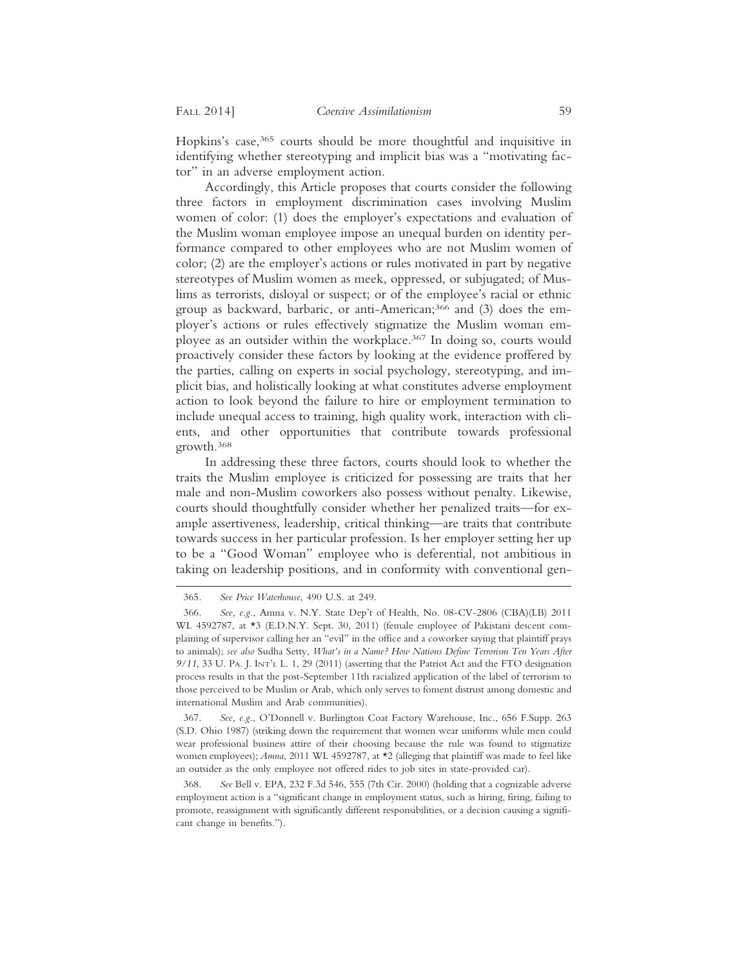Hopkins's case,<sup>365</sup> courts should be more thoughtful and inquisitive in identifying whether stereotyping and implicit bias was a "motivating factor" in an adverse employment action.

Accordingly, this Article proposes that courts consider the following three factors in employment discrimination cases involving Muslim women of color: (1) does the employer's expectations and evaluation of the Muslim woman employee impose an unequal burden on identity performance compared to other employees who are not Muslim women of color; (2) are the employer's actions or rules motivated in part by negative stereotypes of Muslim women as meek, oppressed, or subjugated; of Muslims as terrorists, disloyal or suspect; or of the employee's racial or ethnic group as backward, barbaric, or anti-American;<sup>366</sup> and (3) does the employer's actions or rules effectively stigmatize the Muslim woman employee as an outsider within the workplace.367 In doing so, courts would proactively consider these factors by looking at the evidence proffered by the parties, calling on experts in social psychology, stereotyping, and implicit bias, and holistically looking at what constitutes adverse employment action to look beyond the failure to hire or employment termination to include unequal access to training, high quality work, interaction with clients, and other opportunities that contribute towards professional growth.368

In addressing these three factors, courts should look to whether the traits the Muslim employee is criticized for possessing are traits that her male and non-Muslim coworkers also possess without penalty. Likewise, courts should thoughtfully consider whether her penalized traits—for example assertiveness, leadership, critical thinking—are traits that contribute towards success in her particular profession. Is her employer setting her up to be a "Good Woman" employee who is deferential, not ambitious in taking on leadership positions, and in conformity with conventional gen-

<sup>365.</sup> *See Price Waterhouse*, 490 U.S. at 249.

<sup>366.</sup> *See, e.g.*, Amna v. N.Y. State Dep't of Health, No. 08-CV-2806 (CBA)(LB) 2011 WL 4592787, at \*3 (E.D.N.Y. Sept. 30, 2011) (female employee of Pakistani descent complaining of supervisor calling her an "evil" in the office and a coworker saying that plaintiff prays to animals); *see also* Sudha Setty, *What's in a Name? How Nations Define Terrorism Ten Years After 9/11*, 33 U. PA. J. INT'L L. 1, 29 (2011) (asserting that the Patriot Act and the FTO designation process results in that the post-September 11th racialized application of the label of terrorism to those perceived to be Muslim or Arab, which only serves to foment distrust among domestic and international Muslim and Arab communities).

<sup>367.</sup> *See, e.g.*, O'Donnell v. Burlington Coat Factory Warehouse, Inc., 656 F.Supp. 263 (S.D. Ohio 1987) (striking down the requirement that women wear uniforms while men could wear professional business attire of their choosing because the rule was found to stigmatize women employees); *Amna*, 2011 WL 4592787, at \*2 (alleging that plaintiff was made to feel like an outsider as the only employee not offered rides to job sites in state-provided car).

<sup>368.</sup> *See* Bell v. EPA, 232 F.3d 546, 555 (7th Cir. 2000) (holding that a cognizable adverse employment action is a "significant change in employment status, such as hiring, firing, failing to promote, reassignment with significantly different responsibilities, or a decision causing a significant change in benefits.").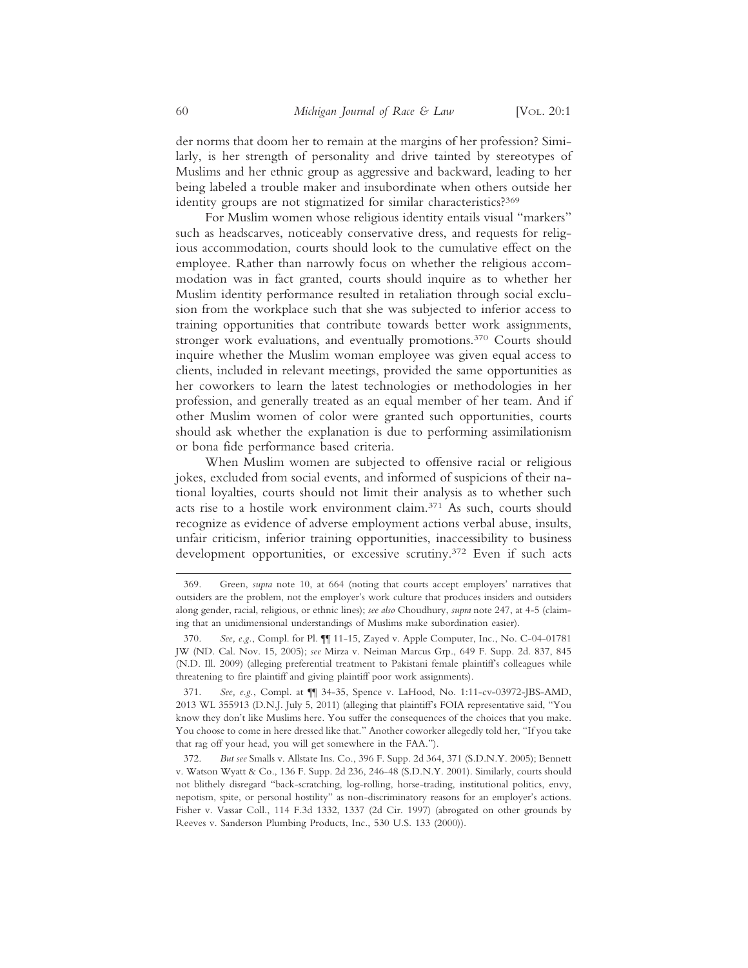der norms that doom her to remain at the margins of her profession? Similarly, is her strength of personality and drive tainted by stereotypes of Muslims and her ethnic group as aggressive and backward, leading to her being labeled a trouble maker and insubordinate when others outside her identity groups are not stigmatized for similar characteristics?<sup>369</sup>

For Muslim women whose religious identity entails visual "markers" such as headscarves, noticeably conservative dress, and requests for religious accommodation, courts should look to the cumulative effect on the employee. Rather than narrowly focus on whether the religious accommodation was in fact granted, courts should inquire as to whether her Muslim identity performance resulted in retaliation through social exclusion from the workplace such that she was subjected to inferior access to training opportunities that contribute towards better work assignments, stronger work evaluations, and eventually promotions.<sup>370</sup> Courts should inquire whether the Muslim woman employee was given equal access to clients, included in relevant meetings, provided the same opportunities as her coworkers to learn the latest technologies or methodologies in her profession, and generally treated as an equal member of her team. And if other Muslim women of color were granted such opportunities, courts should ask whether the explanation is due to performing assimilationism or bona fide performance based criteria.

When Muslim women are subjected to offensive racial or religious jokes, excluded from social events, and informed of suspicions of their national loyalties, courts should not limit their analysis as to whether such acts rise to a hostile work environment claim.371 As such, courts should recognize as evidence of adverse employment actions verbal abuse, insults, unfair criticism, inferior training opportunities, inaccessibility to business development opportunities, or excessive scrutiny.372 Even if such acts

<sup>369.</sup> Green, *supra* note 10, at 664 (noting that courts accept employers' narratives that outsiders are the problem, not the employer's work culture that produces insiders and outsiders along gender, racial, religious, or ethnic lines); *see also* Choudhury, *supra* note 247, at 4-5 (claiming that an unidimensional understandings of Muslims make subordination easier).

See, e.g., Compl. for Pl.  $\P$ [11-15, Zayed v. Apple Computer, Inc., No. C-04-01781 JW (ND. Cal. Nov. 15, 2005); *see* Mirza v. Neiman Marcus Grp., 649 F. Supp. 2d. 837, 845 (N.D. Ill. 2009) (alleging preferential treatment to Pakistani female plaintiff's colleagues while threatening to fire plaintiff and giving plaintiff poor work assignments).

<sup>371.</sup> *See, e.g.*, Compl. at ¶¶ 34-35, Spence v. LaHood, No. 1:11-cv-03972-JBS-AMD, 2013 WL 355913 (D.N.J. July 5, 2011) (alleging that plaintiff's FOIA representative said, "You know they don't like Muslims here. You suffer the consequences of the choices that you make. You choose to come in here dressed like that." Another coworker allegedly told her, "If you take that rag off your head, you will get somewhere in the FAA.").

<sup>372.</sup> *But see* Smalls v. Allstate Ins. Co., 396 F. Supp. 2d 364, 371 (S.D.N.Y. 2005); Bennett v. Watson Wyatt & Co., 136 F. Supp. 2d 236, 246-48 (S.D.N.Y. 2001). Similarly, courts should not blithely disregard "back-scratching, log-rolling, horse-trading, institutional politics, envy, nepotism, spite, or personal hostility" as non-discriminatory reasons for an employer's actions. Fisher v. Vassar Coll., 114 F.3d 1332, 1337 (2d Cir. 1997) (abrogated on other grounds by Reeves v. Sanderson Plumbing Products, Inc., 530 U.S. 133 (2000)).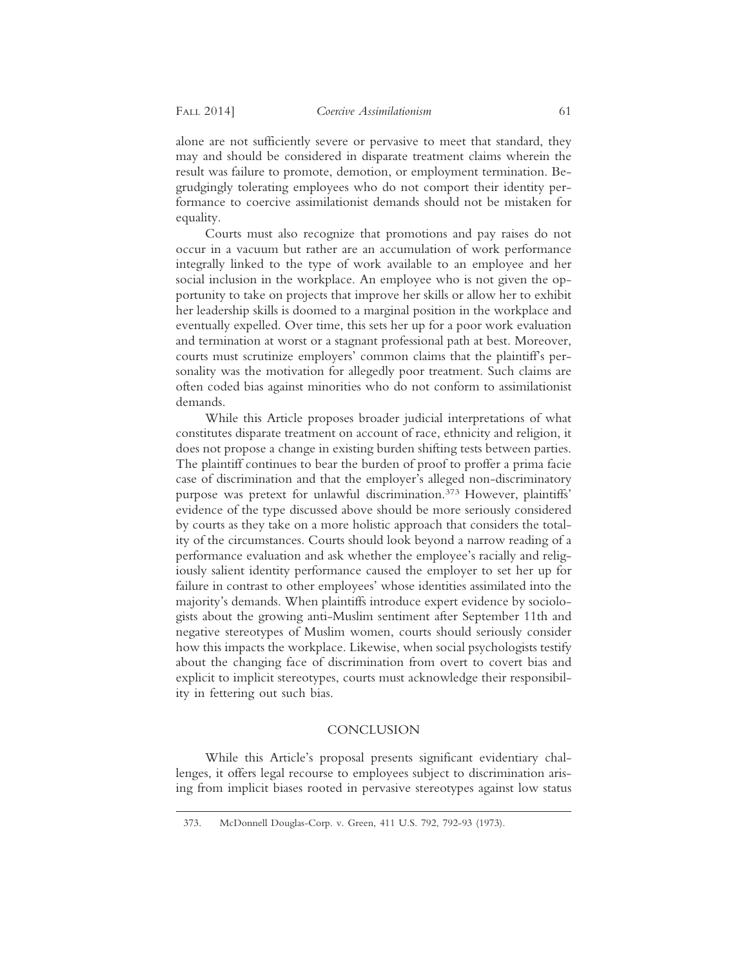alone are not sufficiently severe or pervasive to meet that standard, they may and should be considered in disparate treatment claims wherein the result was failure to promote, demotion, or employment termination. Begrudgingly tolerating employees who do not comport their identity performance to coercive assimilationist demands should not be mistaken for equality.

Courts must also recognize that promotions and pay raises do not occur in a vacuum but rather are an accumulation of work performance integrally linked to the type of work available to an employee and her social inclusion in the workplace. An employee who is not given the opportunity to take on projects that improve her skills or allow her to exhibit her leadership skills is doomed to a marginal position in the workplace and eventually expelled. Over time, this sets her up for a poor work evaluation and termination at worst or a stagnant professional path at best. Moreover, courts must scrutinize employers' common claims that the plaintiff's personality was the motivation for allegedly poor treatment. Such claims are often coded bias against minorities who do not conform to assimilationist demands.

While this Article proposes broader judicial interpretations of what constitutes disparate treatment on account of race, ethnicity and religion, it does not propose a change in existing burden shifting tests between parties. The plaintiff continues to bear the burden of proof to proffer a prima facie case of discrimination and that the employer's alleged non-discriminatory purpose was pretext for unlawful discrimination.373 However, plaintiffs' evidence of the type discussed above should be more seriously considered by courts as they take on a more holistic approach that considers the totality of the circumstances. Courts should look beyond a narrow reading of a performance evaluation and ask whether the employee's racially and religiously salient identity performance caused the employer to set her up for failure in contrast to other employees' whose identities assimilated into the majority's demands. When plaintiffs introduce expert evidence by sociologists about the growing anti-Muslim sentiment after September 11th and negative stereotypes of Muslim women, courts should seriously consider how this impacts the workplace. Likewise, when social psychologists testify about the changing face of discrimination from overt to covert bias and explicit to implicit stereotypes, courts must acknowledge their responsibility in fettering out such bias.

#### **CONCLUSION**

While this Article's proposal presents significant evidentiary challenges, it offers legal recourse to employees subject to discrimination arising from implicit biases rooted in pervasive stereotypes against low status

<sup>373.</sup> McDonnell Douglas-Corp. v. Green, 411 U.S. 792, 792-93 (1973).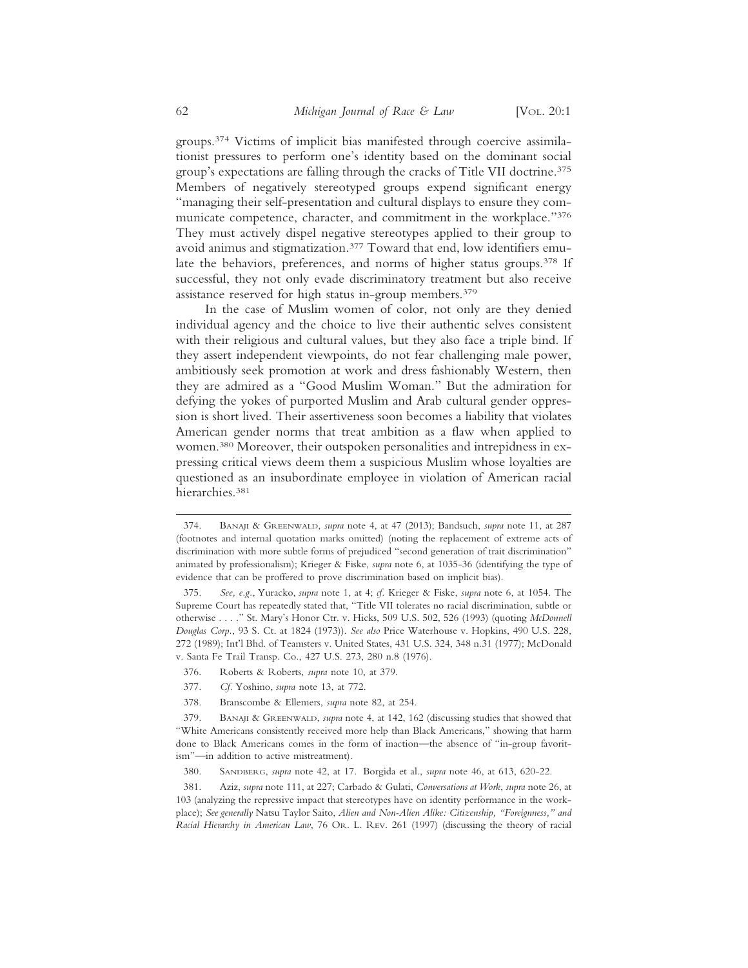groups.374 Victims of implicit bias manifested through coercive assimilationist pressures to perform one's identity based on the dominant social group's expectations are falling through the cracks of Title VII doctrine.375 Members of negatively stereotyped groups expend significant energy "managing their self-presentation and cultural displays to ensure they communicate competence, character, and commitment in the workplace."376 They must actively dispel negative stereotypes applied to their group to avoid animus and stigmatization.377 Toward that end, low identifiers emulate the behaviors, preferences, and norms of higher status groups.<sup>378</sup> If successful, they not only evade discriminatory treatment but also receive assistance reserved for high status in-group members.379

In the case of Muslim women of color, not only are they denied individual agency and the choice to live their authentic selves consistent with their religious and cultural values, but they also face a triple bind. If they assert independent viewpoints, do not fear challenging male power, ambitiously seek promotion at work and dress fashionably Western, then they are admired as a "Good Muslim Woman." But the admiration for defying the yokes of purported Muslim and Arab cultural gender oppression is short lived. Their assertiveness soon becomes a liability that violates American gender norms that treat ambition as a flaw when applied to women.380 Moreover, their outspoken personalities and intrepidness in expressing critical views deem them a suspicious Muslim whose loyalties are questioned as an insubordinate employee in violation of American racial hierarchies.<sup>381</sup>

<sup>374.</sup> BANAJI & GREENWALD, *supra* note 4, at 47 (2013); Bandsuch, *supra* note 11, at 287 (footnotes and internal quotation marks omitted) (noting the replacement of extreme acts of discrimination with more subtle forms of prejudiced "second generation of trait discrimination" animated by professionalism); Krieger & Fiske, *supra* note 6, at 1035-36 (identifying the type of evidence that can be proffered to prove discrimination based on implicit bias).

<sup>375.</sup> *See, e.g.*, Yuracko, *supra* note 1, at 4; *cf.* Krieger & Fiske, *supra* note 6, at 1054. The Supreme Court has repeatedly stated that, "Title VII tolerates no racial discrimination, subtle or otherwise . . . ." St. Mary's Honor Ctr. v. Hicks, 509 U.S. 502, 526 (1993) (quoting *McDonnell Douglas Corp.*, 93 S. Ct. at 1824 (1973)). *See also* Price Waterhouse v. Hopkins, 490 U.S. 228, 272 (1989); Int'l Bhd. of Teamsters v. United States, 431 U.S. 324, 348 n.31 (1977); McDonald v. Santa Fe Trail Transp. Co., 427 U.S. 273, 280 n.8 (1976).

<sup>376.</sup> Roberts & Roberts, *supra* note 10, at 379.

<sup>377.</sup> *Cf.* Yoshino, *supra* note 13, at 772.

<sup>378.</sup> Branscombe & Ellemers, *supra* note 82, at 254.

<sup>379.</sup> BANAJI & GREENWALD, *supra* note 4, at 142, 162 (discussing studies that showed that "White Americans consistently received more help than Black Americans," showing that harm done to Black Americans comes in the form of inaction—the absence of "in-group favoritism"—in addition to active mistreatment).

<sup>380.</sup> SANDBERG, *supra* note 42, at 17. Borgida et al., *supra* note 46, at 613, 620-22.

<sup>381.</sup> Aziz, *supra* note 111, at 227; Carbado & Gulati, *Conversations at Work*, *supra* note 26, at 103 (analyzing the repressive impact that stereotypes have on identity performance in the workplace); *See generally* Natsu Taylor Saito, *Alien and Non-Alien Alike: Citizenship, "Foreignness," and Racial Hierarchy in American Law*, 76 OR. L. REV. 261 (1997) (discussing the theory of racial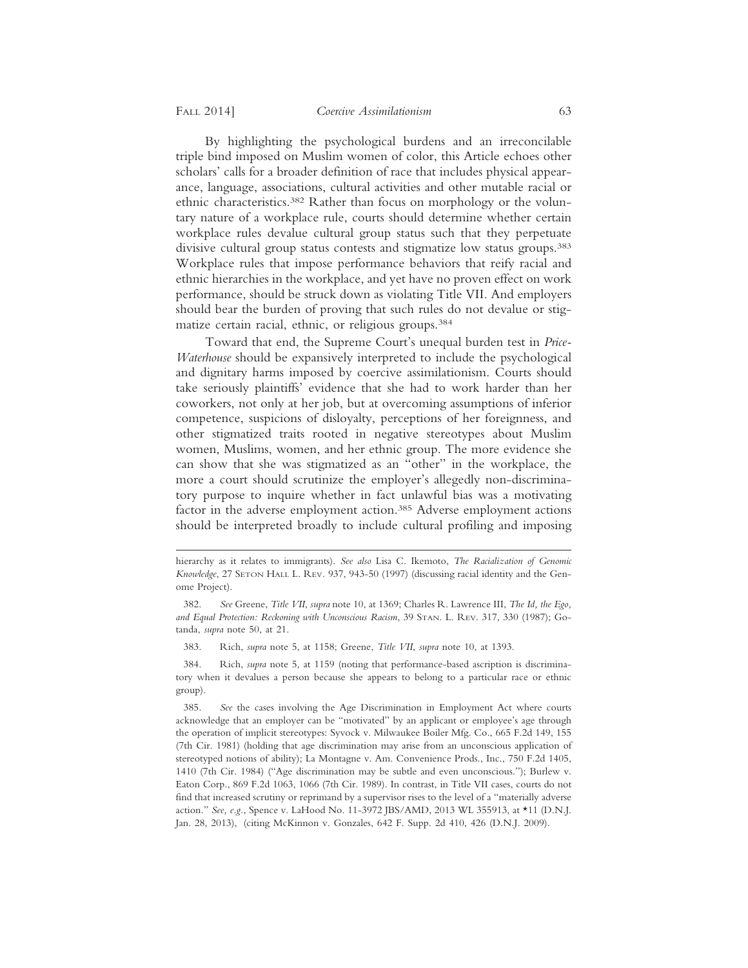By highlighting the psychological burdens and an irreconcilable triple bind imposed on Muslim women of color, this Article echoes other scholars' calls for a broader definition of race that includes physical appearance, language, associations, cultural activities and other mutable racial or ethnic characteristics.382 Rather than focus on morphology or the voluntary nature of a workplace rule, courts should determine whether certain workplace rules devalue cultural group status such that they perpetuate divisive cultural group status contests and stigmatize low status groups.<sup>383</sup> Workplace rules that impose performance behaviors that reify racial and ethnic hierarchies in the workplace, and yet have no proven effect on work performance, should be struck down as violating Title VII. And employers should bear the burden of proving that such rules do not devalue or stigmatize certain racial, ethnic, or religious groups.384

Toward that end, the Supreme Court's unequal burden test in *Price-Waterhouse* should be expansively interpreted to include the psychological and dignitary harms imposed by coercive assimilationism. Courts should take seriously plaintiffs' evidence that she had to work harder than her coworkers, not only at her job, but at overcoming assumptions of inferior competence, suspicions of disloyalty, perceptions of her foreignness, and other stigmatized traits rooted in negative stereotypes about Muslim women, Muslims, women, and her ethnic group. The more evidence she can show that she was stigmatized as an "other" in the workplace, the more a court should scrutinize the employer's allegedly non-discriminatory purpose to inquire whether in fact unlawful bias was a motivating factor in the adverse employment action.<sup>385</sup> Adverse employment actions should be interpreted broadly to include cultural profiling and imposing

383. Rich, *supra* note 5, at 1158; Greene, *Title VII*, *supra* note 10, at 1393.

384. Rich, *supra* note 5, at 1159 (noting that performance-based ascription is discriminatory when it devalues a person because she appears to belong to a particular race or ethnic group).

385. *See* the cases involving the Age Discrimination in Employment Act where courts acknowledge that an employer can be "motivated" by an applicant or employee's age through the operation of implicit stereotypes: Syvock v. Milwaukee Boiler Mfg. Co., 665 F.2d 149, 155 (7th Cir. 1981) (holding that age discrimination may arise from an unconscious application of stereotyped notions of ability); La Montagne v. Am. Convenience Prods., Inc., 750 F.2d 1405, 1410 (7th Cir. 1984) ("Age discrimination may be subtle and even unconscious."); Burlew v. Eaton Corp., 869 F.2d 1063, 1066 (7th Cir. 1989). In contrast, in Title VII cases, courts do not find that increased scrutiny or reprimand by a supervisor rises to the level of a "materially adverse action." *See, e.g.*, Spence v. LaHood No. 11-3972 JBS/AMD, 2013 WL 355913, at \*11 (D.N.J. Jan. 28, 2013), (citing McKinnon v. Gonzales, 642 F. Supp. 2d 410, 426 (D.N.J. 2009).

hierarchy as it relates to immigrants). *See also* Lisa C. Ikemoto, *The Racialization of Genomic Knowledge*, 27 SETON HALL L. REV*.* 937, 943-50 (1997) (discussing racial identity and the Genome Project).

<sup>382.</sup> *See* Greene, *Title VII*, *supra* note 10, at 1369; Charles R. Lawrence III, *The Id, the Ego, and Equal Protection: Reckoning with Unconscious Racism*, 39 STAN. L. REV. 317, 330 (1987); Gotanda, *supra* note 50, at 21.